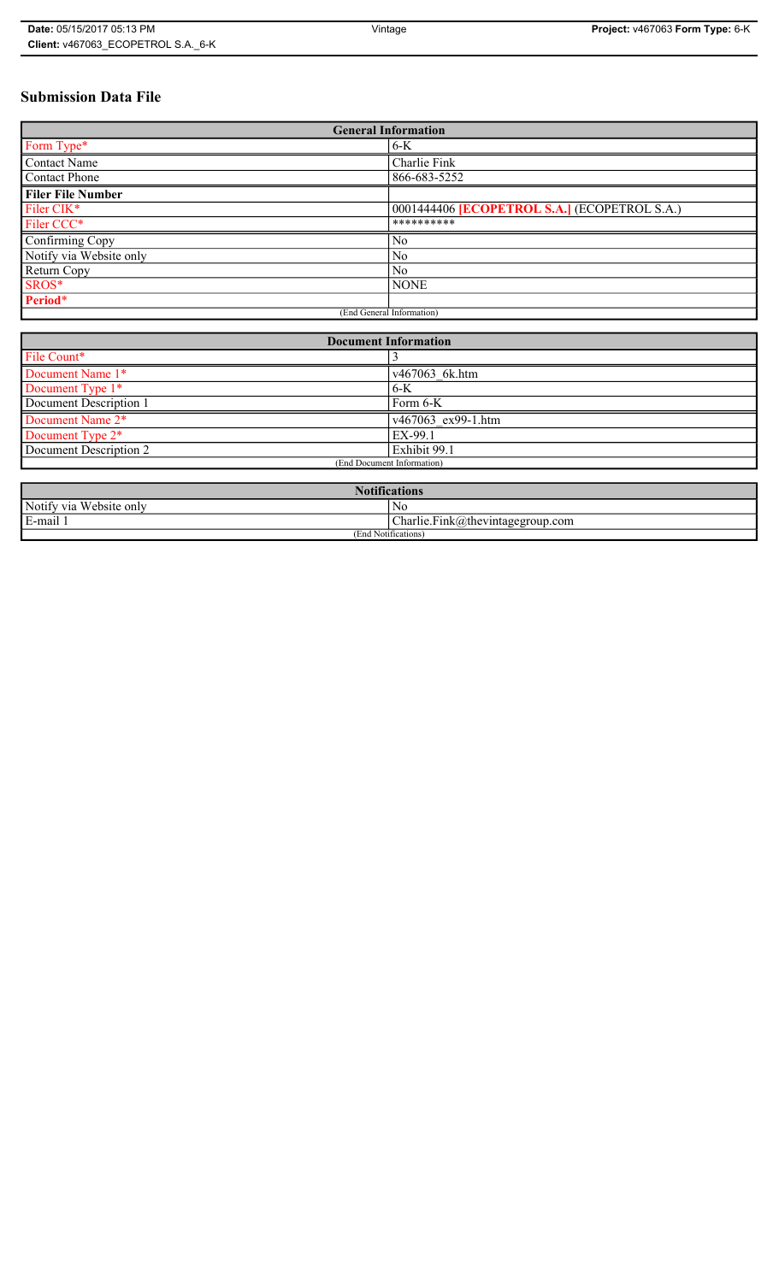# **Submission Data File**

| <b>General Information</b> |                                                   |  |  |
|----------------------------|---------------------------------------------------|--|--|
| Form Type*                 | $6-K$                                             |  |  |
| <b>Contact Name</b>        | Charlie Fink                                      |  |  |
| <b>Contact Phone</b>       | 866-683-5252                                      |  |  |
| <b>Filer File Number</b>   |                                                   |  |  |
| Filer CIK*                 | 0001444406 <b>ECOPETROL S.A.</b> (ECOPETROL S.A.) |  |  |
| Filer CCC*                 | **********                                        |  |  |
| Confirming Copy            | N <sub>0</sub>                                    |  |  |
| Notify via Website only    | N <sub>0</sub>                                    |  |  |
| Return Copy                | N <sub>0</sub>                                    |  |  |
| SROS*                      | <b>NONE</b>                                       |  |  |
| Period*                    |                                                   |  |  |
| (End General Information)  |                                                   |  |  |

| <b>Document Information</b> |                    |  |  |  |
|-----------------------------|--------------------|--|--|--|
| File Count*                 |                    |  |  |  |
| Document Name 1*            | v467063 6k.htm     |  |  |  |
| Document Type 1*            | $6-K$              |  |  |  |
| Document Description 1      | Form 6-K           |  |  |  |
| Document Name 2*            | v467063 ex99-1.htm |  |  |  |
| Document Type 2*            | EX-99.1            |  |  |  |
| Document Description 2      | Exhibit 99.1       |  |  |  |
| (End Document Information)  |                    |  |  |  |
|                             |                    |  |  |  |

| $\cdot$ $\cdot$<br>ifications                          |  |  |  |
|--------------------------------------------------------|--|--|--|
| Notify via<br>Website only<br>No                       |  |  |  |
| E-mail<br>$\text{Charlie.Fink}(a)$ thevintagegroup.com |  |  |  |
| (End Notifications)                                    |  |  |  |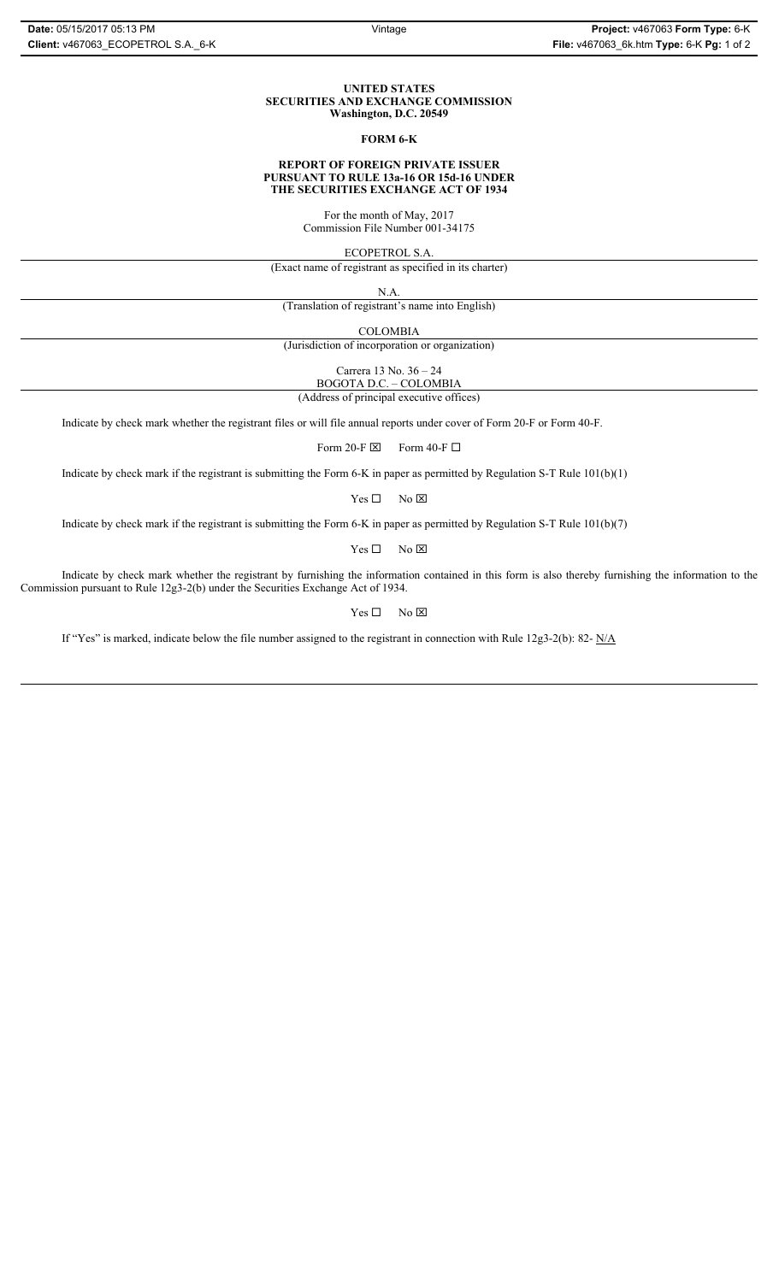#### **UNITED STATES SECURITIES AND EXCHANGE COMMISSION Washington, D.C. 20549**

#### **FORM 6-K**

#### **REPORT OF FOREIGN PRIVATE ISSUER PURSUANT TO RULE 13a-16 OR 15d-16 UNDER THE SECURITIES EXCHANGE ACT OF 1934**

For the month of May, 2017 Commission File Number 001-34175

ECOPETROL S.A.

(Exact name of registrant as specified in its charter)

N.A.

(Translation of registrant's name into English)

COLOMBIA

(Jurisdiction of incorporation or organization)

Carrera 13 No. 36 – 24

BOGOTA D.C. – COLOMBIA (Address of principal executive offices)

Indicate by check mark whether the registrant files or will file annual reports under cover of Form 20-F or Form 40-F.

Form 20-F  $\boxtimes$  Form 40-F  $\Box$ 

Indicate by check mark if the registrant is submitting the Form 6-K in paper as permitted by Regulation S-T Rule 101(b)(1)

 $Yes \Box$  No  $\boxtimes$ 

Indicate by check mark if the registrant is submitting the Form 6-K in paper as permitted by Regulation S-T Rule 101(b)(7)

 $Yes \Box$  No  $\boxtimes$ 

Indicate by check mark whether the registrant by furnishing the information contained in this form is also thereby furnishing the information to the Commission pursuant to Rule 12g3-2(b) under the Securities Exchange Act of 1934.

 $Yes \Box$  No  $\boxtimes$ 

If "Yes" is marked, indicate below the file number assigned to the registrant in connection with Rule 12g3-2(b): 82- N/A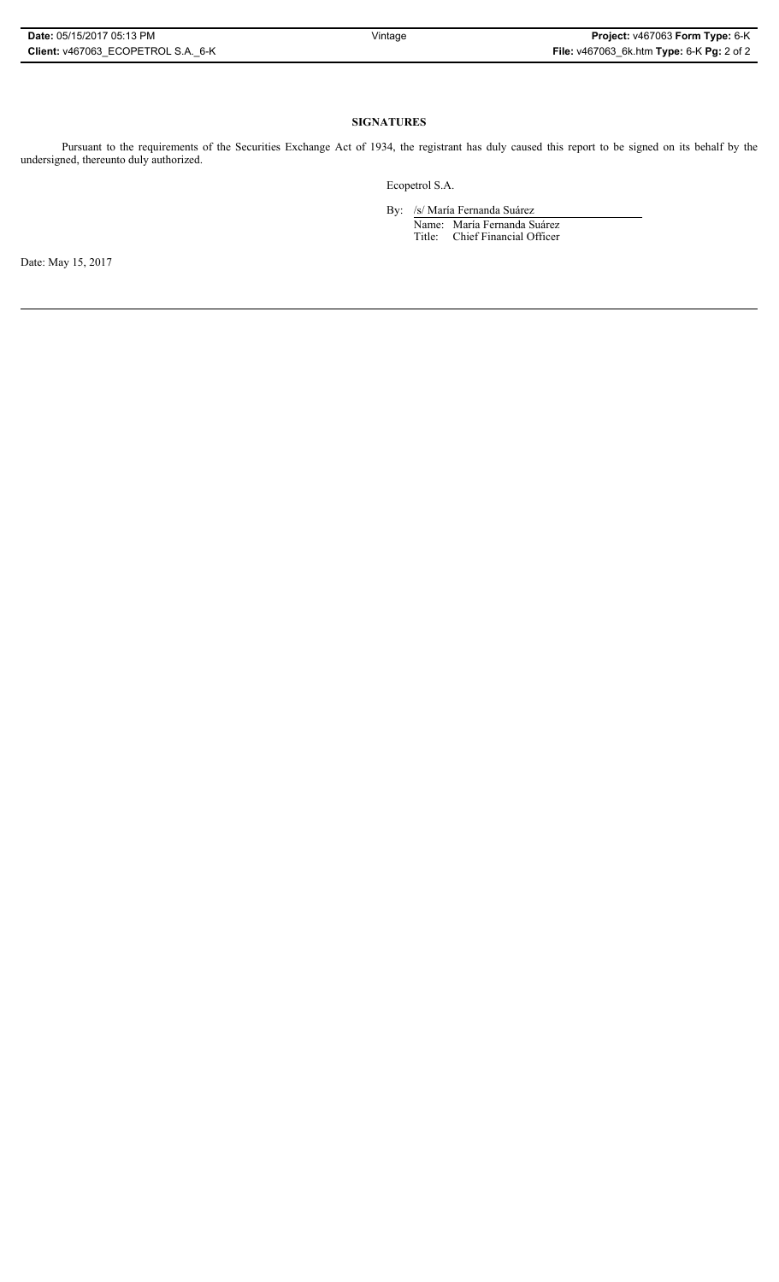# **SIGNATURES**

Pursuant to the requirements of the Securities Exchange Act of 1934, the registrant has duly caused this report to be signed on its behalf by the undersigned, thereunto duly authorized.

Ecopetrol S.A.

By: /s/ María Fernanda Suárez Name: María Fernanda Suárez Title: Chief Financial Officer

Date: May 15, 2017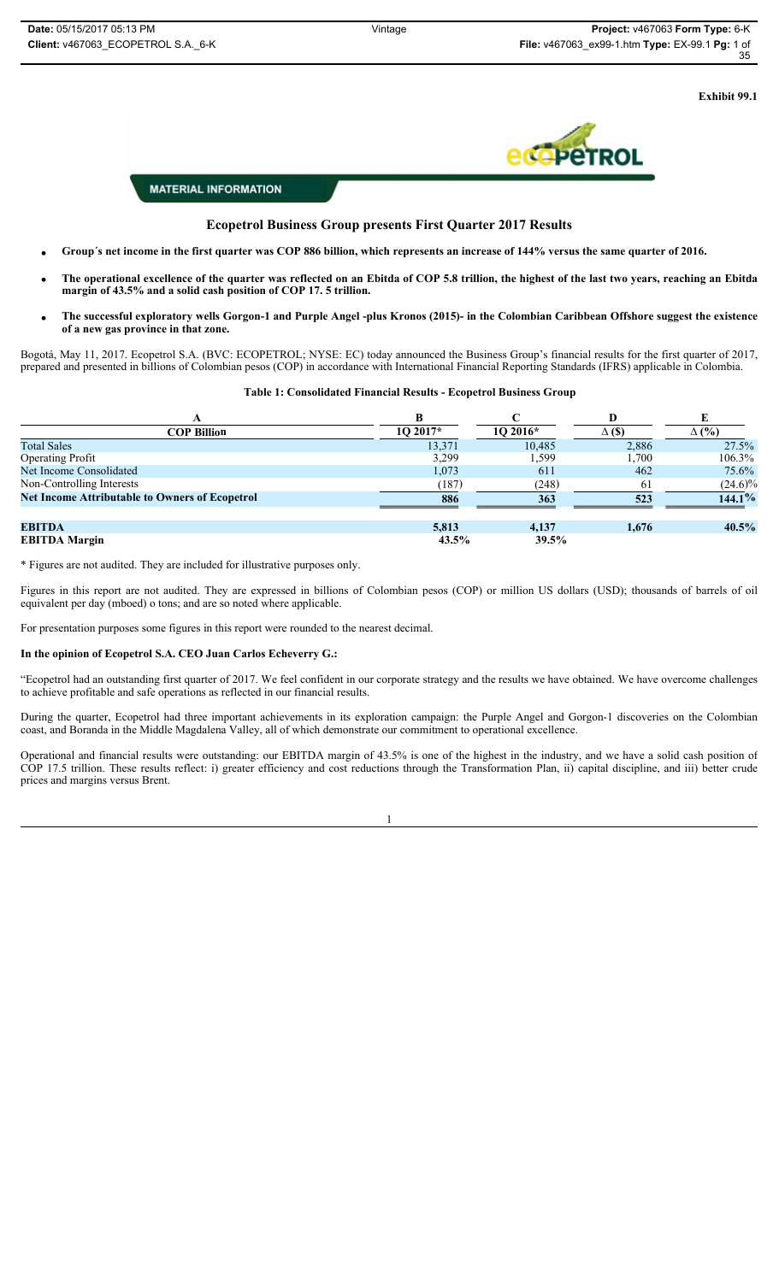

**Exhibit 99.1**



**MATERIAL INFORMATION** 

## **Ecopetrol Business Group presents First Quarter 2017 Results**

- x **Group´s net income in the first quarter was COP 886 billion, which represents an increase of 144% versus the same quarter of 2016.**
- x **The operational excellence of the quarter was reflected on an Ebitda of COP 5.8 trillion, the highest of the last two years, reaching an Ebitda margin of 43.5% and a solid cash position of COP 17. 5 trillion.**
- x **The successful exploratory wells Gorgon-1 and Purple Angel -plus Kronos (2015)- in the Colombian Caribbean Offshore suggest the existence of a new gas province in that zone.**

Bogotá, May 11, 2017. Ecopetrol S.A. (BVC: ECOPETROL; NYSE: EC) today announced the Business Group's financial results for the first quarter of 2017, prepared and presented in billions of Colombian pesos (COP) in accordance with International Financial Reporting Standards (IFRS) applicable in Colombia.

#### **Table 1: Consolidated Financial Results - Ecopetrol Business Group**

|                                                       | B        |           | D             |              |
|-------------------------------------------------------|----------|-----------|---------------|--------------|
| <b>COP Billion</b>                                    | 1O 2017* | $102016*$ | $\Delta$ (\$) | $\Delta$ (%) |
| <b>Total Sales</b>                                    | 13,371   | 10,485    | 2,886         | 27.5%        |
| <b>Operating Profit</b>                               | 3,299    | 1,599     | 1,700         | 106.3%       |
| Net Income Consolidated                               | 1,073    | 611       | 462           | 75.6%        |
| Non-Controlling Interests                             | (187)    | (248)     | 61            | $(24.6)\%$   |
| <b>Net Income Attributable to Owners of Ecopetrol</b> | 886      | 363       | 523           | $144.1\%$    |
| <b>EBITDA</b>                                         | 5,813    | 4,137     | 1.676         | 40.5%        |
| <b>EBITDA Margin</b>                                  | 43.5%    | 39.5%     |               |              |

\* Figures are not audited. They are included for illustrative purposes only.

Figures in this report are not audited. They are expressed in billions of Colombian pesos (COP) or million US dollars (USD); thousands of barrels of oil equivalent per day (mboed) o tons; and are so noted where applicable.

For presentation purposes some figures in this report were rounded to the nearest decimal.

#### **In the opinion of Ecopetrol S.A. CEO Juan Carlos Echeverry G.:**

"Ecopetrol had an outstanding first quarter of 2017. We feel confident in our corporate strategy and the results we have obtained. We have overcome challenges to achieve profitable and safe operations as reflected in our financial results.

During the quarter, Ecopetrol had three important achievements in its exploration campaign: the Purple Angel and Gorgon-1 discoveries on the Colombian coast, and Boranda in the Middle Magdalena Valley, all of which demonstrate our commitment to operational excellence.

Operational and financial results were outstanding: our EBITDA margin of 43.5% is one of the highest in the industry, and we have a solid cash position of COP 17.5 trillion. These results reflect: i) greater efficiency and cost reductions through the Transformation Plan, ii) capital discipline, and iii) better crude prices and margins versus Brent.

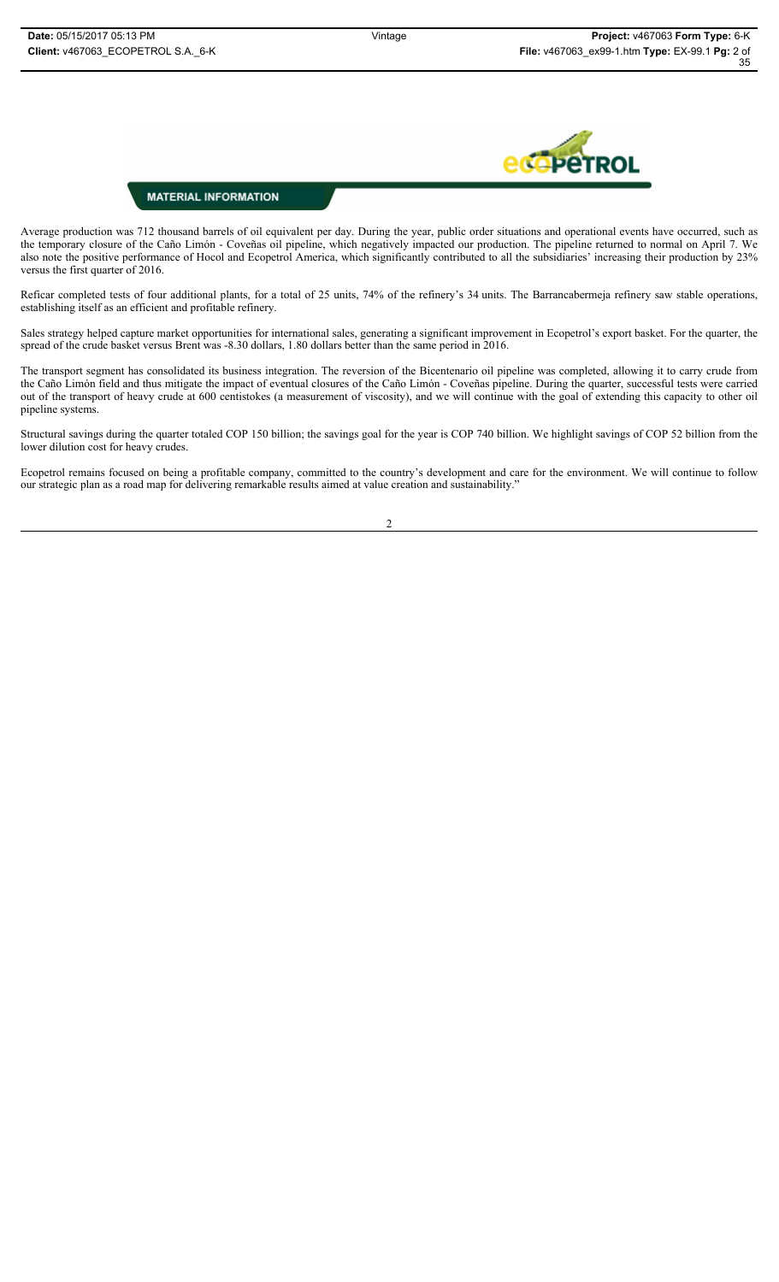

Average production was 712 thousand barrels of oil equivalent per day. During the year, public order situations and operational events have occurred, such as the temporary closure of the Caño Limón - Coveñas oil pipeline, which negatively impacted our production. The pipeline returned to normal on April 7. We also note the positive performance of Hocol and Ecopetrol America, which significantly contributed to all the subsidiaries' increasing their production by 23% versus the first quarter of 2016.

Reficar completed tests of four additional plants, for a total of 25 units, 74% of the refinery's 34 units. The Barrancabermeja refinery saw stable operations, establishing itself as an efficient and profitable refinery.

Sales strategy helped capture market opportunities for international sales, generating a significant improvement in Ecopetrol's export basket. For the quarter, the spread of the crude basket versus Brent was -8.30 dollars, 1.80 dollars better than the same period in 2016.

The transport segment has consolidated its business integration. The reversion of the Bicentenario oil pipeline was completed, allowing it to carry crude from the Caño Limón field and thus mitigate the impact of eventual closures of the Caño Limón - Coveñas pipeline. During the quarter, successful tests were carried out of the transport of heavy crude at 600 centistokes (a measurement of viscosity), and we will continue with the goal of extending this capacity to other oil pipeline systems.

Structural savings during the quarter totaled COP 150 billion; the savings goal for the year is COP 740 billion. We highlight savings of COP 52 billion from the lower dilution cost for heavy crudes.

Ecopetrol remains focused on being a profitable company, committed to the country's development and care for the environment. We will continue to follow our strategic plan as a road map for delivering remarkable results aimed at value creation and sustainability."

 $\overline{\mathcal{L}}$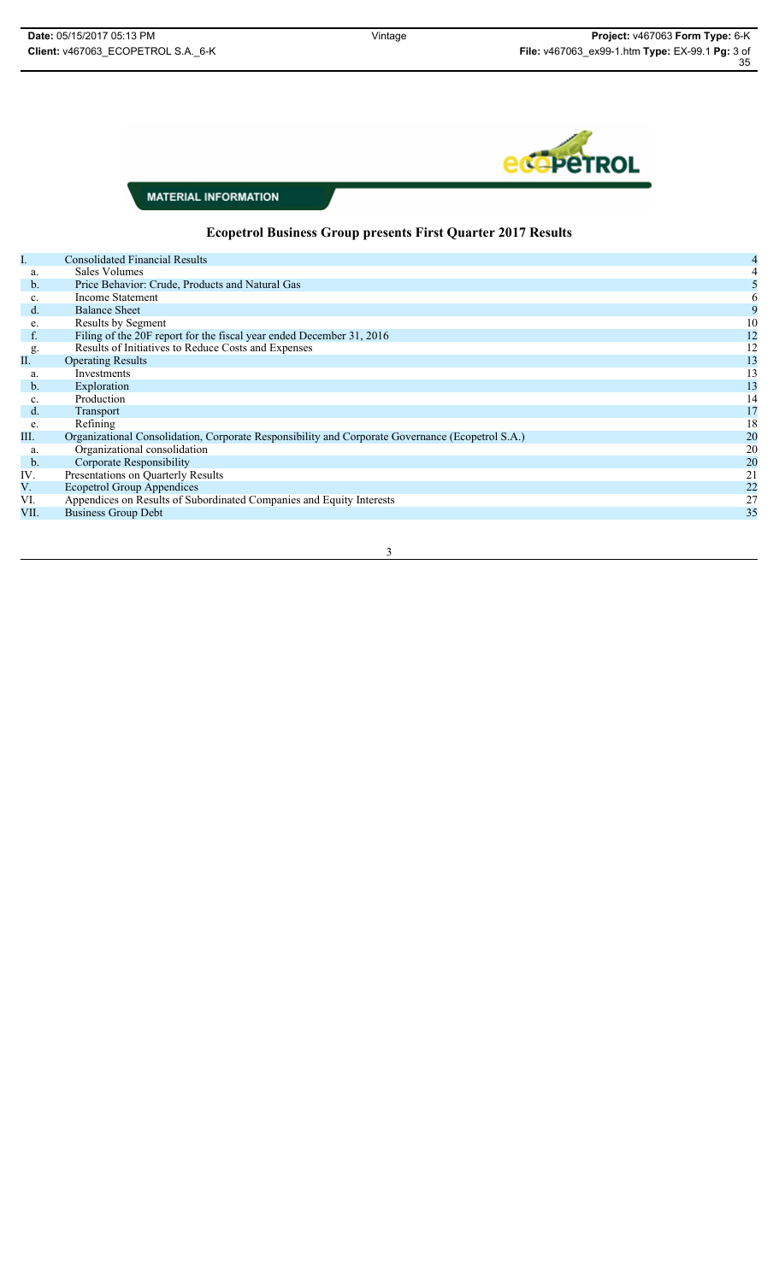

# **Ecopetrol Business Group presents First Quarter 2017 Results**

| Ι.            | <b>Consolidated Financial Results</b>                                                            |    |
|---------------|--------------------------------------------------------------------------------------------------|----|
| a.            | Sales Volumes                                                                                    |    |
| $\mathbf b$ . | Price Behavior: Crude, Products and Natural Gas                                                  |    |
| c.            | <b>Income Statement</b>                                                                          |    |
| d.            | <b>Balance Sheet</b>                                                                             |    |
| e.            | Results by Segment                                                                               | 10 |
| f.            | Filing of the 20F report for the fiscal year ended December 31, 2016                             | 12 |
| g.            | Results of Initiatives to Reduce Costs and Expenses                                              | 12 |
| П.            | <b>Operating Results</b>                                                                         | 13 |
| a.            | Investments                                                                                      | 13 |
| $\mathbf b$ . | Exploration                                                                                      | 13 |
| c.            | Production                                                                                       | 14 |
| $d_{\cdot}$   | Transport                                                                                        | 17 |
| e.            | Refining                                                                                         | 18 |
| Ш.            | Organizational Consolidation, Corporate Responsibility and Corporate Governance (Ecopetrol S.A.) | 20 |
| a.            | Organizational consolidation                                                                     | 20 |
| $b$ .         | <b>Corporate Responsibility</b>                                                                  | 20 |
| IV.           | Presentations on Quarterly Results                                                               | 21 |
| V.            | <b>Ecopetrol Group Appendices</b>                                                                | 22 |
| VI.           | Appendices on Results of Subordinated Companies and Equity Interests                             | 27 |
| VII.          | <b>Business Group Debt</b>                                                                       | 35 |
|               |                                                                                                  |    |

#### 3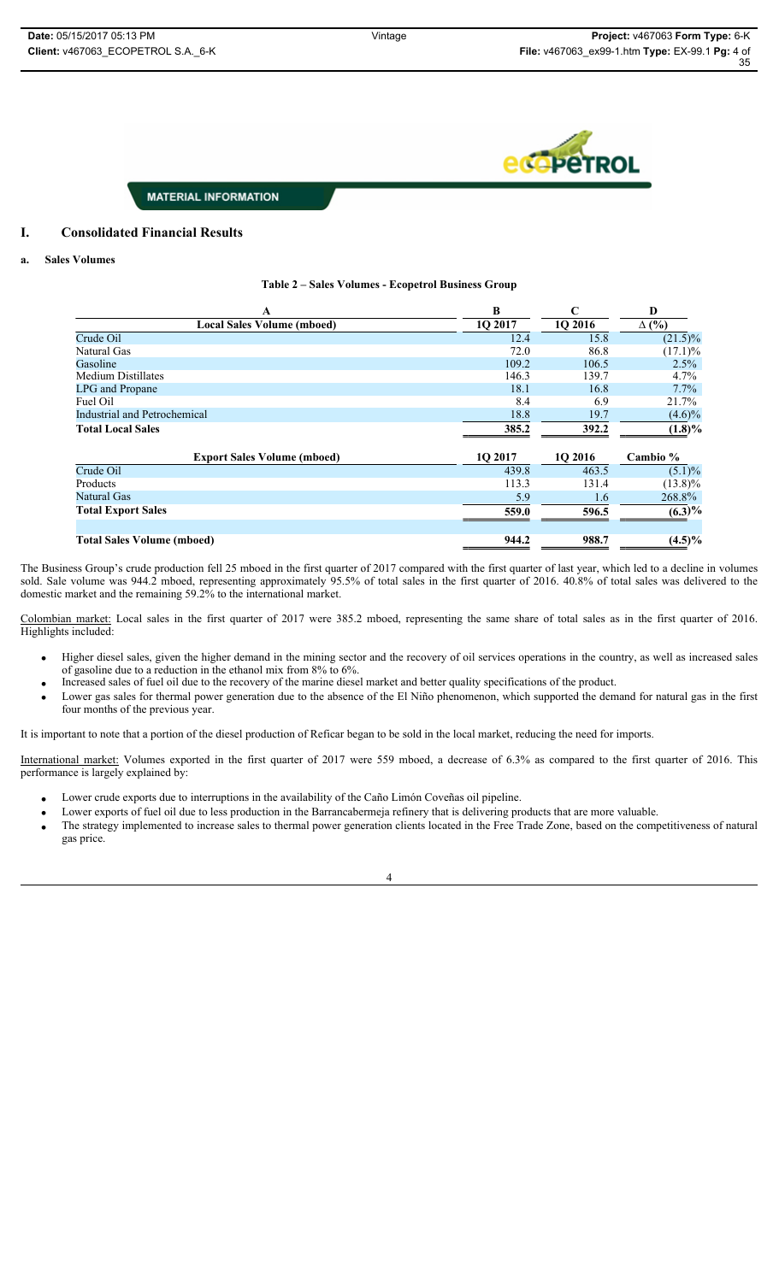# **edd PetROL**

## **MATERIAL INFORMATION**

## **I. Consolidated Financial Results**

## **a. Sales Volumes**

| A                                  | B       | $\mathbf C$ | D            |
|------------------------------------|---------|-------------|--------------|
| <b>Local Sales Volume (mboed)</b>  | 1O 2017 | 10 2016     | $\Delta$ (%) |
| Crude Oil                          | 12.4    | 15.8        | $(21.5)\%$   |
| Natural Gas                        | 72.0    | 86.8        | $(17.1)\%$   |
| Gasoline                           | 109.2   | 106.5       | 2.5%         |
| <b>Medium Distillates</b>          | 146.3   | 139.7       | $4.7\%$      |
| LPG and Propane                    | 18.1    | 16.8        | $7.7\%$      |
| Fuel Oil                           | 8.4     | 6.9         | 21.7%        |
| Industrial and Petrochemical       | 18.8    | 19.7        | $(4.6)\%$    |
| <b>Total Local Sales</b>           | 385.2   | 392.2       | $(1.8)\%$    |
| <b>Export Sales Volume (mboed)</b> | 10 2017 | 10 2016     | Cambio $%$   |
| Crude Oil                          | 439.8   | 463.5       | $(5.1)\%$    |
| Products                           | 113.3   | 131.4       | $(13.8)\%$   |
| Natural Gas                        | 5.9     | 1.6         | 268.8%       |
| <b>Total Export Sales</b>          | 559.0   | 596.5       | $(6.3)\%$    |
| <b>Total Sales Volume (mboed)</b>  | 944.2   | 988.7       | $(4.5)\%$    |

The Business Group's crude production fell 25 mboed in the first quarter of 2017 compared with the first quarter of last year, which led to a decline in volumes sold. Sale volume was 944.2 mboed, representing approximately 95.5% of total sales in the first quarter of 2016. 40.8% of total sales was delivered to the domestic market and the remaining 59.2% to the international market.

Colombian market: Local sales in the first quarter of 2017 were 385.2 mboed, representing the same share of total sales as in the first quarter of 2016. Highlights included:

- Higher diesel sales, given the higher demand in the mining sector and the recovery of oil services operations in the country, as well as increased sales of gasoline due to a reduction in the ethanol mix from 8% to 6%.
- x Increased sales of fuel oil due to the recovery of the marine diesel market and better quality specifications of the product.
- Lower gas sales for thermal power generation due to the absence of the El Niño phenomenon, which supported the demand for natural gas in the first four months of the previous year.

It is important to note that a portion of the diesel production of Reficar began to be sold in the local market, reducing the need for imports.

International market: Volumes exported in the first quarter of 2017 were 559 mboed, a decrease of 6.3% as compared to the first quarter of 2016. This performance is largely explained by:

- Lower crude exports due to interruptions in the availability of the Caño Limón Coveñas oil pipeline.
- Lower exports of fuel oil due to less production in the Barrancabermeja refinery that is delivering products that are more valuable.
- The strategy implemented to increase sales to thermal power generation clients located in the Free Trade Zone, based on the competitiveness of natural gas price.

 $\Delta$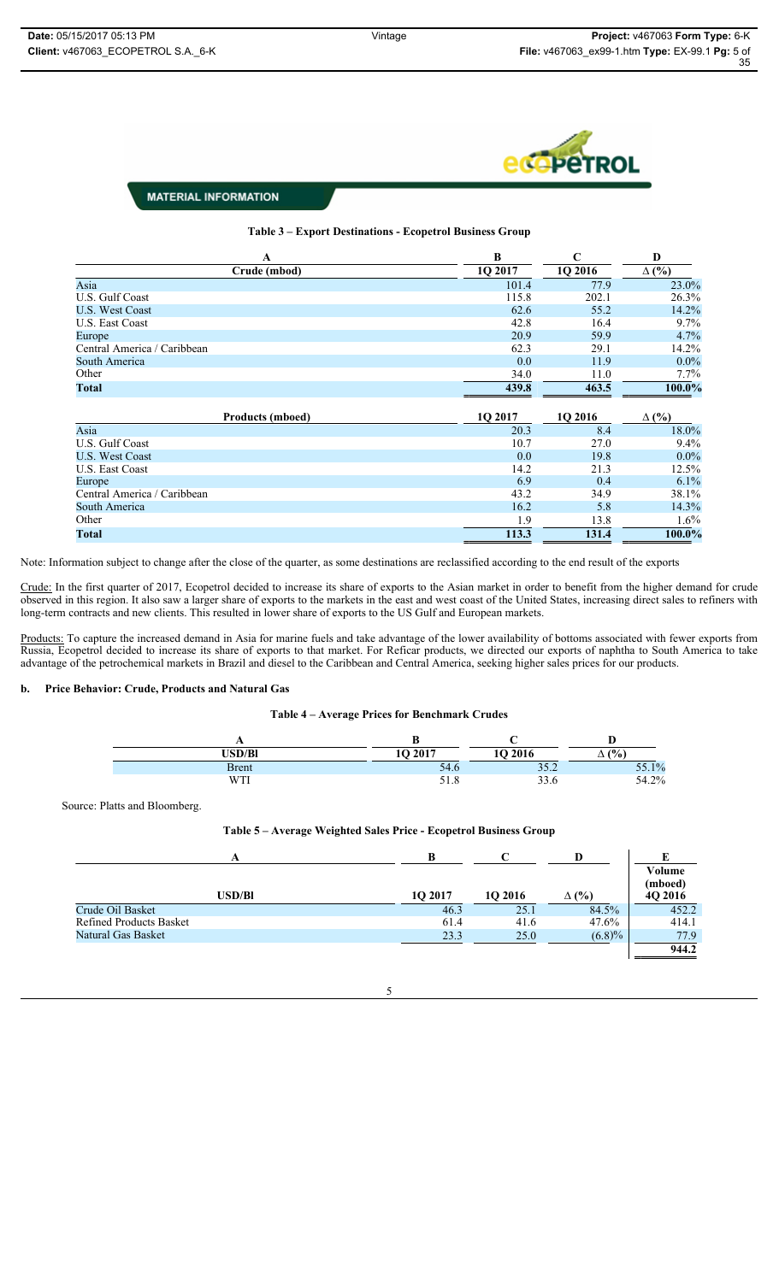

#### **Table 3 – Export Destinations - Ecopetrol Business Group**

| A                           | B       | $\mathbf C$ | D            |
|-----------------------------|---------|-------------|--------------|
| Crude (mbod)                | 1Q 2017 | $1Q\,2016$  | $\Delta$ (%) |
| Asia                        | 101.4   | 77.9        | 23.0%        |
| U.S. Gulf Coast             | 115.8   | 202.1       | 26.3%        |
| <b>U.S. West Coast</b>      | 62.6    | 55.2        | 14.2%        |
| U.S. East Coast             | 42.8    | 16.4        | 9.7%         |
| Europe                      | 20.9    | 59.9        | 4.7%         |
| Central America / Caribbean | 62.3    | 29.1        | 14.2%        |
| South America               | 0.0     | 11.9        | $0.0\%$      |
| Other                       | 34.0    | 11.0        | 7.7%         |
| <b>Total</b>                | 439.8   | 463.5       | 100.0%       |
| <b>Products (mboed)</b>     | 1Q 2017 | 1Q 2016     | $\Delta$ (%) |
| Asia                        | 20.3    | 8.4         | 18.0%        |
| U.S. Gulf Coast             | 10.7    | 27.0        | 9.4%         |
| <b>U.S. West Coast</b>      | 0.0     | 19.8        | $0.0\%$      |
| U.S. East Coast             | 14.2    | 21.3        | 12.5%        |
| Europe                      | 6.9     | 0.4         | 6.1%         |
| Central America / Caribbean | 43.2    | 34.9        | 38.1%        |
| South America               | 16.2    | 5.8         | 14.3%        |
| Other                       | 1.9     | 13.8        | 1.6%         |
| <b>Total</b>                | 113.3   | 131.4       | 100.0%       |

Note: Information subject to change after the close of the quarter, as some destinations are reclassified according to the end result of the exports

Crude: In the first quarter of 2017, Ecopetrol decided to increase its share of exports to the Asian market in order to benefit from the higher demand for crude observed in this region. It also saw a larger share of exports to the markets in the east and west coast of the United States, increasing direct sales to refiners with long-term contracts and new clients. This resulted in lower share of exports to the US Gulf and European markets.

Products: To capture the increased demand in Asia for marine fuels and take advantage of the lower availability of bottoms associated with fewer exports from Russia, Ecopetrol decided to increase its share of exports to that market. For Reficar products, we directed our exports of naphtha to South America to take advantage of the petrochemical markets in Brazil and diesel to the Caribbean and Central America, seeking higher sales prices for our products.

## **b. Price Behavior: Crude, Products and Natural Gas**

#### **Table 4 – Average Prices for Benchmark Crudes**

| $\overline{1}$ |         |                            |       |
|----------------|---------|----------------------------|-------|
| <b>USD/Bl</b>  | 1Q 2017 | 1O 2016                    | (% )  |
| <b>Brent</b>   | 54.6    | 200<br>ے. ر ر              | 55.1% |
| WTI            | 51.8    | 22 <sub>1</sub><br>- J.J.U | 54.2% |

Source: Platts and Bloomberg.

#### **Table 5 – Average Weighted Sales Price - Ecopetrol Business Group**

| <b>USD/Bl</b>                  | 10 2017 | 10 2016 | $\Delta$ (%) | Volume<br>(mboed)<br>4Q 2016 |
|--------------------------------|---------|---------|--------------|------------------------------|
| Crude Oil Basket               | 46.3    | 25.1    | 84.5%        | 452.2                        |
| <b>Refined Products Basket</b> | 61.4    | 41.6    | 47.6%        | 414.1                        |
| Natural Gas Basket             | 23.3    | 25.0    | (6.8)%       | 77.9                         |
|                                |         |         |              | 944.2                        |

5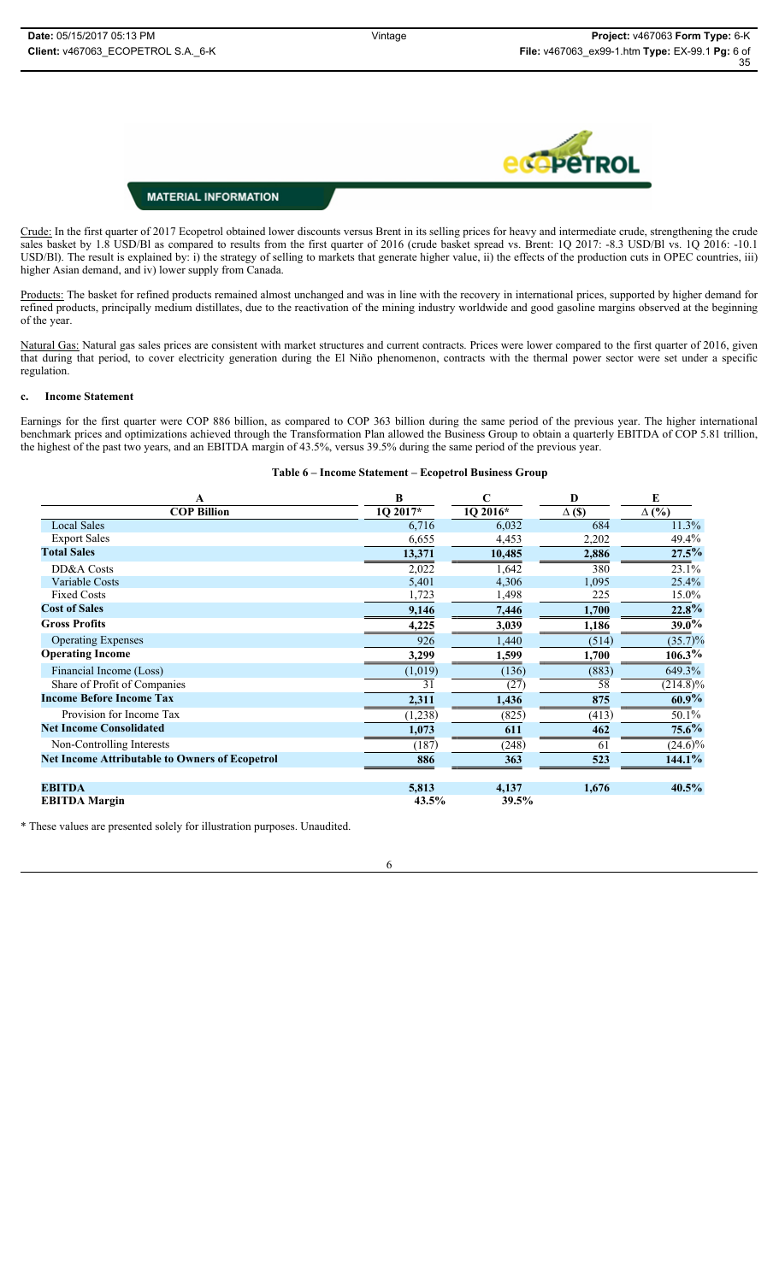

Crude: In the first quarter of 2017 Ecopetrol obtained lower discounts versus Brent in its selling prices for heavy and intermediate crude, strengthening the crude sales basket by 1.8 USD/Bl as compared to results from the first quarter of 2016 (crude basket spread vs. Brent: 1Q 2017: -8.3 USD/Bl vs. 1Q 2016: -10.1 USD/Bl). The result is explained by: i) the strategy of selling to markets that generate higher value, ii) the effects of the production cuts in OPEC countries, iii) higher Asian demand, and iv) lower supply from Canada.

Products: The basket for refined products remained almost unchanged and was in line with the recovery in international prices, supported by higher demand for refined products, principally medium distillates, due to the reactivation of the mining industry worldwide and good gasoline margins observed at the beginning of the year.

Natural Gas: Natural gas sales prices are consistent with market structures and current contracts. Prices were lower compared to the first quarter of 2016, given that during that period, to cover electricity generation during the El Niño phenomenon, contracts with the thermal power sector were set under a specific regulation.

### **c. Income Statement**

Earnings for the first quarter were COP 886 billion, as compared to COP 363 billion during the same period of the previous year. The higher international benchmark prices and optimizations achieved through the Transformation Plan allowed the Business Group to obtain a quarterly EBITDA of COP 5.81 trillion, the highest of the past two years, and an EBITDA margin of 43.5%, versus 39.5% during the same period of the previous year.

#### **Table 6 – Income Statement – Ecopetrol Business Group**

| A                                                     | B        | $\mathbf C$ | D             | E            |
|-------------------------------------------------------|----------|-------------|---------------|--------------|
| <b>COP Billion</b>                                    | 1Q 2017* | $1Q\,2016*$ | $\Delta$ (\$) | $\Delta$ (%) |
| <b>Local Sales</b>                                    | 6,716    | 6,032       | 684           | 11.3%        |
| <b>Export Sales</b>                                   | 6,655    | 4,453       | 2,202         | 49.4%        |
| <b>Total Sales</b>                                    | 13,371   | 10,485      | 2,886         | 27.5%        |
| DD&A Costs                                            | 2,022    | 1,642       | 380           | 23.1%        |
| <b>Variable Costs</b>                                 | 5,401    | 4,306       | 1,095         | 25.4%        |
| <b>Fixed Costs</b>                                    | 1,723    | 1,498       | 225           | 15.0%        |
| <b>Cost of Sales</b>                                  | 9,146    | 7,446       | 1,700         | 22.8%        |
| <b>Gross Profits</b>                                  | 4,225    | 3,039       | 1,186         | $39.0\%$     |
| <b>Operating Expenses</b>                             | 926      | 1,440       | (514)         | $(35.7)\%$   |
| <b>Operating Income</b>                               | 3,299    | 1,599       | 1,700         | $106.3\%$    |
| Financial Income (Loss)                               | (1,019)  | (136)       | (883)         | 649.3%       |
| Share of Profit of Companies                          | 31       | (27)        | 58            | $(214.8)\%$  |
| <b>Income Before Income Tax</b>                       | 2,311    | 1,436       | 875           | $60.9\%$     |
| Provision for Income Tax                              | (1,238)  | (825)       | (413)         | $50.1\%$     |
| <b>Net Income Consolidated</b>                        | 1,073    | 611         | 462           | $75.6\%$     |
| Non-Controlling Interests                             | (187)    | (248)       | 61            | $(24.6)\%$   |
| <b>Net Income Attributable to Owners of Ecopetrol</b> | 886      | 363         | 523           | $144.1\%$    |
| <b>EBITDA</b>                                         | 5,813    | 4,137       | 1,676         | 40.5%        |
| <b>EBITDA Margin</b>                                  | 43.5%    | 39.5%       |               |              |

\* These values are presented solely for illustration purposes. Unaudited.

6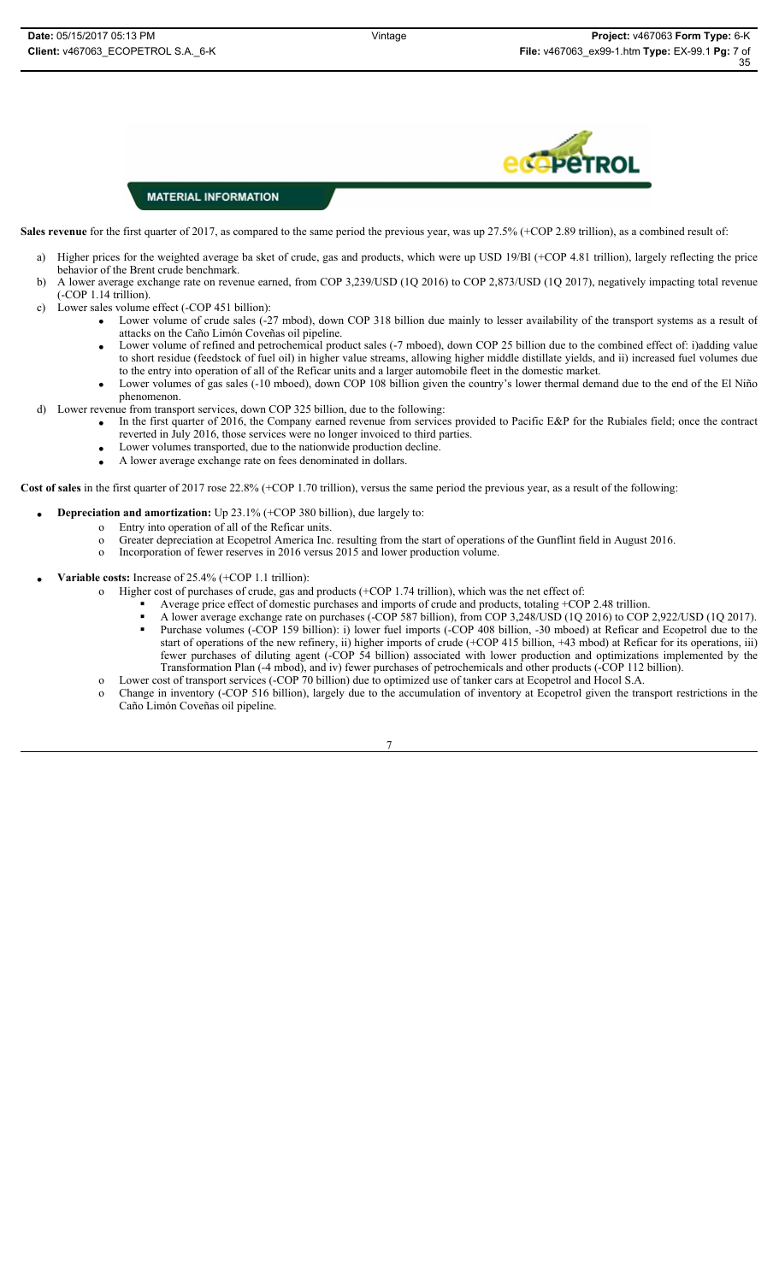

Sales revenue for the first quarter of 2017, as compared to the same period the previous year, was up 27.5% (+COP 2.89 trillion), as a combined result of:

- a) Higher prices for the weighted average ba sket of crude, gas and products, which were up USD 19/Bl (+COP 4.81 trillion), largely reflecting the price behavior of the Brent crude benchmark.
- b) A lower average exchange rate on revenue earned, from COP 3,239/USD (1Q 2016) to COP 2,873/USD (1Q 2017), negatively impacting total revenue (-COP 1.14 trillion).
- c) Lower sales volume effect (-COP 451 billion):
	- Lower volume of crude sales (-27 mbod), down COP 318 billion due mainly to lesser availability of the transport systems as a result of attacks on the Caño Limón Coveñas oil pipeline.
	- Lower volume of refined and petrochemical product sales (-7 mboed), down COP 25 billion due to the combined effect of: i)adding value to short residue (feedstock of fuel oil) in higher value streams, allowing higher middle distillate yields, and ii) increased fuel volumes due to the entry into operation of all of the Reficar units and a larger automobile fleet in the domestic market.
	- Lower volumes of gas sales (-10 mboed), down COP 108 billion given the country's lower thermal demand due to the end of the El Niño phenomenon.
	- Lower revenue from transport services, down COP 325 billion, due to the following:
		- In the first quarter of 2016, the Company earned revenue from services provided to Pacific E&P for the Rubiales field; once the contract reverted in July 2016, those services were no longer invoiced to third parties.
		- Lower volumes transported, due to the nationwide production decline.
		- A lower average exchange rate on fees denominated in dollars.

**Cost of sales** in the first quarter of 2017 rose 22.8% (+COP 1.70 trillion), versus the same period the previous year, as a result of the following:

- **Depreciation and amortization:** Up 23.1% (+COP 380 billion), due largely to:
	- Entry into operation of all of the Reficar units.
		- o Greater depreciation at Ecopetrol America Inc. resulting from the start of operations of the Gunflint field in August 2016.
	- o Incorporation of fewer reserves in 2016 versus 2015 and lower production volume.
	- x **Variable costs:** Increase of 25.4% (+COP 1.1 trillion):
		- o Higher cost of purchases of crude, gas and products (+COP 1.74 trillion), which was the net effect of:
			- Average price effect of domestic purchases and imports of crude and products, totaling +COP 2.48 trillion.
				- A lower average exchange rate on purchases (-COP 587 billion), from COP 3,248/USD (1Q 2016) to COP 2,922/USD (1Q 2017).
				- Purchase volumes (-COP 159 billion): i) lower fuel imports (-COP 408 billion, -30 mboed) at Reficar and Ecopetrol due to the start of operations of the new refinery, ii) higher imports of crude (+COP 415 billion, +43 mbod) at Reficar for its operations, iii) fewer purchases of diluting agent (-COP 54 billion) associated with lower production and optimizations implemented by the Transformation Plan (-4 mbod), and iv) fewer purchases of petrochemicals and other products (-COP 112 billion).
		- o Lower cost of transport services (-COP 70 billion) due to optimized use of tanker cars at Ecopetrol and Hocol S.A.
		- o Change in inventory (-COP 516 billion), largely due to the accumulation of inventory at Ecopetrol given the transport restrictions in the Caño Limón Coveñas oil pipeline.

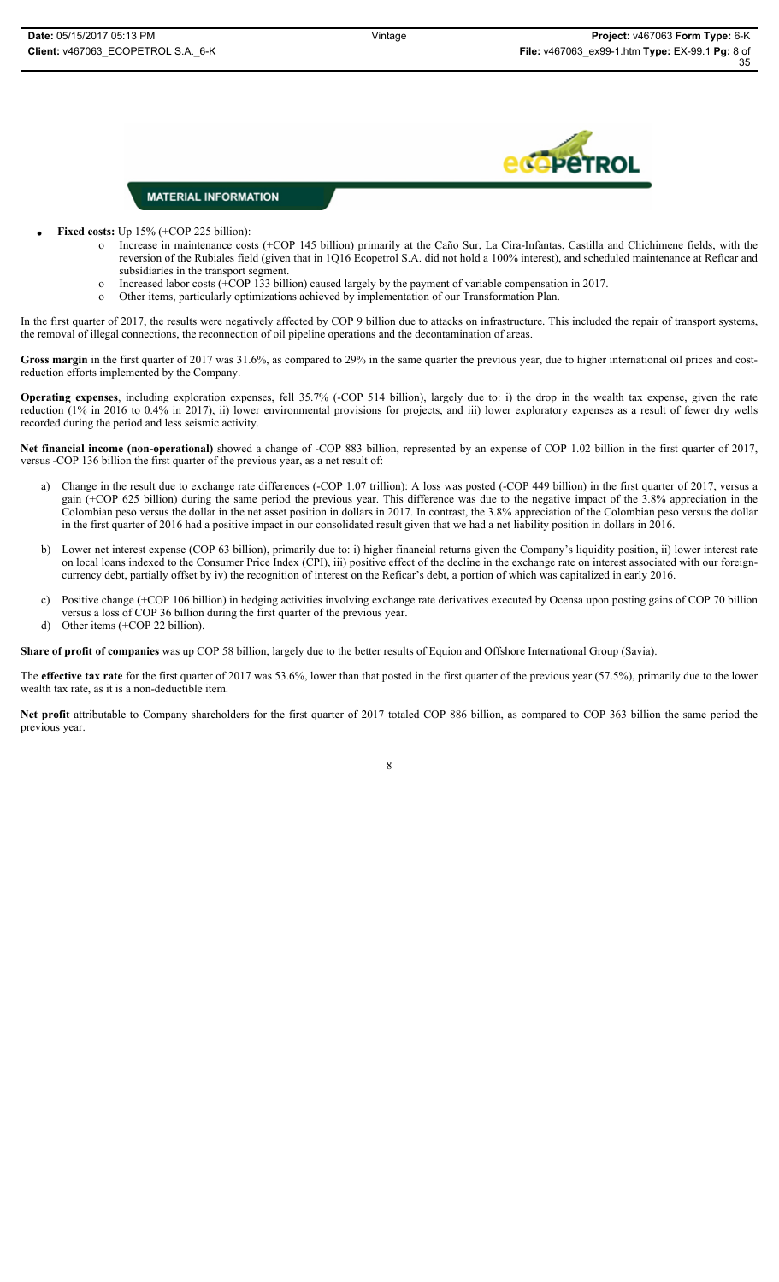

- **Fixed costs:** Up 15% (+COP 225 billion):
	- o Increase in maintenance costs (+COP 145 billion) primarily at the Caño Sur, La Cira-Infantas, Castilla and Chichimene fields, with the reversion of the Rubiales field (given that in 1Q16 Ecopetrol S.A. did not hold a 100% interest), and scheduled maintenance at Reficar and subsidiaries in the transport segment.
	- o Increased labor costs (+COP 133 billion) caused largely by the payment of variable compensation in 2017.
	- o Other items, particularly optimizations achieved by implementation of our Transformation Plan.

In the first quarter of 2017, the results were negatively affected by COP 9 billion due to attacks on infrastructure. This included the repair of transport systems, the removal of illegal connections, the reconnection of oil pipeline operations and the decontamination of areas.

Gross margin in the first quarter of 2017 was 31.6%, as compared to 29% in the same quarter the previous year, due to higher international oil prices and costreduction efforts implemented by the Company.

**Operating expenses**, including exploration expenses, fell 35.7% (-COP 514 billion), largely due to: i) the drop in the wealth tax expense, given the rate reduction (1% in 2016 to 0.4% in 2017), ii) lower environmental provisions for projects, and iii) lower exploratory expenses as a result of fewer dry wells recorded during the period and less seismic activity.

**Net financial income (non-operational)** showed a change of -COP 883 billion, represented by an expense of COP 1.02 billion in the first quarter of 2017, versus -COP 136 billion the first quarter of the previous year, as a net result of:

- a) Change in the result due to exchange rate differences (-COP 1.07 trillion): A loss was posted (-COP 449 billion) in the first quarter of 2017, versus a gain (+COP 625 billion) during the same period the previous year. This difference was due to the negative impact of the 3.8% appreciation in the Colombian peso versus the dollar in the net asset position in dollars in 2017. In contrast, the 3.8% appreciation of the Colombian peso versus the dollar in the first quarter of 2016 had a positive impact in our consolidated result given that we had a net liability position in dollars in 2016.
- b) Lower net interest expense (COP 63 billion), primarily due to: i) higher financial returns given the Company's liquidity position, ii) lower interest rate on local loans indexed to the Consumer Price Index (CPI), iii) positive effect of the decline in the exchange rate on interest associated with our foreigncurrency debt, partially offset by iv) the recognition of interest on the Reficar's debt, a portion of which was capitalized in early 2016.
- c) Positive change (+COP 106 billion) in hedging activities involving exchange rate derivatives executed by Ocensa upon posting gains of COP 70 billion versus a loss of COP 36 billion during the first quarter of the previous year.
- d) Other items (+COP 22 billion).

**Share of profit of companies** was up COP 58 billion, largely due to the better results of Equion and Offshore International Group (Savia).

The **effective tax rate** for the first quarter of 2017 was 53.6%, lower than that posted in the first quarter of the previous year (57.5%), primarily due to the lower wealth tax rate, as it is a non-deductible item.

**Net profit** attributable to Company shareholders for the first quarter of 2017 totaled COP 886 billion, as compared to COP 363 billion the same period the previous year.

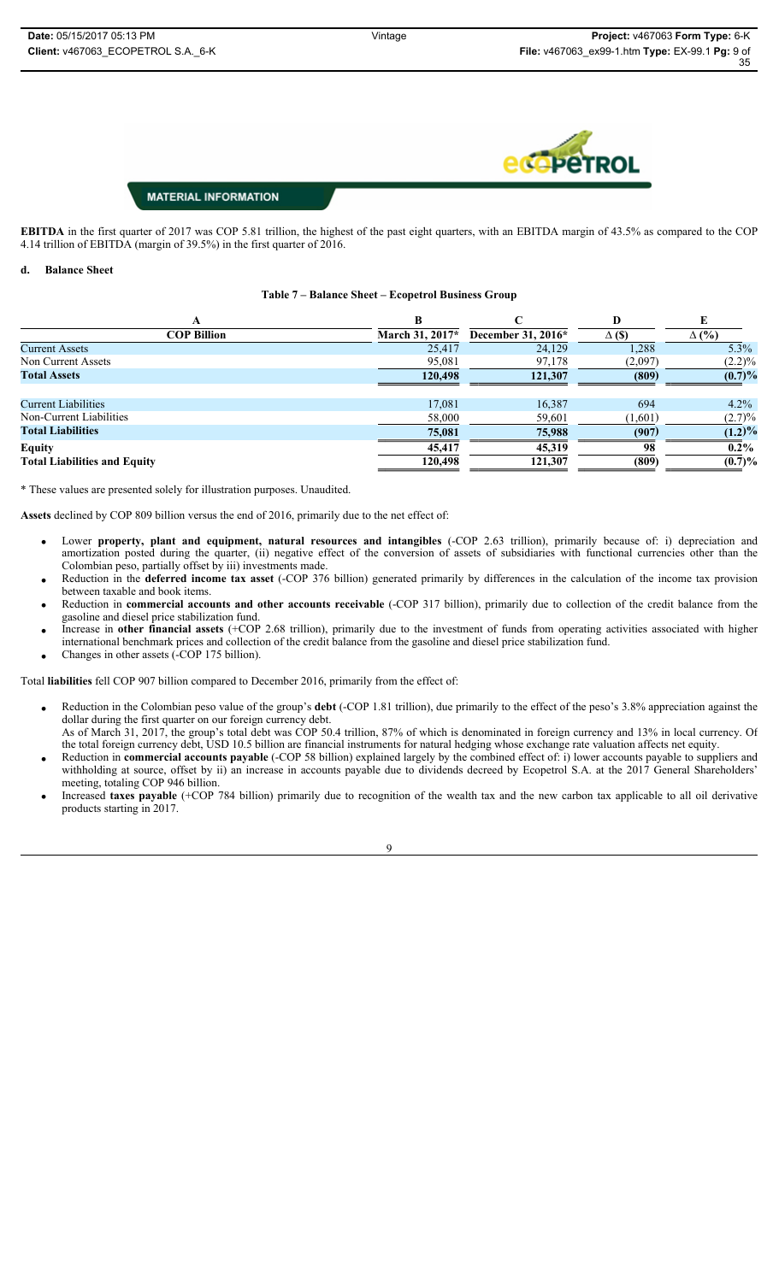# **ecopeTROL**

# **MATERIAL INFORMATION**

**EBITDA** in the first quarter of 2017 was COP 5.81 trillion, the highest of the past eight quarters, with an EBITDA margin of 43.5% as compared to the COP 4.14 trillion of EBITDA (margin of 39.5%) in the first quarter of 2016.

#### **d. Balance Sheet**

#### **Table 7 – Balance Sheet – Ecopetrol Business Group**

| <b>COP Billion</b>                  | March 31, 2017* | December 31, 2016* | $\Delta$ (\$) | $\Delta$ (%) |
|-------------------------------------|-----------------|--------------------|---------------|--------------|
| <b>Current Assets</b>               | 25,417          | 24,129             | .288          | $5.3\%$      |
| Non Current Assets                  | 95,081          | 97,178             | (2,097)       | $(2.2)\%$    |
| <b>Total Assets</b>                 | 120,498         | 121,307            | (809)         | (0.7)%       |
|                                     |                 |                    |               |              |
| <b>Current Liabilities</b>          | 17,081          | 16,387             | 694           | $4.2\%$      |
| Non-Current Liabilities             | 58,000          | 59,601             | (1,601)       | $(2.7)\%$    |
| <b>Total Liabilities</b>            | 75,081          | 75,988             | (907)         | $(1.2)\%$    |
| <b>Equity</b>                       | 45,417          | 45,319             | 98            | $0.2\%$      |
| <b>Total Liabilities and Equity</b> | 120,498         | 121,307            | (809)         | (0.7)%       |

\* These values are presented solely for illustration purposes. Unaudited.

**Assets** declined by COP 809 billion versus the end of 2016, primarily due to the net effect of:

- Lower **property, plant and equipment, natural resources and intangibles** (-COP 2.63 trillion), primarily because of: i) depreciation and amortization posted during the quarter, (ii) negative effect of the conversion of assets of subsidiaries with functional currencies other than the Colombian peso, partially offset by iii) investments made.
- Reduction in the **deferred income tax asset** (-COP 376 billion) generated primarily by differences in the calculation of the income tax provision between taxable and book items.
- x Reduction in **commercial accounts and other accounts receivable** (-COP 317 billion), primarily due to collection of the credit balance from the gasoline and diesel price stabilization fund.
- Increase in **other financial assets** (+COP 2.68 trillion), primarily due to the investment of funds from operating activities associated with higher international benchmark prices and collection of the credit balance from the gasoline and diesel price stabilization fund.
- x Changes in other assets (-COP 175 billion).

Total **liabilities** fell COP 907 billion compared to December 2016, primarily from the effect of:

- Reduction in the Colombian peso value of the group's **debt** (-COP 1.81 trillion), due primarily to the effect of the peso's 3.8% appreciation against the dollar during the first quarter on our foreign currency debt.
- As of March 31, 2017, the group's total debt was COP 50.4 trillion, 87% of which is denominated in foreign currency and 13% in local currency. Of the total foreign currency debt, USD 10.5 billion are financial instruments for natural hedging whose exchange rate valuation affects net equity.
- Reduction in **commercial accounts payable** (-COP 58 billion) explained largely by the combined effect of: i) lower accounts payable to suppliers and withholding at source, offset by ii) an increase in accounts payable due to dividends decreed by Ecopetrol S.A. at the 2017 General Shareholders' meeting, totaling COP 946 billion.
- x Increased **taxes payable** (+COP 784 billion) primarily due to recognition of the wealth tax and the new carbon tax applicable to all oil derivative products starting in 2017.

9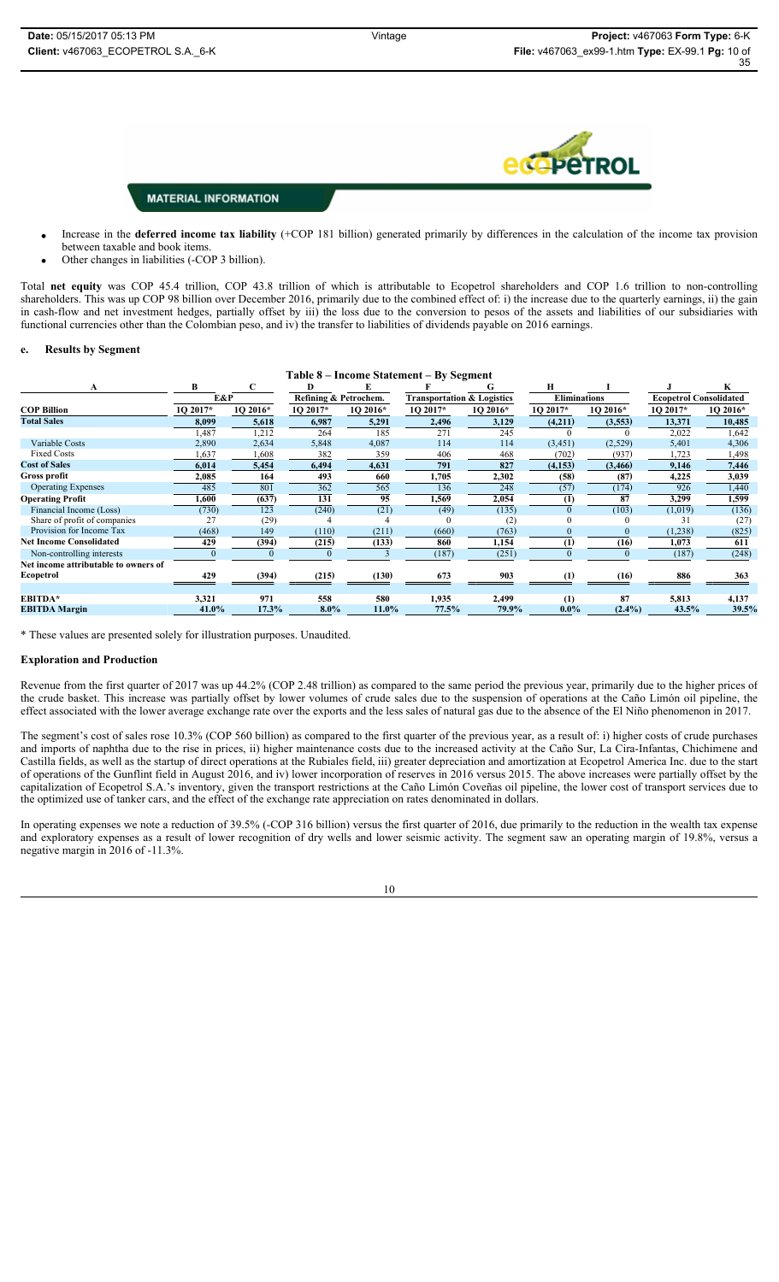

- x Increase in the **deferred income tax liability** (+COP 181 billion) generated primarily by differences in the calculation of the income tax provision between taxable and book items.
- Other changes in liabilities (-COP 3 billion).

Total **net equity** was COP 45.4 trillion, COP 43.8 trillion of which is attributable to Ecopetrol shareholders and COP 1.6 trillion to non-controlling shareholders. This was up COP 98 billion over December 2016, primarily due to the combined effect of: i) the increase due to the quarterly earnings, ii) the gain in cash-flow and net investment hedges, partially offset by iii) the loss due to the conversion to pesos of the assets and liabilities of our subsidiaries with functional currencies other than the Colombian peso, and iv) the transfer to liabilities of dividends payable on 2016 earnings.

#### **e. Results by Segment**

| Table 8 - Income Statement - By Segment |          |          |                       |          |                                       |          |                     |           |                               |          |
|-----------------------------------------|----------|----------|-----------------------|----------|---------------------------------------|----------|---------------------|-----------|-------------------------------|----------|
| A                                       | В        | C        | D                     |          |                                       | G        | н                   |           |                               | K        |
|                                         | E&P      |          | Refining & Petrochem. |          | <b>Transportation &amp; Logistics</b> |          | <b>Eliminations</b> |           | <b>Ecopetrol Consolidated</b> |          |
| <b>COP Billion</b>                      | 1Q 2017* | 1Q 2016* | 1Q 2017*              | 1Q 2016* | 1Q 2017*                              | 1Q 2016* | 1Q 2017*            | 1Q 2016*  | 1Q 2017*                      | 1Q 2016* |
| <b>Total Sales</b>                      | 8,099    | 5,618    | 6,987                 | 5,291    | 2,496                                 | 3,129    | (4,211)             | (3, 553)  | 13,371                        | 10,485   |
|                                         | l.487    | 1,212    | 264                   | 185      | 271                                   | 245      |                     |           | 2,022                         | 1,642    |
| Variable Costs                          | 2,890    | 2,634    | 5,848                 | 4,087    | 114                                   | 114      | (3, 451)            | (2, 529)  | 5,401                         | 4,306    |
| <b>Fixed Costs</b>                      | 1,637    | 1,608    | 382                   | 359      | 406                                   | 468      | (702)               | (937)     | ,723                          | 1,498    |
| <b>Cost of Sales</b>                    | 6,014    | 5,454    | 6,494                 | 4,631    | 791                                   | 827      | (4, 153)            | (3, 466)  | 9,146                         | 7,446    |
| Gross profit                            | 2,085    | 164      | 493                   | 660      | 1,705                                 | 2,302    | (58)                | (87)      | 4,225                         | 3,039    |
| <b>Operating Expenses</b>               | 485      | 801      | 362                   | 565      | 136                                   | 248      | (57)                | (174)     | 926                           | 1,440    |
| <b>Operating Profit</b>                 | 1,600    | (637)    | 131                   | 95       | 1,569                                 | 2,054    |                     | 87        | 3,299                         | 1,599    |
| Financial Income (Loss)                 | (730)    | 123      | (240)                 | (21)     | (49)                                  | (135)    |                     | (103)     | (1,019)                       | (136)    |
| Share of profit of companies            | 27       | (29)     |                       |          |                                       | (2)      |                     |           | 31                            | (27)     |
| Provision for Income Tax                | (468)    | 149      | (110)                 | (211)    | (660)                                 | (763)    |                     |           | (1,238)                       | (825)    |
| <b>Net Income Consolidated</b>          | 429      | (394)    | (215)                 | (133)    | 860                                   | 1,154    |                     | (16)      | 1,073                         | 611      |
| Non-controlling interests               |          |          |                       |          | (187)                                 | (251)    |                     |           | (187)                         | (248)    |
| Net income attributable to owners of    |          |          |                       |          |                                       |          |                     |           |                               |          |
| Ecopetrol                               | 429      | (394)    | (215)                 | (130)    | 673                                   | 903      |                     | (16)      | 886                           | 363      |
|                                         |          |          |                       |          |                                       |          |                     |           |                               |          |
| EBITDA*                                 | 3,321    | 971      | 558                   | 580      | 1,935                                 | 2,499    | (1)                 | 87        | 5,813                         | 4,137    |
| <b>EBITDA Margin</b>                    | 41.0%    | 17.3%    | $8.0\%$               | $11.0\%$ | 77.5%                                 | 79.9%    | $0.0\%$             | $(2.4\%)$ | 43.5%                         | 39.5%    |

\* These values are presented solely for illustration purposes. Unaudited.

#### **Exploration and Production**

Revenue from the first quarter of 2017 was up 44.2% (COP 2.48 trillion) as compared to the same period the previous year, primarily due to the higher prices of the crude basket. This increase was partially offset by lower volumes of crude sales due to the suspension of operations at the Caño Limón oil pipeline, the effect associated with the lower average exchange rate over the exports and the less sales of natural gas due to the absence of the El Niño phenomenon in 2017.

The segment's cost of sales rose 10.3% (COP 560 billion) as compared to the first quarter of the previous year, as a result of: i) higher costs of crude purchases and imports of naphtha due to the rise in prices, ii) higher maintenance costs due to the increased activity at the Caño Sur, La Cira-Infantas, Chichimene and Castilla fields, as well as the startup of direct operations at the Rubiales field, iii) greater depreciation and amortization at Ecopetrol America Inc. due to the start of operations of the Gunflint field in August 2016, and iv) lower incorporation of reserves in 2016 versus 2015. The above increases were partially offset by the capitalization of Ecopetrol S.A.'s inventory, given the transport restrictions at the Caño Limón Coveñas oil pipeline, the lower cost of transport services due to the optimized use of tanker cars, and the effect of the exchange rate appreciation on rates denominated in dollars.

In operating expenses we note a reduction of 39.5% (-COP 316 billion) versus the first quarter of 2016, due primarily to the reduction in the wealth tax expense and exploratory expenses as a result of lower recognition of dry wells and lower seismic activity. The segment saw an operating margin of 19.8%, versus a negative margin in 2016 of -11.3%.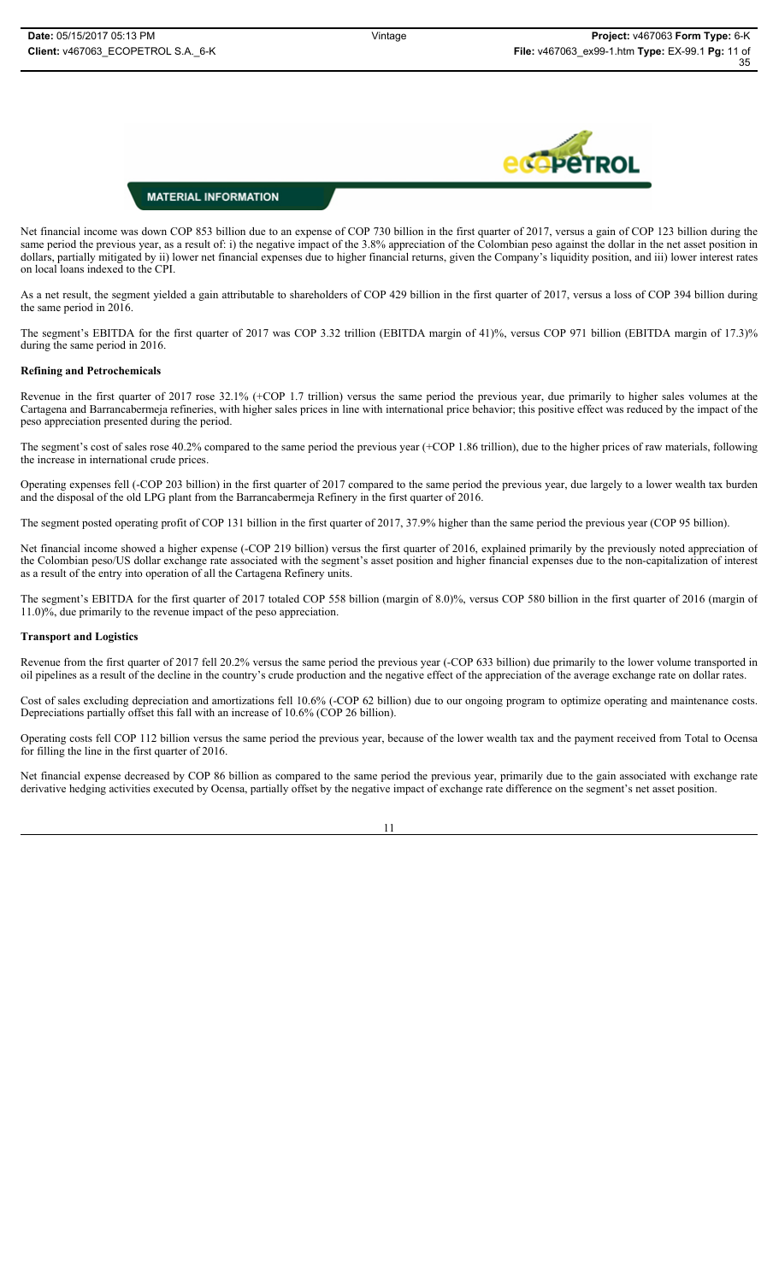

Net financial income was down COP 853 billion due to an expense of COP 730 billion in the first quarter of 2017, versus a gain of COP 123 billion during the same period the previous year, as a result of: i) the negative impact of the 3.8% appreciation of the Colombian peso against the dollar in the net asset position in dollars, partially mitigated by ii) lower net financial expenses due to higher financial returns, given the Company's liquidity position, and iii) lower interest rates on local loans indexed to the CPI.

As a net result, the segment yielded a gain attributable to shareholders of COP 429 billion in the first quarter of 2017, versus a loss of COP 394 billion during the same period in 2016.

The segment's EBITDA for the first quarter of 2017 was COP 3.32 trillion (EBITDA margin of 41)%, versus COP 971 billion (EBITDA margin of 17.3)% during the same period in 2016.

#### **Refining and Petrochemicals**

Revenue in the first quarter of 2017 rose 32.1% (+COP 1.7 trillion) versus the same period the previous year, due primarily to higher sales volumes at the Cartagena and Barrancabermeja refineries, with higher sales prices in line with international price behavior; this positive effect was reduced by the impact of the peso appreciation presented during the period.

The segment's cost of sales rose 40.2% compared to the same period the previous year (+COP 1.86 trillion), due to the higher prices of raw materials, following the increase in international crude prices.

Operating expenses fell (-COP 203 billion) in the first quarter of 2017 compared to the same period the previous year, due largely to a lower wealth tax burden and the disposal of the old LPG plant from the Barrancabermeja Refinery in the first quarter of 2016.

The segment posted operating profit of COP 131 billion in the first quarter of 2017, 37.9% higher than the same period the previous year (COP 95 billion).

Net financial income showed a higher expense (-COP 219 billion) versus the first quarter of 2016, explained primarily by the previously noted appreciation of the Colombian peso/US dollar exchange rate associated with the segment's asset position and higher financial expenses due to the non-capitalization of interest as a result of the entry into operation of all the Cartagena Refinery units.

The segment's EBITDA for the first quarter of 2017 totaled COP 558 billion (margin of 8.0)%, versus COP 580 billion in the first quarter of 2016 (margin of 11.0)%, due primarily to the revenue impact of the peso appreciation.

## **Transport and Logistics**

Revenue from the first quarter of 2017 fell 20.2% versus the same period the previous year (-COP 633 billion) due primarily to the lower volume transported in oil pipelines as a result of the decline in the country's crude production and the negative effect of the appreciation of the average exchange rate on dollar rates.

Cost of sales excluding depreciation and amortizations fell 10.6% (-COP 62 billion) due to our ongoing program to optimize operating and maintenance costs. Depreciations partially offset this fall with an increase of 10.6% (COP 26 billion).

Operating costs fell COP 112 billion versus the same period the previous year, because of the lower wealth tax and the payment received from Total to Ocensa for filling the line in the first quarter of 2016.

Net financial expense decreased by COP 86 billion as compared to the same period the previous year, primarily due to the gain associated with exchange rate derivative hedging activities executed by Ocensa, partially offset by the negative impact of exchange rate difference on the segment's net asset position.

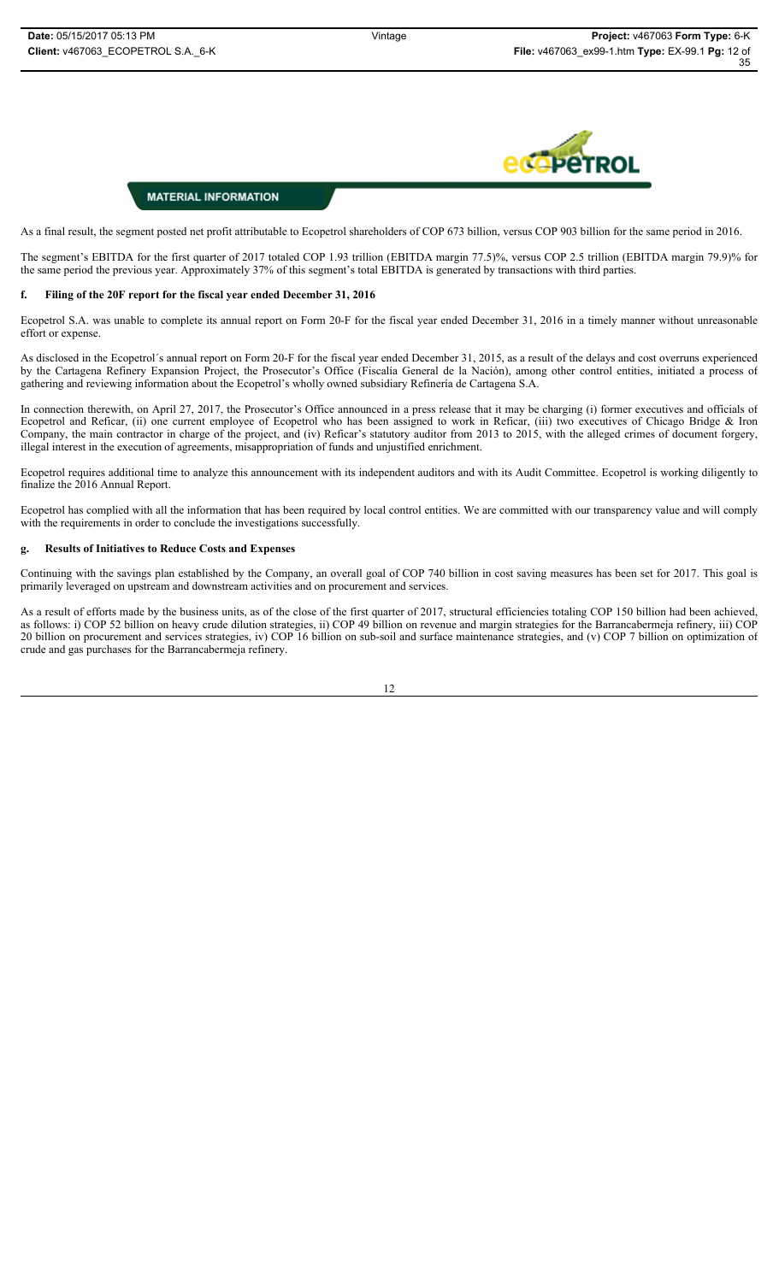

As a final result, the segment posted net profit attributable to Ecopetrol shareholders of COP 673 billion, versus COP 903 billion for the same period in 2016.

The segment's EBITDA for the first quarter of 2017 totaled COP 1.93 trillion (EBITDA margin 77.5)%, versus COP 2.5 trillion (EBITDA margin 79.9)% for the same period the previous year. Approximately 37% of this segment's total EBITDA is generated by transactions with third parties.

#### **f. Filing of the 20F report for the fiscal year ended December 31, 2016**

Ecopetrol S.A. was unable to complete its annual report on Form 20-F for the fiscal year ended December 31, 2016 in a timely manner without unreasonable effort or expense.

As disclosed in the Ecopetrol´s annual report on Form 20-F for the fiscal year ended December 31, 2015, as a result of the delays and cost overruns experienced by the Cartagena Refinery Expansion Project, the Prosecutor's Office (Fiscalía General de la Nación), among other control entities, initiated a process of gathering and reviewing information about the Ecopetrol's wholly owned subsidiary Refinería de Cartagena S.A.

In connection therewith, on April 27, 2017, the Prosecutor's Office announced in a press release that it may be charging (i) former executives and officials of Ecopetrol and Reficar, (ii) one current employee of Ecopetrol who has been assigned to work in Reficar, (iii) two executives of Chicago Bridge & Iron Company, the main contractor in charge of the project, and (iv) Reficar's statutory auditor from 2013 to 2015, with the alleged crimes of document forgery, illegal interest in the execution of agreements, misappropriation of funds and unjustified enrichment.

Ecopetrol requires additional time to analyze this announcement with its independent auditors and with its Audit Committee. Ecopetrol is working diligently to finalize the 2016 Annual Report.

Ecopetrol has complied with all the information that has been required by local control entities. We are committed with our transparency value and will comply with the requirements in order to conclude the investigations successfully.

#### **g. Results of Initiatives to Reduce Costs and Expenses**

Continuing with the savings plan established by the Company, an overall goal of COP 740 billion in cost saving measures has been set for 2017. This goal is primarily leveraged on upstream and downstream activities and on procurement and services.

As a result of efforts made by the business units, as of the close of the first quarter of 2017, structural efficiencies totaling COP 150 billion had been achieved, as follows: i) COP 52 billion on heavy crude dilution strategies, ii) COP 49 billion on revenue and margin strategies for the Barrancabermeja refinery, iii) COP 20 billion on procurement and services strategies, iv) COP 16 billion on sub-soil and surface maintenance strategies, and (v) COP 7 billion on optimization of crude and gas purchases for the Barrancabermeja refinery.

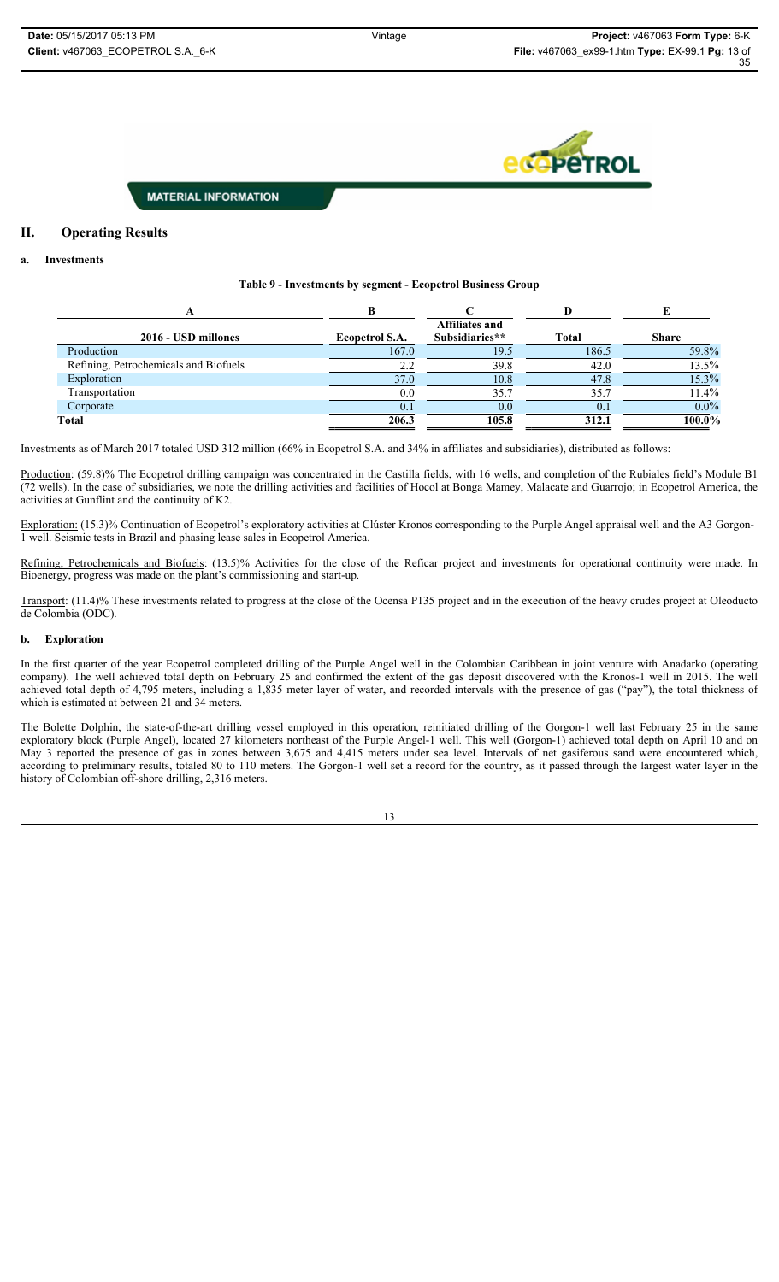# **edd PetROL**

**MATERIAL INFORMATION** 

# **II. Operating Results**

## **a. Investments**

#### **Table 9 - Investments by segment - Ecopetrol Business Group**

| 2016 - USD millones                   | <b>Ecopetrol S.A.</b> | <b>Affiliates and</b><br>Subsidiaries** | Total | <b>Share</b> |
|---------------------------------------|-----------------------|-----------------------------------------|-------|--------------|
| Production                            | 167.0                 | 19.5                                    | 186.5 | 59.8%        |
| Refining, Petrochemicals and Biofuels |                       | 39.8                                    | 42.0  | 13.5%        |
| Exploration                           | 37.0                  | 10.8                                    | 47.8  | 15.3%        |
| Transportation                        | 0.0                   | 35.7                                    | 35.7  | 11.4%        |
| Corporate                             |                       | 0.0                                     | U.I   | $0.0\%$      |
| <b>Total</b>                          | 206.3                 | 105.8                                   | 312.1 | 100.0%       |

Investments as of March 2017 totaled USD 312 million (66% in Ecopetrol S.A. and 34% in affiliates and subsidiaries), distributed as follows:

Production: (59.8)% The Ecopetrol drilling campaign was concentrated in the Castilla fields, with 16 wells, and completion of the Rubiales field's Module B1 (72 wells). In the case of subsidiaries, we note the drilling activities and facilities of Hocol at Bonga Mamey, Malacate and Guarrojo; in Ecopetrol America, the activities at Gunflint and the continuity of K2.

Exploration: (15.3)% Continuation of Ecopetrol's exploratory activities at Clúster Kronos corresponding to the Purple Angel appraisal well and the A3 Gorgon-1 well. Seismic tests in Brazil and phasing lease sales in Ecopetrol America.

Refining, Petrochemicals and Biofuels: (13.5)% Activities for the close of the Reficar project and investments for operational continuity were made. In Bioenergy, progress was made on the plant's commissioning and start-up.

Transport: (11.4)% These investments related to progress at the close of the Ocensa P135 project and in the execution of the heavy crudes project at Oleoducto de Colombia (ODC).

#### **b. Exploration**

In the first quarter of the year Ecopetrol completed drilling of the Purple Angel well in the Colombian Caribbean in joint venture with Anadarko (operating company). The well achieved total depth on February 25 and confirmed the extent of the gas deposit discovered with the Kronos-1 well in 2015. The well achieved total depth of 4,795 meters, including a 1,835 meter layer of water, and recorded intervals with the presence of gas ("pay"), the total thickness of which is estimated at between 21 and 34 meters.

The Bolette Dolphin, the state-of-the-art drilling vessel employed in this operation, reinitiated drilling of the Gorgon-1 well last February 25 in the same exploratory block (Purple Angel), located 27 kilometers northeast of the Purple Angel-1 well. This well (Gorgon-1) achieved total depth on April 10 and on May 3 reported the presence of gas in zones between 3,675 and 4,415 meters under sea level. Intervals of net gasiferous sand were encountered which, according to preliminary results, totaled 80 to 110 meters. The Gorgon-1 well set a record for the country, as it passed through the largest water layer in the history of Colombian off-shore drilling, 2,316 meters.

13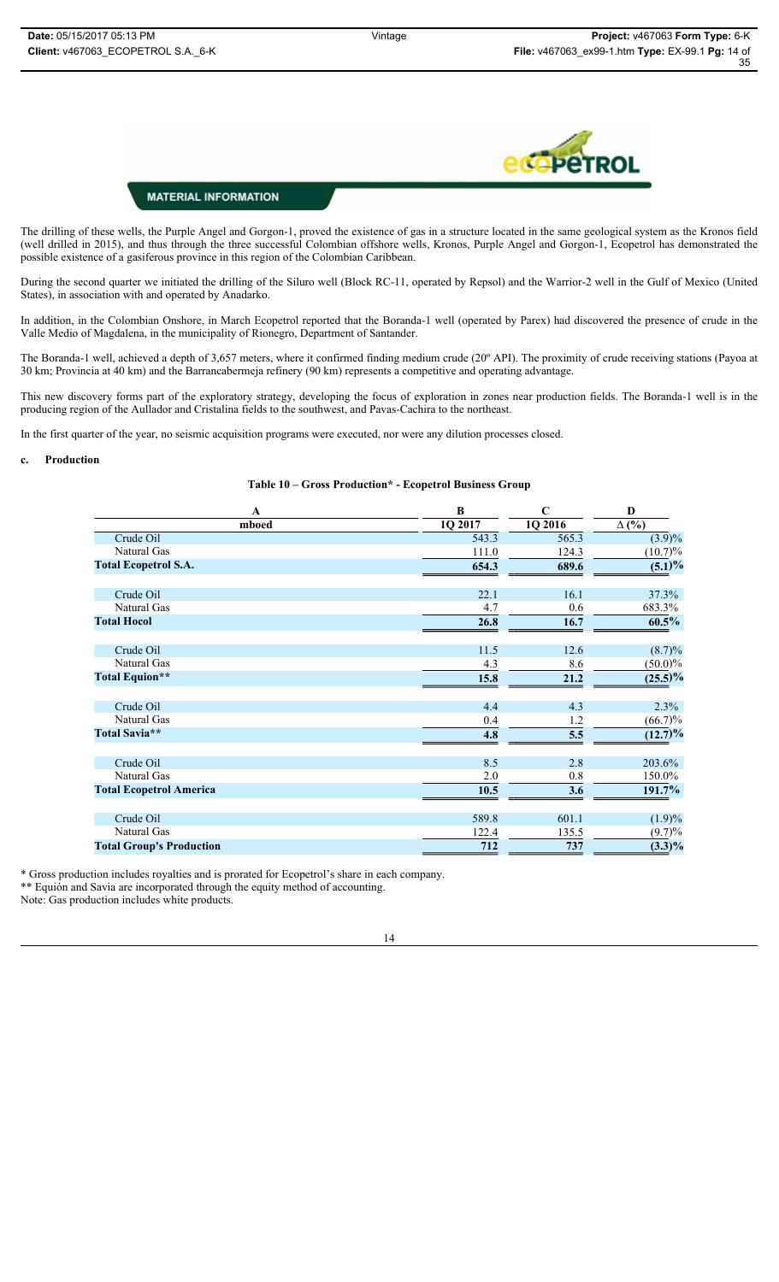

The drilling of these wells, the Purple Angel and Gorgon-1, proved the existence of gas in a structure located in the same geological system as the Kronos field (well drilled in 2015), and thus through the three successful Colombian offshore wells, Kronos, Purple Angel and Gorgon-1, Ecopetrol has demonstrated the possible existence of a gasiferous province in this region of the Colombian Caribbean.

During the second quarter we initiated the drilling of the Siluro well (Block RC-11, operated by Repsol) and the Warrior-2 well in the Gulf of Mexico (United States), in association with and operated by Anadarko.

In addition, in the Colombian Onshore, in March Ecopetrol reported that the Boranda-1 well (operated by Parex) had discovered the presence of crude in the Valle Medio of Magdalena, in the municipality of Rionegro, Department of Santander.

The Boranda-1 well, achieved a depth of 3,657 meters, where it confirmed finding medium crude (20º API). The proximity of crude receiving stations (Payoa at 30 km; Provincia at 40 km) and the Barrancabermeja refinery (90 km) represents a competitive and operating advantage.

This new discovery forms part of the exploratory strategy, developing the focus of exploration in zones near production fields. The Boranda-1 well is in the producing region of the Aullador and Cristalina fields to the southwest, and Pavas-Cachira to the northeast.

In the first quarter of the year, no seismic acquisition programs were executed, nor were any dilution processes closed.

#### **c. Production**

#### **Table 10 – Gross Production\* - Ecopetrol Business Group**

| $\mathbf{A}$                    | B       | $\mathbf C$         | $\bf{D}$              |
|---------------------------------|---------|---------------------|-----------------------|
| mboed                           | 1Q 2017 | $1Q\overline{2016}$ | $\Delta$ (%)          |
| Crude Oil                       | 543.3   | 565.3               | $(3.9)\%$             |
| Natural Gas                     | 111.0   | 124.3               | $(10.7)\%$            |
| <b>Total Ecopetrol S.A.</b>     | 654.3   | 689.6               | (5.1)%                |
| Crude Oil                       | 22.1    | 16.1                | 37.3%                 |
| Natural Gas                     | 4.7     | 0.6                 | 683.3%                |
| <b>Total Hocol</b>              | 26.8    | 16.7                | $\overline{60.5}$ %   |
| Crude Oil                       | 11.5    | 12.6                | $(8.7)\%$             |
| Natural Gas                     | 4.3     | 8.6                 | $(50.0)\%$            |
| <b>Total Equion**</b>           | 15.8    | 21.2                | $(25.5)\%$            |
|                                 |         |                     |                       |
| Crude Oil                       | 4.4     | 4.3                 | 2.3%                  |
| Natural Gas                     | 0.4     | 1.2                 | $(66.7)\%$            |
| Total Savia**                   | 4.8     | 5.5                 | $\overline{(12.7)}\%$ |
| Crude Oil                       | 8.5     | 2.8                 | 203.6%                |
| Natural Gas                     | 2.0     | 0.8                 | 150.0%                |
| <b>Total Ecopetrol America</b>  | 10.5    | 3.6                 | 191.7%                |
| Crude Oil                       | 589.8   | 601.1               | (1.9)%                |
| Natural Gas                     | 122.4   | 135.5               | $(9.7)\%$             |
| <b>Total Group's Production</b> | 712     | 737                 | $(3.3)\%$             |

\* Gross production includes royalties and is prorated for Ecopetrol's share in each company. \*\* Equión and Savia are incorporated through the equity method of accounting.

Note: Gas production includes white products.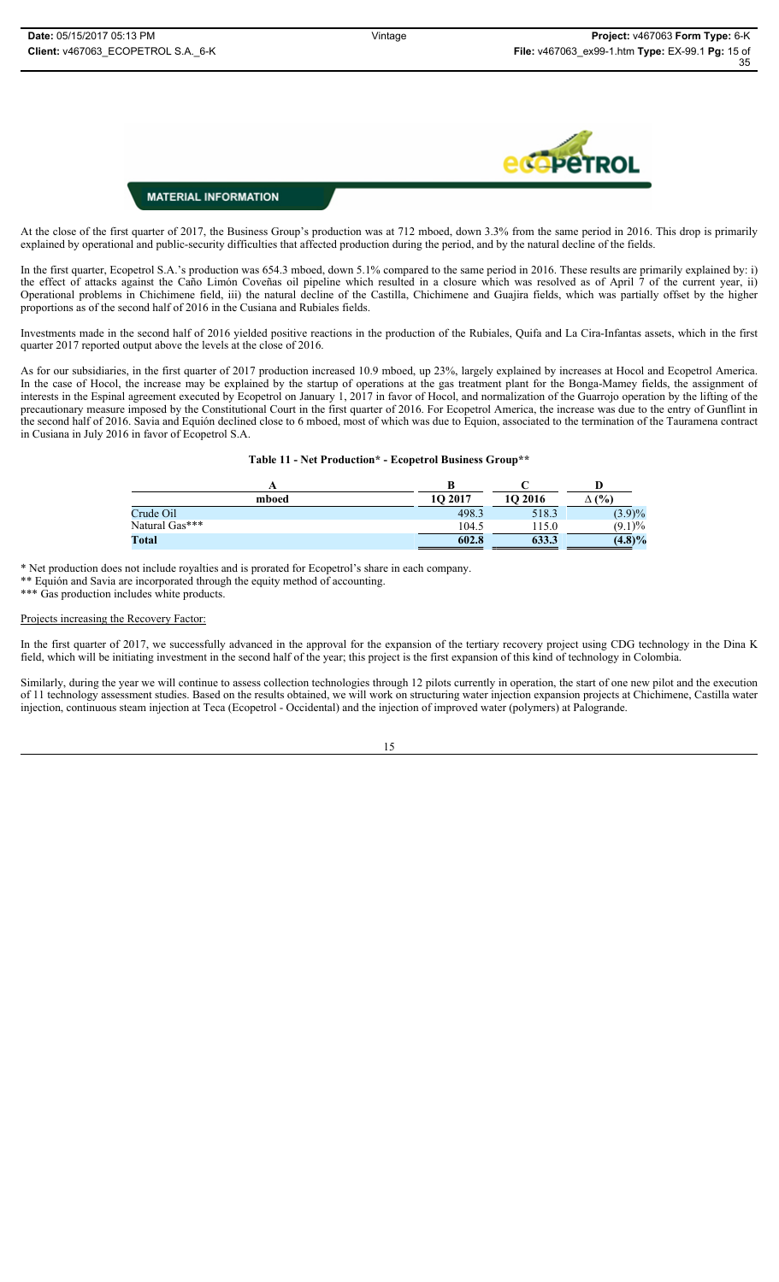

At the close of the first quarter of 2017, the Business Group's production was at 712 mboed, down 3.3% from the same period in 2016. This drop is primarily explained by operational and public-security difficulties that affected production during the period, and by the natural decline of the fields.

In the first quarter, Ecopetrol S.A.'s production was 654.3 mboed, down 5.1% compared to the same period in 2016. These results are primarily explained by: i) the effect of attacks against the Caño Limón Coveñas oil pipeline which resulted in a closure which was resolved as of April 7 of the current year, ii) Operational problems in Chichimene field, iii) the natural decline of the Castilla, Chichimene and Guajira fields, which was partially offset by the higher proportions as of the second half of 2016 in the Cusiana and Rubiales fields.

Investments made in the second half of 2016 yielded positive reactions in the production of the Rubiales, Quifa and La Cira-Infantas assets, which in the first quarter 2017 reported output above the levels at the close of 2016.

As for our subsidiaries, in the first quarter of 2017 production increased 10.9 mboed, up 23%, largely explained by increases at Hocol and Ecopetrol America. In the case of Hocol, the increase may be explained by the startup of operations at the gas treatment plant for the Bonga-Mamey fields, the assignment of interests in the Espinal agreement executed by Ecopetrol on January 1, 2017 in favor of Hocol, and normalization of the Guarrojo operation by the lifting of the precautionary measure imposed by the Constitutional Court in the first quarter of 2016. For Ecopetrol America, the increase was due to the entry of Gunflint in the second half of 2016. Savia and Equión declined close to 6 mboed, most of which was due to Equion, associated to the termination of the Tauramena contract in Cusiana in July 2016 in favor of Ecopetrol S.A.

#### **Table 11 - Net Production\* - Ecopetrol Business Group\*\***

| mboed          | 10 2017 | 1O 2016 | (%)              |
|----------------|---------|---------|------------------|
| Crude Oil      | 498.3   | 518.3   | (3.9)%           |
| Natural Gas*** | 104.5   | 115.0   | $1) \%$<br>(9.1) |
| Total          | 602.8   | 633.3   | $(4.8)\%$        |

\* Net production does not include royalties and is prorated for Ecopetrol's share in each company.

\*\* Equión and Savia are incorporated through the equity method of accounting.

\*\*\* Gas production includes white products.

Projects increasing the Recovery Factor:

In the first quarter of 2017, we successfully advanced in the approval for the expansion of the tertiary recovery project using CDG technology in the Dina K field, which will be initiating investment in the second half of the year; this project is the first expansion of this kind of technology in Colombia.

Similarly, during the year we will continue to assess collection technologies through 12 pilots currently in operation, the start of one new pilot and the execution of 11 technology assessment studies. Based on the results obtained, we will work on structuring water injection expansion projects at Chichimene, Castilla water injection, continuous steam injection at Teca (Ecopetrol - Occidental) and the injection of improved water (polymers) at Palogrande.

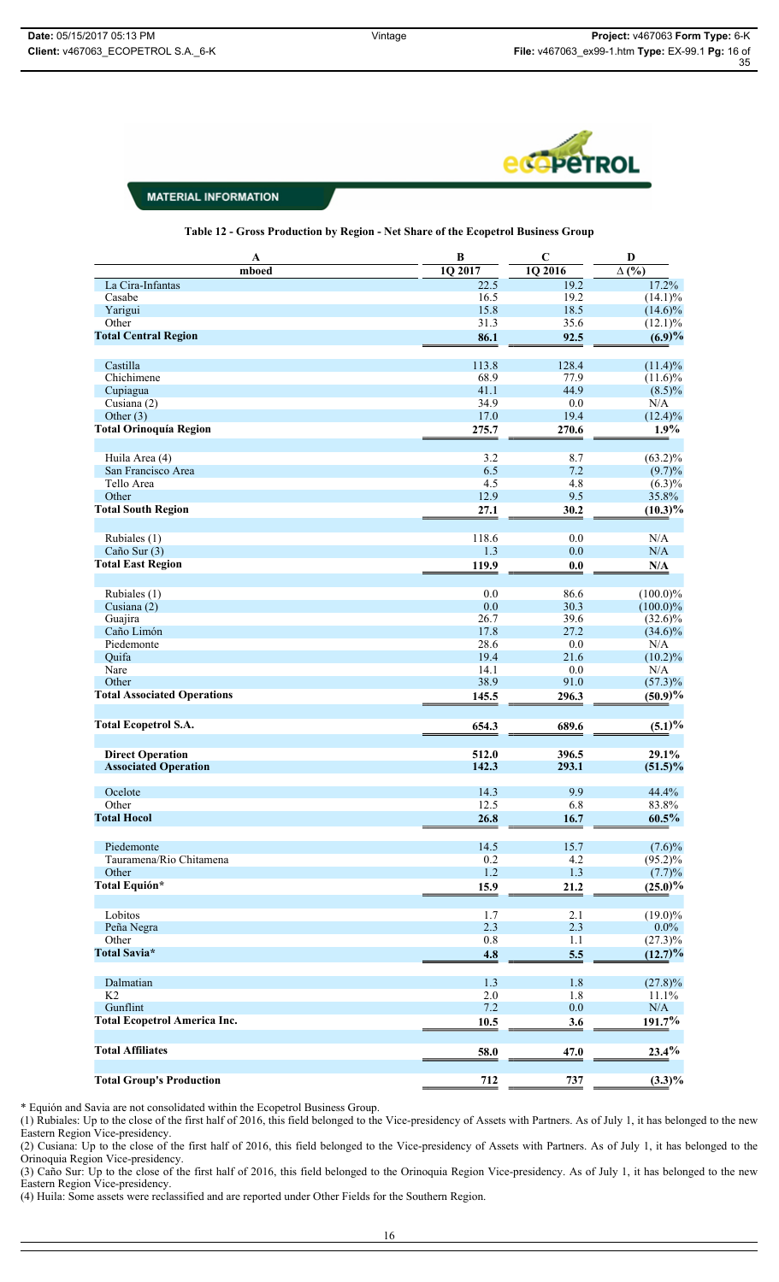

**Table 12 - Gross Production by Region - Net Share of the Ecopetrol Business Group**

| $\mathbf A$                         | $\, {\bf B}$ | $\mathbf C$ | $\mathbf D$             |
|-------------------------------------|--------------|-------------|-------------------------|
| mboed                               | 1Q 2017      | 1Q 2016     | $\overline{\Delta(\%)}$ |
| La Cira-Infantas                    | 22.5         | 19.2        | 17.2%                   |
| Casabe                              | 16.5         | 19.2        | $(14.1)\%$              |
| Yarigui                             | 15.8         | 18.5        | $(14.6)\%$              |
| Other                               | 31.3         | 35.6        | $(12.1)\%$              |
| <b>Total Central Region</b>         | 86.1         | 92.5        | (6.9)%                  |
|                                     |              |             |                         |
| Castilla                            | 113.8        | 128.4       | $(11.4)\%$              |
| Chichimene                          | 68.9         | 77.9        | $(11.6)\%$              |
| Cupiagua                            | 41.1         | 44.9        | $(8.5)\%$               |
| Cusiana (2)                         | 34.9         | 0.0         | $\rm N/A$               |
| Other $(3)$                         | 17.0         | 19.4        | $(12.4)\%$              |
| <b>Total Orinoquía Region</b>       | 275.7        | 270.6       | $1.9\%$                 |
|                                     |              |             |                         |
| Huila Area (4)                      | 3.2          | 8.7         | $(63.2)\%$              |
| San Francisco Area                  | 6.5          | $7.2\,$     | $(9.7)\%$               |
| Tello Area                          | 4.5          | 4.8         | $(6.3)\%$               |
| Other                               | 12.9         | 9.5         | 35.8%                   |
| <b>Total South Region</b>           | 27.1         | 30.2        | $(10.3)\%$              |
|                                     |              |             |                         |
| Rubiales (1)                        | 118.6        | 0.0         | N/A                     |
| Caño Sur (3)                        | 1.3          | 0.0         | N/A                     |
|                                     |              |             |                         |
| <b>Total East Region</b>            | 119.9        | 0.0         | N/A                     |
|                                     |              |             |                         |
| Rubiales (1)                        | 0.0          | 86.6        | $(100.0)\%$             |
| Cusiana (2)                         | 0.0          | 30.3        | $(100.0)\%$             |
| Guajira                             | 26.7         | 39.6        | $(32.6)\%$              |
| Caño Limón                          | 17.8         | 27.2        | $(34.6)\%$              |
| Piedemonte                          | 28.6         | 0.0         | N/A                     |
| Quifa                               | 19.4         | 21.6        | $(10.2)\%$              |
| Nare<br>Other                       | 14.1         | 0.0         | $\rm N/A$               |
|                                     | 38.9         | 91.0        | $(57.3)\%$              |
| <b>Total Associated Operations</b>  | 145.5        | 296.3       | $(50.9)\%$              |
| <b>Total Ecopetrol S.A.</b>         | 654.3        | 689.6       | (5.1)%                  |
|                                     |              |             |                         |
| <b>Direct Operation</b>             | 512.0        | 396.5       | 29.1%                   |
| <b>Associated Operation</b>         | 142.3        | 293.1       | $(51.5)\%$              |
| Ocelote                             | 14.3         | 9.9         | 44.4%                   |
| Other                               | 12.5         | 6.8         | 83.8%                   |
| <b>Total Hocol</b>                  |              |             |                         |
|                                     | 26.8         | 16.7        | $60.5\%$                |
|                                     |              |             |                         |
| Piedemonte                          | 14.5         | 15.7        | $(7.6)\%$               |
| Tauramena/Rio Chitamena<br>Other    | 0.2          | 4.2         | $(95.2)\%$              |
| Total Equión*                       | $1.2$        | 1.3         | (7.7)%                  |
|                                     | 15.9         | 21.2        | $(25.0)\%$              |
|                                     |              |             |                         |
| Lobitos                             | 1.7          | 2.1         | $(19.0)\%$              |
| Peña Negra                          | 2.3          | 2.3         | $0.0\%$                 |
| Other                               | $0.8\,$      | 1.1         | $(27.3)\%$              |
| Total Savia*                        | 4.8          | 5.5         | (12.7)%                 |
|                                     |              |             |                         |
| Dalmatian                           | 1.3          | 1.8         | $(27.8)\%$              |
| K2                                  | $2.0\,$      | 1.8         | 11.1%                   |
| Gunflint                            | $7.2\,$      | 0.0         | $\rm N/A$               |
| <b>Total Ecopetrol America Inc.</b> | 10.5         | 3.6         | 191.7%                  |
|                                     |              |             |                         |
| <b>Total Affiliates</b>             | 58.0         | 47.0        | 23.4%                   |
|                                     |              |             |                         |
| <b>Total Group's Production</b>     | 712          | 737         | $(3.3)\%$               |

\* Equión and Savia are not consolidated within the Ecopetrol Business Group.

(1) Rubiales: Up to the close of the first half of 2016, this field belonged to the Vice-presidency of Assets with Partners. As of July 1, it has belonged to the new Eastern Region Vice-presidency. (2) Cusiana: Up to the close of the first half of 2016, this field belonged to the Vice-presidency of Assets with Partners. As of July 1, it has belonged to the

Orinoquia Region Vice-presidency. (3) Caño Sur: Up to the close of the first half of 2016, this field belonged to the Orinoquia Region Vice-presidency. As of July 1, it has belonged to the new

Eastern Region Vice-presidency.

(4) Huila: Some assets were reclassified and are reported under Other Fields for the Southern Region.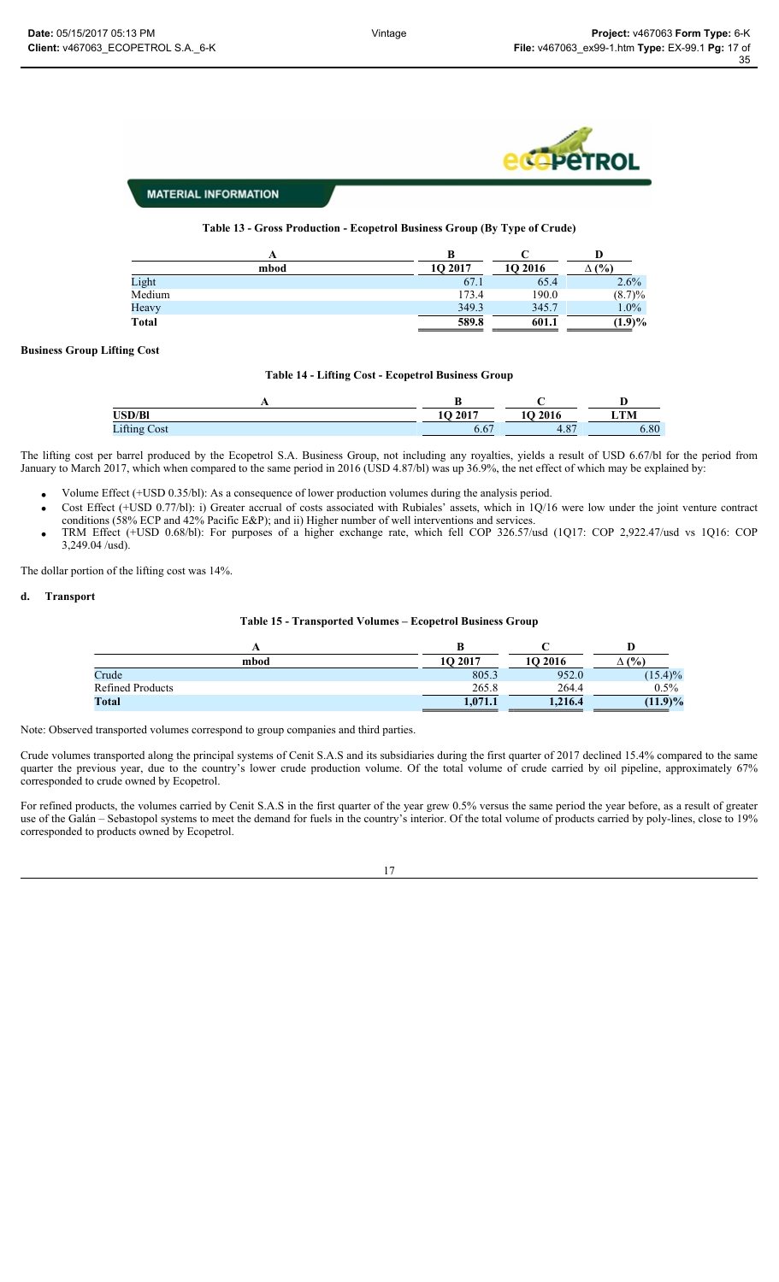

## **Table 13 - Gross Production - Ecopetrol Business Group (By Type of Crude)**

| mbod         | 10 2017 | 10 2016 | (%)       |
|--------------|---------|---------|-----------|
| Light        | 67.1    | 65.4    | $2.6\%$   |
| Medium       | 173.4   | 190.0   | $(8.7)\%$ |
| Heavy        | 349.3   | 345.7   | $1.0\%$   |
| <b>Total</b> | 589.8   | 601.1   | $(1.9)\%$ |

#### **Business Group Lifting Cost**

#### **Table 14 - Lifting Cost - Ecopetrol Business Group**

| <b>USD/Bl</b>   | 10 2017           | 2016             | <b>TM</b>        |
|-----------------|-------------------|------------------|------------------|
| Lifting<br>Cost | $\sqrt{2}$<br>U.U | $\Omega$<br>т. о | $\Omega$<br>d.ðu |

The lifting cost per barrel produced by the Ecopetrol S.A. Business Group, not including any royalties, yields a result of USD 6.67/bl for the period from January to March 2017, which when compared to the same period in 2016 (USD 4.87/bl) was up 36.9%, the net effect of which may be explained by:

- Volume Effect (+USD 0.35/bl): As a consequence of lower production volumes during the analysis period.
- x Cost Effect (+USD 0.77/bl): i) Greater accrual of costs associated with Rubiales' assets, which in 1Q/16 were low under the joint venture contract conditions (58% ECP and 42% Pacific E&P); and ii) Higher number of well interventions and services.
- x TRM Effect (+USD 0.68/bl): For purposes of a higher exchange rate, which fell COP 326.57/usd (1Q17: COP 2,922.47/usd vs 1Q16: COP 3,249.04 /usd).

The dollar portion of the lifting cost was 14%.

#### **d. Transport**

#### **Table 15 - Transported Volumes – Ecopetrol Business Group**

| mbod                    | 10 2017 | 10 2016 | $\Delta$ (%) |
|-------------------------|---------|---------|--------------|
| Crude                   | 805.3   | 952.0   | $(15.4)\%$   |
| <b>Refined Products</b> | 265.8   | 264.4   | $0.5\%$      |
| <b>Total</b>            | 1,071.1 | 1,216.4 | $(11.9)\%$   |

Note: Observed transported volumes correspond to group companies and third parties.

Crude volumes transported along the principal systems of Cenit S.A.S and its subsidiaries during the first quarter of 2017 declined 15.4% compared to the same quarter the previous year, due to the country's lower crude production volume. Of the total volume of crude carried by oil pipeline, approximately 67% corresponded to crude owned by Ecopetrol.

For refined products, the volumes carried by Cenit S.A.S in the first quarter of the year grew 0.5% versus the same period the year before, as a result of greater use of the Galán – Sebastopol systems to meet the demand for fuels in the country's interior. Of the total volume of products carried by poly-lines, close to 19% corresponded to products owned by Ecopetrol.

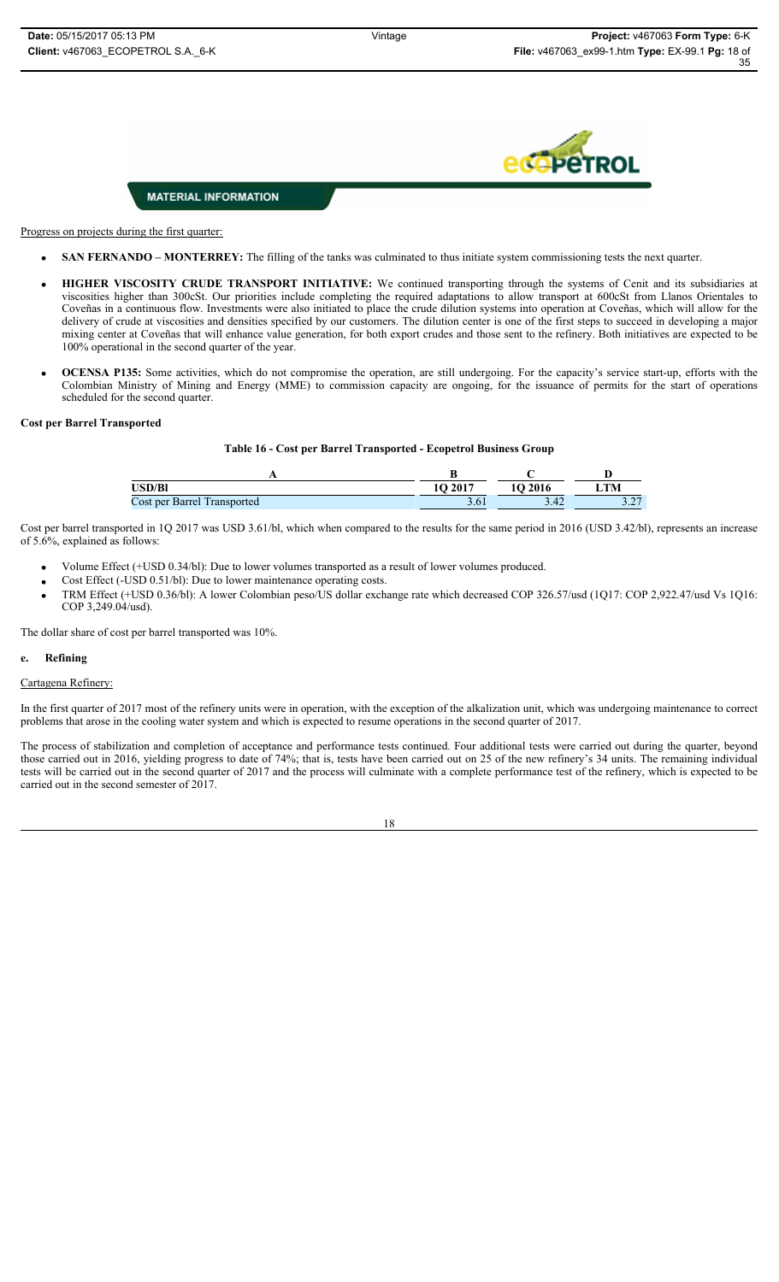

Progress on projects during the first quarter:

- **SAN FERNANDO MONTERREY:** The filling of the tanks was culminated to thus initiate system commissioning tests the next quarter.
- x **HIGHER VISCOSITY CRUDE TRANSPORT INITIATIVE:** We continued transporting through the systems of Cenit and its subsidiaries at viscosities higher than 300cSt. Our priorities include completing the required adaptations to allow transport at 600cSt from Llanos Orientales to Coveñas in a continuous flow. Investments were also initiated to place the crude dilution systems into operation at Coveñas, which will allow for the delivery of crude at viscosities and densities specified by our customers. The dilution center is one of the first steps to succeed in developing a major mixing center at Coveñas that will enhance value generation, for both export crudes and those sent to the refinery. Both initiatives are expected to be 100% operational in the second quarter of the year.
- **OCENSA P135:** Some activities, which do not compromise the operation, are still undergoing. For the capacity's service start-up, efforts with the Colombian Ministry of Mining and Energy (MME) to commission capacity are ongoing, for the issuance of permits for the start of operations scheduled for the second quarter.

### **Cost per Barrel Transported**

#### **Table 16 - Cost per Barrel Transported - Ecopetrol Business Group**

| USD/Bl                                    | 10 2017     | 2016 | <b>TRA</b>     |
|-------------------------------------------|-------------|------|----------------|
| Cost per<br>Barrel<br><i>l</i> ransported | <b>2.01</b> | 3.42 | 2.27<br>، سے ب |

Cost per barrel transported in 1Q 2017 was USD 3.61/bl, which when compared to the results for the same period in 2016 (USD 3.42/bl), represents an increase of 5.6%, explained as follows:

- x Volume Effect (+USD 0.34/bl): Due to lower volumes transported as a result of lower volumes produced.
- Cost Effect (-USD 0.51/bl): Due to lower maintenance operating costs.
- x TRM Effect (+USD 0.36/bl): A lower Colombian peso/US dollar exchange rate which decreased COP 326.57/usd (1Q17: COP 2,922.47/usd Vs 1Q16: COP 3,249.04/usd).

The dollar share of cost per barrel transported was 10%.

#### **e. Refining**

Cartagena Refinery:

In the first quarter of 2017 most of the refinery units were in operation, with the exception of the alkalization unit, which was undergoing maintenance to correct problems that arose in the cooling water system and which is expected to resume operations in the second quarter of 2017.

The process of stabilization and completion of acceptance and performance tests continued. Four additional tests were carried out during the quarter, beyond those carried out in 2016, yielding progress to date of 74%; that is, tests have been carried out on 25 of the new refinery's 34 units. The remaining individual tests will be carried out in the second quarter of 2017 and the process will culminate with a complete performance test of the refinery, which is expected to be carried out in the second semester of 2017.

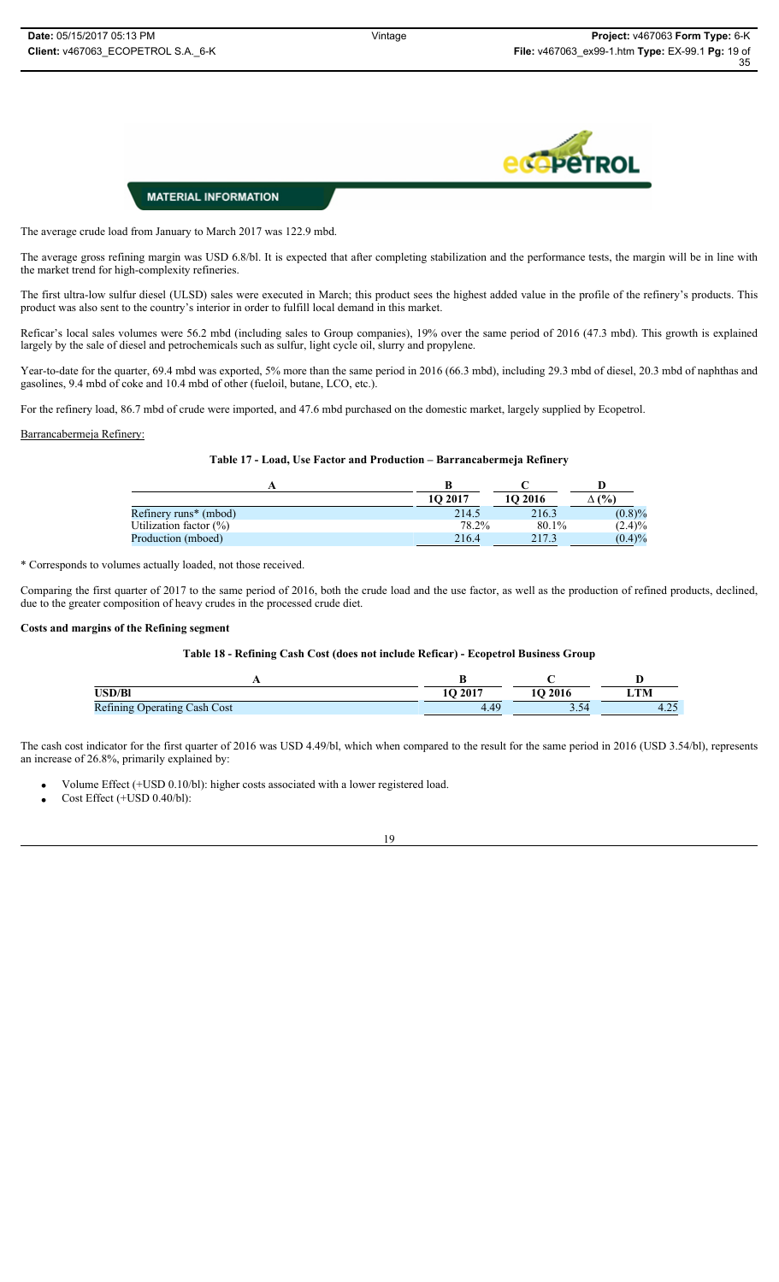

The average crude load from January to March 2017 was 122.9 mbd.

The average gross refining margin was USD 6.8/bl. It is expected that after completing stabilization and the performance tests, the margin will be in line with the market trend for high-complexity refineries.

The first ultra-low sulfur diesel (ULSD) sales were executed in March; this product sees the highest added value in the profile of the refinery's products. This product was also sent to the country's interior in order to fulfill local demand in this market.

Reficar's local sales volumes were 56.2 mbd (including sales to Group companies), 19% over the same period of 2016 (47.3 mbd). This growth is explained largely by the sale of diesel and petrochemicals such as sulfur, light cycle oil, slurry and propylene.

Year-to-date for the quarter, 69.4 mbd was exported, 5% more than the same period in 2016 (66.3 mbd), including 29.3 mbd of diesel, 20.3 mbd of naphthas and gasolines, 9.4 mbd of coke and 10.4 mbd of other (fueloil, butane, LCO, etc.).

For the refinery load, 86.7 mbd of crude were imported, and 47.6 mbd purchased on the domestic market, largely supplied by Ecopetrol.

#### Barrancabermeja Refinery:

#### **Table 17 - Load, Use Factor and Production – Barrancabermeja Refinery**

|                                   | 1O 2017 | 1O 2016 | (%)<br>Δ  |
|-----------------------------------|---------|---------|-----------|
| Refinery runs <sup>*</sup> (mbod) | 214.5   | 216.3   | (0.8)%    |
| Utilization factor $(\%)$         | 78.2%   | 80.1%   | $(2.4)\%$ |
| Production (mboed)                | 216.4   | 217.3   | (0.4)%    |

\* Corresponds to volumes actually loaded, not those received.

Comparing the first quarter of 2017 to the same period of 2016, both the crude load and the use factor, as well as the production of refined products, declined, due to the greater composition of heavy crudes in the processed crude diet.

#### **Costs and margins of the Refining segment**

#### **Table 18 - Refining Cash Cost (does not include Reficar) - Ecopetrol Business Group**

| <b>USD/Bl</b>                                                           | <b>1O 2017</b>       | 2016          | ЛM.  |
|-------------------------------------------------------------------------|----------------------|---------------|------|
| <b>COL</b><br><b>D</b><br>Cash Cost<br>$\mathsf{Refining}$<br>Jperating | AC<br>$\mathbf{r}$ . | $\sim\, \sim$ | 7.4. |

The cash cost indicator for the first quarter of 2016 was USD 4.49/bl, which when compared to the result for the same period in 2016 (USD 3.54/bl), represents an increase of 26.8%, primarily explained by:

- Volume Effect (+USD 0.10/bl): higher costs associated with a lower registered load.
- Cost Effect (+USD 0.40/bl):

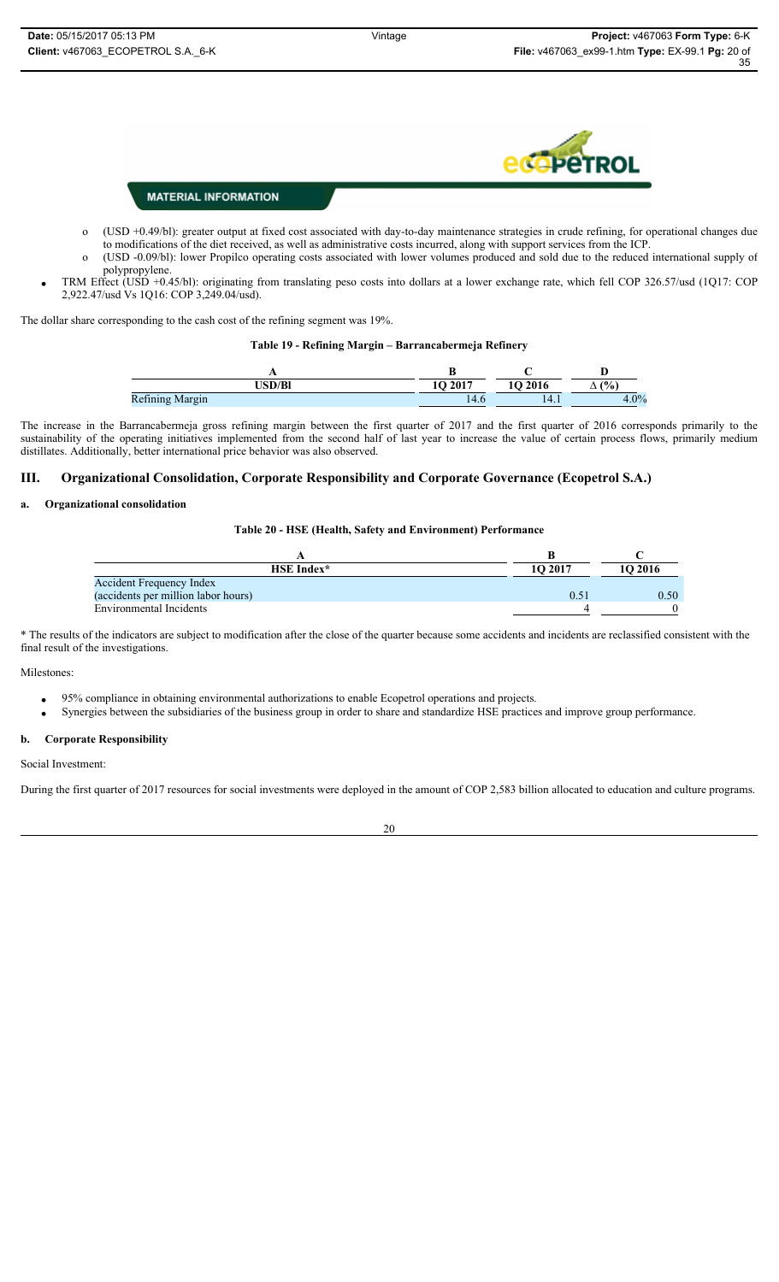

- o (USD +0.49/bl): greater output at fixed cost associated with day-to-day maintenance strategies in crude refining, for operational changes due to modifications of the diet received, as well as administrative costs incurred, along with support services from the ICP.
- o (USD -0.09/bl): lower Propilco operating costs associated with lower volumes produced and sold due to the reduced international supply of polypropylene.
- x TRM Effect (USD +0.45/bl): originating from translating peso costs into dollars at a lower exchange rate, which fell COP 326.57/usd (1Q17: COP 2,922.47/usd Vs 1Q16: COP 3,249.04/usd).

The dollar share corresponding to the cash cost of the refining segment was 19%.

#### **Table 19 - Refining Margin – Barrancabermeja Refinery**

| . .<br>--                                                                    |         |           |            |
|------------------------------------------------------------------------------|---------|-----------|------------|
| <b>TION INI</b>                                                              | 10.2017 | .<br>2010 | (9/6)<br>∸ |
| $\mathbf{r}$<br><i>iverming form gill</i><br>$\overline{\phantom{0}}$<br>. . |         | 14.1      | 00/        |

The increase in the Barrancabermeja gross refining margin between the first quarter of 2017 and the first quarter of 2016 corresponds primarily to the sustainability of the operating initiatives implemented from the second half of last year to increase the value of certain process flows, primarily medium distillates. Additionally, better international price behavior was also observed.

#### **III. Organizational Consolidation, Corporate Responsibility and Corporate Governance (Ecopetrol S.A.)**

#### **a. Organizational consolidation**

## **Table 20 - HSE (Health, Safety and Environment) Performance**

| <b>HSE</b> Index*                   | 1O 2017 | 10 2016 |
|-------------------------------------|---------|---------|
| Accident Frequency Index            |         |         |
| (accidents per million labor hours) | 0.51    | 0.50    |
| Environmental Incidents             |         |         |

\* The results of the indicators are subject to modification after the close of the quarter because some accidents and incidents are reclassified consistent with the final result of the investigations.

#### Milestones:

- 95% compliance in obtaining environmental authorizations to enable Ecopetrol operations and projects.
- x Synergies between the subsidiaries of the business group in order to share and standardize HSE practices and improve group performance.

#### **b. Corporate Responsibility**

Social Investment:

During the first quarter of 2017 resources for social investments were deployed in the amount of COP 2,583 billion allocated to education and culture programs.

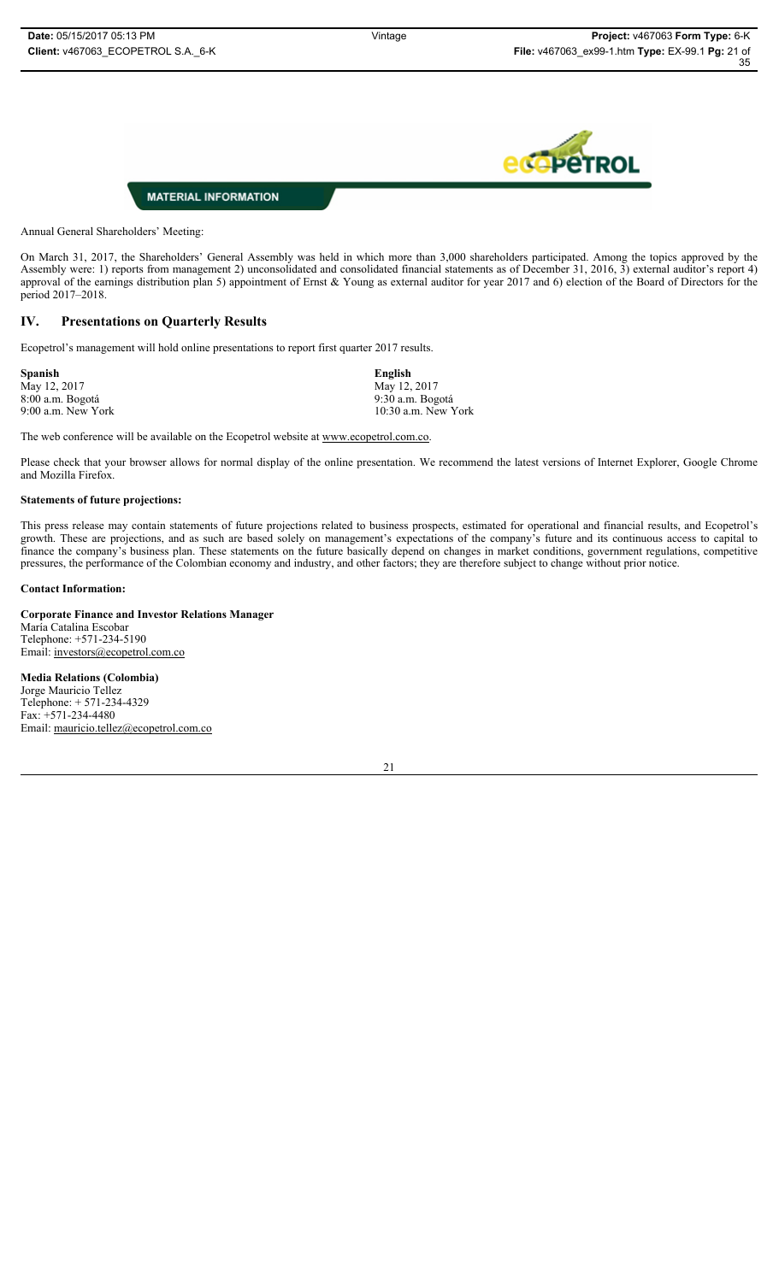

Annual General Shareholders' Meeting:

On March 31, 2017, the Shareholders' General Assembly was held in which more than 3,000 shareholders participated. Among the topics approved by the Assembly were: 1) reports from management 2) unconsolidated and consolidated financial statements as of December 31, 2016, 3) external auditor's report 4) approval of the earnings distribution plan 5) appointment of Ernst & Young as external auditor for year 2017 and 6) election of the Board of Directors for the period 2017–2018.

# **IV. Presentations on Quarterly Results**

Ecopetrol's management will hold online presentations to report first quarter 2017 results.

| Spanish            | English               |
|--------------------|-----------------------|
| May 12, 2017       | May 12, 2017          |
| 8:00 a.m. Bogotá   | 9:30 a.m. Bogotá      |
| 9:00 a.m. New York | $10:30$ a.m. New York |

The web conference will be available on the Ecopetrol website at www.ecopetrol.com.co.

Please check that your browser allows for normal display of the online presentation. We recommend the latest versions of Internet Explorer, Google Chrome and Mozilla Firefox.

#### **Statements of future projections:**

This press release may contain statements of future projections related to business prospects, estimated for operational and financial results, and Ecopetrol's growth. These are projections, and as such are based solely on management's expectations of the company's future and its continuous access to capital to finance the company's business plan. These statements on the future basically depend on changes in market conditions, government regulations, competitive pressures, the performance of the Colombian economy and industry, and other factors; they are therefore subject to change without prior notice.

#### **Contact Information:**

**Corporate Finance and Investor Relations Manager** María Catalina Escobar Telephone: +571-234-5190 Email: investors@ecopetrol.com.co

**Media Relations (Colombia)**  Jorge Mauricio Tellez Telephone: + 571-234-4329 Fax: +571-234-4480 Email: mauricio.tellez@ecopetrol.com.co

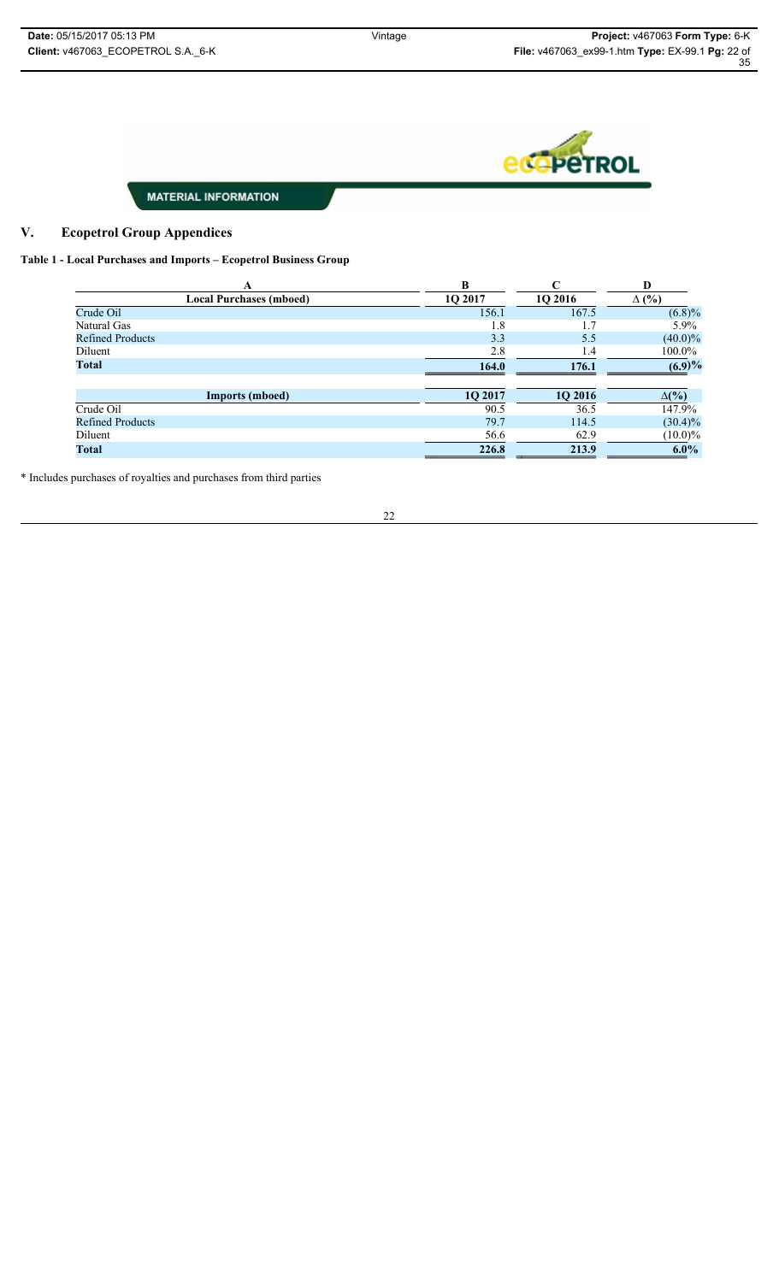

# **V. Ecopetrol Group Appendices**

# **Table 1 - Local Purchases and Imports – Ecopetrol Business Group**

| A                              | B       | $\mathsf{C}$ | D            |
|--------------------------------|---------|--------------|--------------|
| <b>Local Purchases (mboed)</b> | 10 2017 | 10 2016      | $\Delta$ (%) |
| Crude Oil                      | 156.1   | 167.5        | (6.8)%       |
| Natural Gas                    | 1.8     | 1.7          | $5.9\%$      |
| <b>Refined Products</b>        | 3.3     | 5.5          | $(40.0)\%$   |
| Diluent                        | 2.8     | 1.4          | $100.0\%$    |
| <b>Total</b>                   | 164.0   | 176.1        | (6.9)%       |
|                                |         |              |              |
| <b>Imports (mboed)</b>         | 1Q 2017 | 1Q 2016      | $\Delta(\%)$ |
| Crude Oil                      | 90.5    | 36.5         | 147.9%       |
| <b>Refined Products</b>        | 79.7    | 114.5        | $(30.4)\%$   |
| Diluent                        | 56.6    | 62.9         | $(10.0)\%$   |
| Total                          | 226.8   | 213.9        | $6.0\%$      |

\* Includes purchases of royalties and purchases from third parties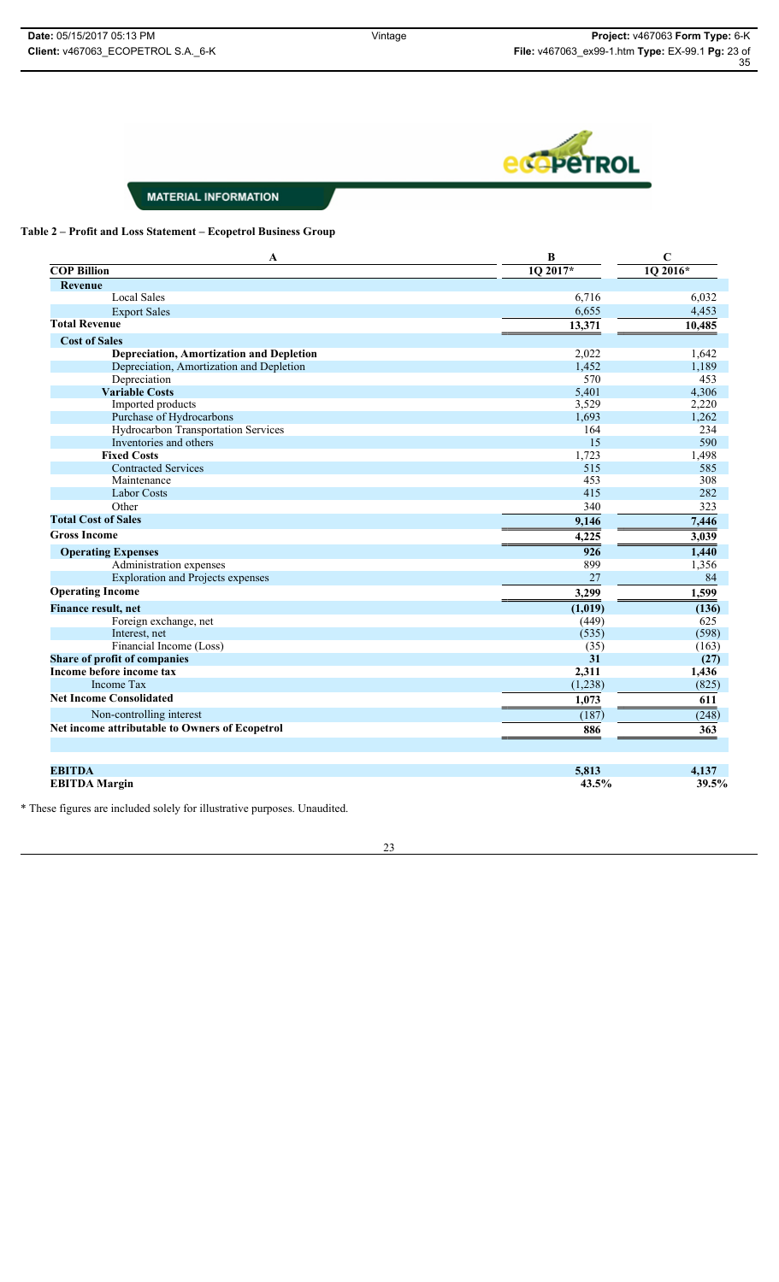

**Table 2 – Profit and Loss Statement – Ecopetrol Business Group**

| A                                               | $\bf{B}$ | $\mathbf C$ |
|-------------------------------------------------|----------|-------------|
| <b>COP Billion</b>                              | 1Q 2017* | $102016*$   |
| Revenue                                         |          |             |
| <b>Local Sales</b>                              | 6,716    | 6,032       |
| <b>Export Sales</b>                             | 6,655    | 4,453       |
| <b>Total Revenue</b>                            | 13,371   | 10,485      |
| <b>Cost of Sales</b>                            |          |             |
| <b>Depreciation, Amortization and Depletion</b> | 2,022    | 1,642       |
| Depreciation, Amortization and Depletion        | 1,452    | 1,189       |
| Depreciation                                    | 570      | 453         |
| <b>Variable Costs</b>                           | 5,401    | 4,306       |
| Imported products                               | 3,529    | 2,220       |
| Purchase of Hydrocarbons                        | 1,693    | 1,262       |
| Hydrocarbon Transportation Services             | 164      | 234         |
| Inventories and others                          | 15       | 590         |
| <b>Fixed Costs</b>                              | 1,723    | 1,498       |
| <b>Contracted Services</b>                      | 515      | 585         |
| Maintenance                                     | 453      | 308         |
| <b>Labor Costs</b>                              | 415      | 282         |
| Other                                           | 340      | 323         |
| <b>Total Cost of Sales</b>                      | 9,146    | 7,446       |
| <b>Gross Income</b>                             | 4,225    | 3,039       |
| <b>Operating Expenses</b>                       | 926      | 1,440       |
| Administration expenses                         | 899      | 1,356       |
| <b>Exploration and Projects expenses</b>        | 27       | 84          |
| <b>Operating Income</b>                         | 3,299    | 1,599       |
| <b>Finance result, net</b>                      | (1,019)  | (136)       |
| Foreign exchange, net                           | (449)    | 625         |
| Interest, net                                   | (535)    | (598)       |
| Financial Income (Loss)                         | (35)     | (163)       |
| Share of profit of companies                    | 31       | (27)        |
| Income before income tax                        | 2,311    | 1,436       |
| Income Tax                                      | (1,238)  | (825)       |
| <b>Net Income Consolidated</b>                  | 1,073    | 611         |
| Non-controlling interest                        | (187)    | (248)       |
| Net income attributable to Owners of Ecopetrol  | 886      | 363         |
|                                                 |          |             |
| <b>EBITDA</b>                                   | 5.813    | 4.137       |

**EBITDA Margin 43.5% 39.5%**

\* These figures are included solely for illustrative purposes. Unaudited.

23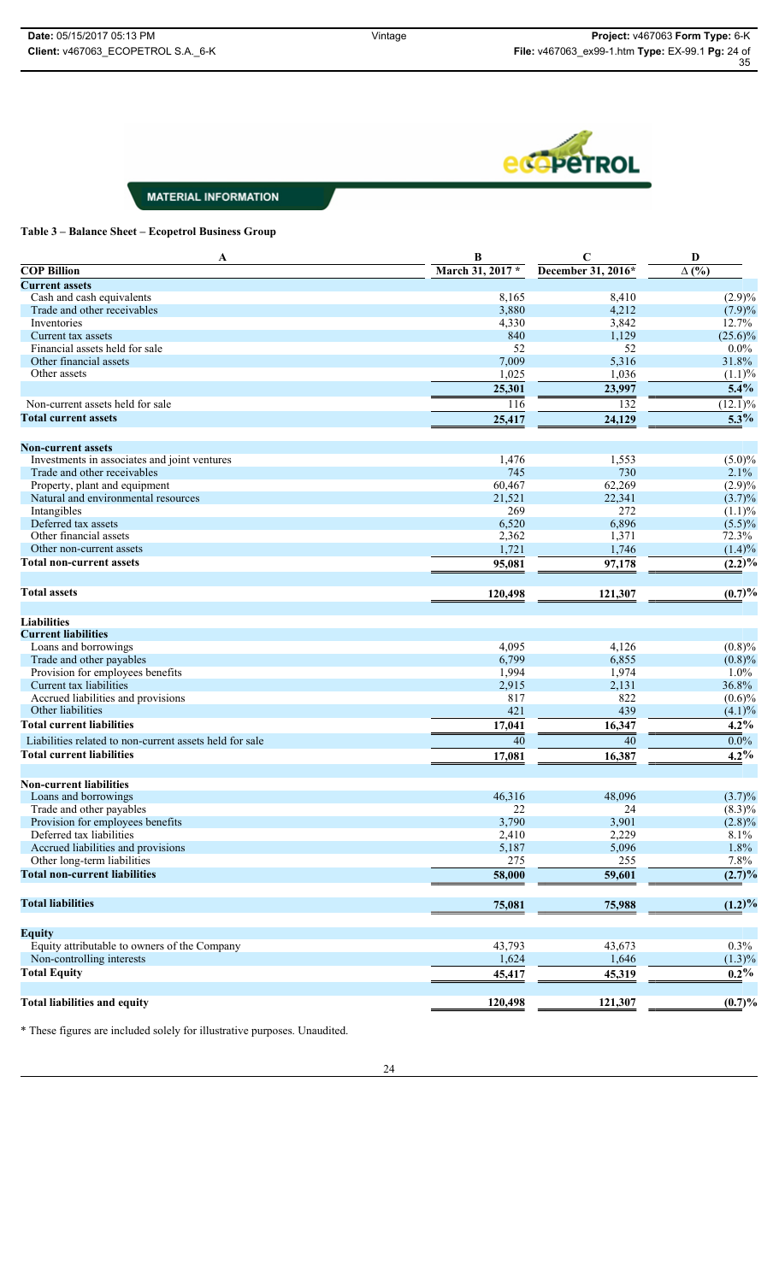

# **Table 3 – Balance Sheet – Ecopetrol Business Group**

| A                                                       | В                | $\mathbf C$        | D                                |
|---------------------------------------------------------|------------------|--------------------|----------------------------------|
| <b>COP Billion</b>                                      | March 31, 2017 * | December 31, 2016* | $\overline{\Delta(\frac{0}{0})}$ |
| <b>Current assets</b>                                   |                  |                    |                                  |
| Cash and cash equivalents                               | 8,165            | 8,410              | (2.9)%                           |
| Trade and other receivables                             | 3,880            | 4,212              | (7.9)%                           |
| Inventories                                             | 4,330            | 3,842              | 12.7%                            |
| Current tax assets                                      | 840              | 1,129              | $(25.6)\%$                       |
| Financial assets held for sale                          | 52               | 52                 | $0.0\%$                          |
| Other financial assets                                  | 7,009            | 5,316              | 31.8%                            |
| Other assets                                            | 1,025            | 1,036              | (1.1)%                           |
|                                                         | 25,301           | 23,997             | $\overline{5.4}$ %               |
| Non-current assets held for sale                        | 116              | 132                | $(12.1)\%$                       |
| <b>Total current assets</b>                             |                  |                    |                                  |
|                                                         | 25,417           | 24,129             | $\overline{5.3}$ %               |
| <b>Non-current assets</b>                               |                  |                    |                                  |
| Investments in associates and joint ventures            | 1,476            | 1,553              | $(5.0)\%$                        |
| Trade and other receivables                             | 745              | 730                | 2.1%                             |
| Property, plant and equipment                           | 60,467           | 62,269             | (2.9)%                           |
| Natural and environmental resources                     | 21,521           | 22,341             | $(3.7)\%$                        |
| Intangibles                                             | 269              | 272                | (1.1)%                           |
| Deferred tax assets                                     | 6,520            | 6,896              | $(5.5)\%$                        |
| Other financial assets                                  | 2,362            | 1,371              | 72.3%                            |
| Other non-current assets                                | 1,721            | 1,746              | (1.4)%                           |
| <b>Total non-current assets</b>                         | 95,081           | 97,178             | $\overline{(2.2)^{9/6}}$         |
| <b>Total assets</b>                                     | 120,498          | 121,307            | (0.7)%                           |
|                                                         |                  |                    |                                  |
| <b>Liabilities</b>                                      |                  |                    |                                  |
| <b>Current liabilities</b>                              |                  |                    |                                  |
| Loans and borrowings                                    | 4,095            | 4,126              | (0.8)%                           |
| Trade and other payables                                | 6,799            | 6,855              | (0.8)%                           |
| Provision for employees benefits                        | 1,994            | 1,974              | 1.0%                             |
| Current tax liabilities                                 | 2,915            | 2,131              | 36.8%                            |
| Accrued liabilities and provisions                      | 817              | 822                | $(0.6)\%$                        |
| Other liabilities                                       | 421              | 439                | (4.1)%                           |
| <b>Total current liabilities</b>                        | 17,041           | 16,347             | $4.2\%$                          |
| Liabilities related to non-current assets held for sale | 40               | 40                 | $\overline{0.0}$ %               |
| <b>Total current liabilities</b>                        | 17,081           | 16,387             | $\frac{1}{4.2}\%$                |
| <b>Non-current liabilities</b>                          |                  |                    |                                  |
| Loans and borrowings                                    | 46,316           | 48,096             | $(3.7)\%$                        |
| Trade and other payables                                | 22               | 24                 | $(8.3)\%$                        |
| Provision for employees benefits                        | 3,790            | 3,901              | (2.8)%                           |
| Deferred tax liabilities                                | 2,410            | 2,229              | 8.1%                             |
| Accrued liabilities and provisions                      | 5,187            | 5,096              | 1.8%                             |
| Other long-term liabilities                             | 275              | 255                | 7.8%                             |
| <b>Total non-current liabilities</b>                    |                  |                    |                                  |
|                                                         | 58,000           | 59,601             | (2.7)%                           |
| <b>Total liabilities</b>                                | 75,081           | 75,988             | $(1.2)\%$                        |
|                                                         |                  |                    |                                  |
| <b>Equity</b>                                           |                  |                    |                                  |
| Equity attributable to owners of the Company            | 43,793           | 43,673             | $0.3\%$                          |
| Non-controlling interests                               | 1,624            | 1,646              | $(1.3)\%$                        |
| <b>Total Equity</b>                                     | 45,417           | 45,319             | $0.2\%$                          |
| <b>Total liabilities and equity</b>                     | 120,498          | 121,307            | (0.7)%                           |
|                                                         |                  |                    |                                  |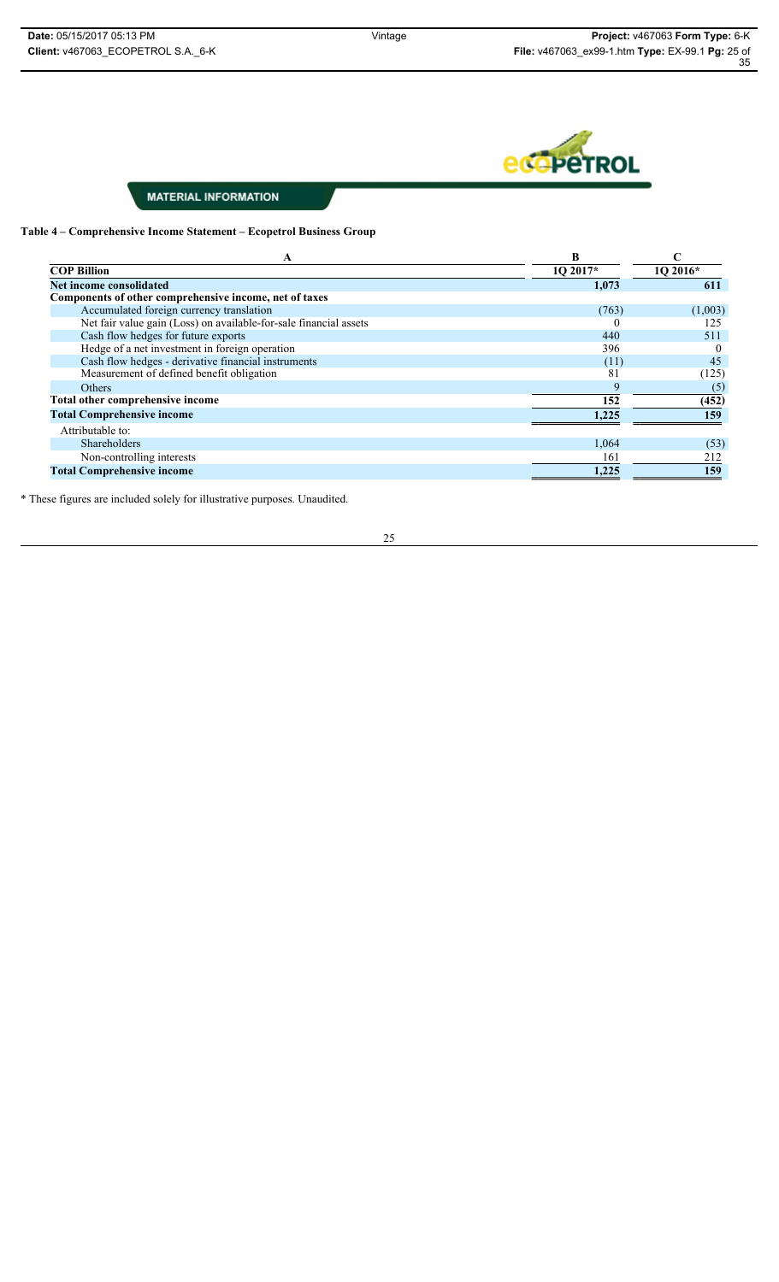

**Table 4 – Comprehensive Income Statement – Ecopetrol Business Group**

| A                                                                 | B        |          |
|-------------------------------------------------------------------|----------|----------|
| <b>COP Billion</b>                                                | 1O 2017* | 10 2016* |
| Net income consolidated                                           | 1,073    | 611      |
| Components of other comprehensive income, net of taxes            |          |          |
| Accumulated foreign currency translation                          | (763)    | (1,003)  |
| Net fair value gain (Loss) on available-for-sale financial assets |          | 125      |
| Cash flow hedges for future exports                               | 440      | 511      |
| Hedge of a net investment in foreign operation                    | 396      |          |
| Cash flow hedges - derivative financial instruments               | (11)     | 45       |
| Measurement of defined benefit obligation                         | 81       | (125)    |
| Others                                                            | 9        | (5)      |
| Total other comprehensive income                                  | 152      | (452)    |
| <b>Total Comprehensive income</b>                                 | 1.225    | 159      |
| Attributable to:                                                  |          |          |
| <b>Shareholders</b>                                               | 1,064    | (53)     |
| Non-controlling interests                                         | 161      | 212      |
| <b>Total Comprehensive income</b>                                 | 1,225    | 159      |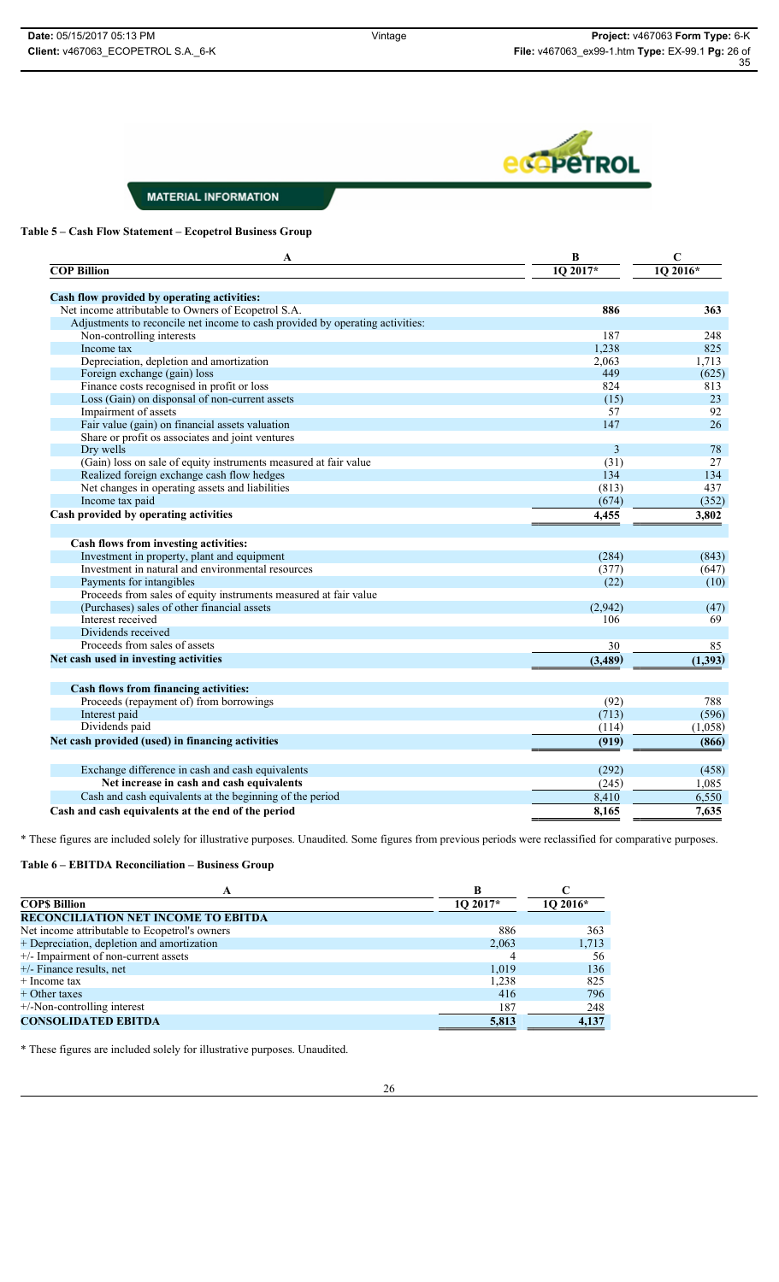

**Table 5 – Cash Flow Statement – Ecopetrol Business Group**

| A                                                                             | $\bf{B}$ | $\mathbf C$ |
|-------------------------------------------------------------------------------|----------|-------------|
| <b>COP Billion</b>                                                            | 1Q 2017* | 10 2016*    |
|                                                                               |          |             |
| Cash flow provided by operating activities:                                   |          |             |
| Net income attributable to Owners of Ecopetrol S.A.                           | 886      | 363         |
| Adjustments to reconcile net income to cash provided by operating activities: |          |             |
| Non-controlling interests                                                     | 187      | 248         |
| Income tax                                                                    | 1,238    | 825         |
| Depreciation, depletion and amortization                                      | 2,063    | 1.713       |
| Foreign exchange (gain) loss                                                  | 449      | (625)       |
| Finance costs recognised in profit or loss                                    | 824      | 813         |
| Loss (Gain) on disponsal of non-current assets                                | (15)     | 23          |
| Impairment of assets                                                          | 57       | 92          |
| Fair value (gain) on financial assets valuation                               | 147      | 26          |
| Share or profit os associates and joint ventures                              |          |             |
| Dry wells                                                                     | 3        | 78          |
| (Gain) loss on sale of equity instruments measured at fair value              | (31)     | 27          |
| Realized foreign exchange cash flow hedges                                    | 134      | 134         |
| Net changes in operating assets and liabilities                               | (813)    | 437         |
| Income tax paid                                                               | (674)    | (352)       |
| Cash provided by operating activities                                         | 4,455    | 3,802       |
|                                                                               |          |             |
| Cash flows from investing activities:                                         |          |             |
| Investment in property, plant and equipment                                   | (284)    | (843)       |
| Investment in natural and environmental resources                             | (377)    | (647)       |
| Payments for intangibles                                                      | (22)     | (10)        |
| Proceeds from sales of equity instruments measured at fair value              |          |             |
| (Purchases) sales of other financial assets                                   | (2,942)  | (47)        |
| Interest received                                                             | 106      | 69          |
| Dividends received                                                            |          |             |
| Proceeds from sales of assets                                                 | 30       | 85          |
| Net cash used in investing activities                                         | (3,489)  | (1, 393)    |
|                                                                               |          |             |
| Cash flows from financing activities:                                         |          |             |
| Proceeds (repayment of) from borrowings                                       | (92)     | 788         |
| Interest paid                                                                 | (713)    | (596)       |
| Dividends paid                                                                | (114)    | (1,058)     |
| Net cash provided (used) in financing activities                              | (919)    | (866)       |
|                                                                               |          |             |
| Exchange difference in cash and cash equivalents                              | (292)    | (458)       |
| Net increase in cash and cash equivalents                                     | (245)    | 1,085       |
| Cash and cash equivalents at the beginning of the period                      | 8,410    | 6,550       |
| Cash and cash equivalents at the end of the period                            | 8,165    | 7,635       |

\* These figures are included solely for illustrative purposes. Unaudited. Some figures from previous periods were reclassified for comparative purposes.

## **Table 6 – EBITDA Reconciliation – Business Group**

| A                                             | В        |          |
|-----------------------------------------------|----------|----------|
| <b>COPS Billion</b>                           | 1O 2017* | 10 2016* |
| <b>RECONCILIATION NET INCOME TO EBITDA</b>    |          |          |
| Net income attributable to Ecopetrol's owners | 886      | 363      |
| + Depreciation, depletion and amortization    | 2,063    | 1,713    |
| $+/-$ Impairment of non-current assets        |          | 56       |
| $+/-$ Finance results, net                    | 1,019    | 136      |
| $+$ Income tax                                | 1,238    | 825      |
| $+$ Other taxes                               | 416      | 796      |
| $+\prime$ -Non-controlling interest           | 187      | 248      |
| <b>CONSOLIDATED EBITDA</b>                    | 5,813    | 4,137    |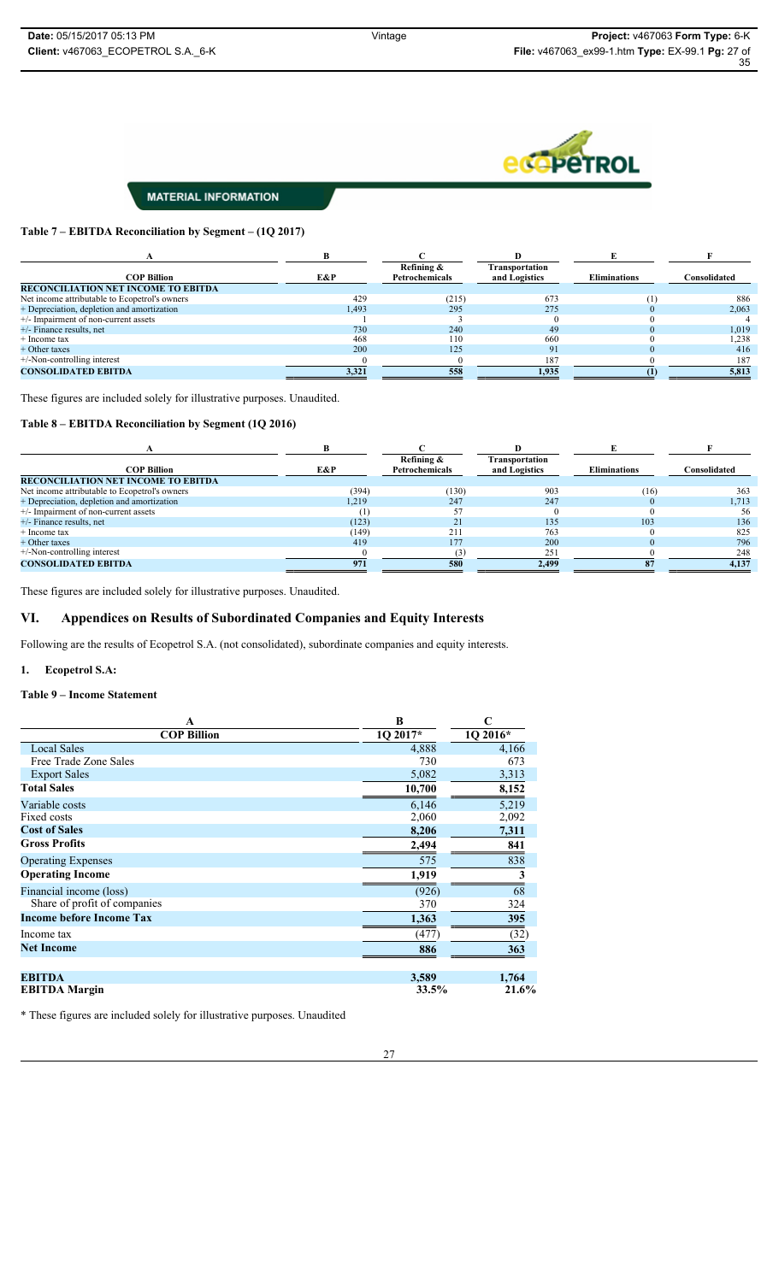

# **Table 7 – EBITDA Reconciliation by Segment – (1Q 2017)**

| <b>COP Billion</b>                            | E&P   | Refining &<br><b>Petrochemicals</b> | Transportation<br>and Logistics | <b>Eliminations</b> | <b>Consolidated</b> |
|-----------------------------------------------|-------|-------------------------------------|---------------------------------|---------------------|---------------------|
| <b>RECONCILIATION NET INCOME TO EBITDA</b>    |       |                                     |                                 |                     |                     |
| Net income attributable to Ecopetrol's owners | 429   | (215)                               | 673                             |                     | 886                 |
| + Depreciation, depletion and amortization    | 1,493 | 295                                 | 275                             |                     | 2,063               |
| $+/-$ Impairment of non-current assets        |       |                                     |                                 |                     |                     |
| $+/-$ Finance results, net                    | 730   | 240                                 | 49                              |                     | 1,019               |
| + Income tax                                  | 468   | 110                                 | 660                             |                     | .238                |
| $+$ Other taxes                               | 200   | 125                                 | 91                              |                     | 416                 |
| $+\prime$ -Non-controlling interest           |       |                                     | 187                             |                     | 187                 |
| <b>CONSOLIDATED EBITDA</b>                    | 3,321 | 558                                 | 1,935                           |                     | 5,813               |

These figures are included solely for illustrative purposes. Unaudited.

## **Table 8 – EBITDA Reconciliation by Segment (1Q 2016)**

| <b>COP Billion</b>                            | E&P   | Refining &<br>Petrochemicals | Transportation<br>and Logistics | <b>Eliminations</b> | Consolidated |
|-----------------------------------------------|-------|------------------------------|---------------------------------|---------------------|--------------|
| RECONCILIATION NET INCOME TO EBITDA           |       |                              |                                 |                     |              |
| Net income attributable to Ecopetrol's owners | (394) | (130)                        | 903                             | (16)                | 363          |
| + Depreciation, depletion and amortization    | 1,219 | 247                          | 247                             |                     | 1,713        |
| $+/-$ Impairment of non-current assets        |       |                              |                                 |                     | 56           |
| $+/-$ Finance results, net                    | (123) | 21                           | 135                             | 103                 | 136          |
| $+$ Income tax                                | (149) | 211                          | 763                             |                     | 825          |
| + Other taxes                                 | 419   | 177                          | 200                             |                     | 796          |
| $+\prime$ -Non-controlling interest           |       |                              | 251                             |                     | 248          |
| <b>CONSOLIDATED EBITDA</b>                    | 971   | 580                          | 2.499                           |                     | 4,137        |

These figures are included solely for illustrative purposes. Unaudited.

# **VI. Appendices on Results of Subordinated Companies and Equity Interests**

Following are the results of Ecopetrol S.A. (not consolidated), subordinate companies and equity interests.

## **1. Ecopetrol S.A:**

#### **Table 9 – Income Statement**

| A                               | B        | C                  |
|---------------------------------|----------|--------------------|
| <b>COP Billion</b>              | 1Q 2017* | $1Q\,2016*$        |
| <b>Local Sales</b>              | 4,888    | 4,166              |
| Free Trade Zone Sales           | 730      | 673                |
| <b>Export Sales</b>             | 5,082    | 3,313              |
| <b>Total Sales</b>              | 10,700   | 8,152              |
| Variable costs                  | 6,146    | $\overline{5,219}$ |
| Fixed costs                     | 2,060    | 2,092              |
| <b>Cost of Sales</b>            | 8,206    | 7,311              |
| <b>Gross Profits</b>            | 2,494    | 841                |
| <b>Operating Expenses</b>       | 575      | 838                |
| <b>Operating Income</b>         | 1,919    | 3                  |
| Financial income (loss)         | (926)    | 68                 |
| Share of profit of companies    | 370      | 324                |
| <b>Income before Income Tax</b> | 1,363    | 395                |
| Income tax                      | (477)    | (32)               |
| <b>Net Income</b>               | 886      | 363                |
| <b>EBITDA</b>                   | 3,589    | 1,764              |
| <b>EBITDA Margin</b>            | 33.5%    | 21.6%              |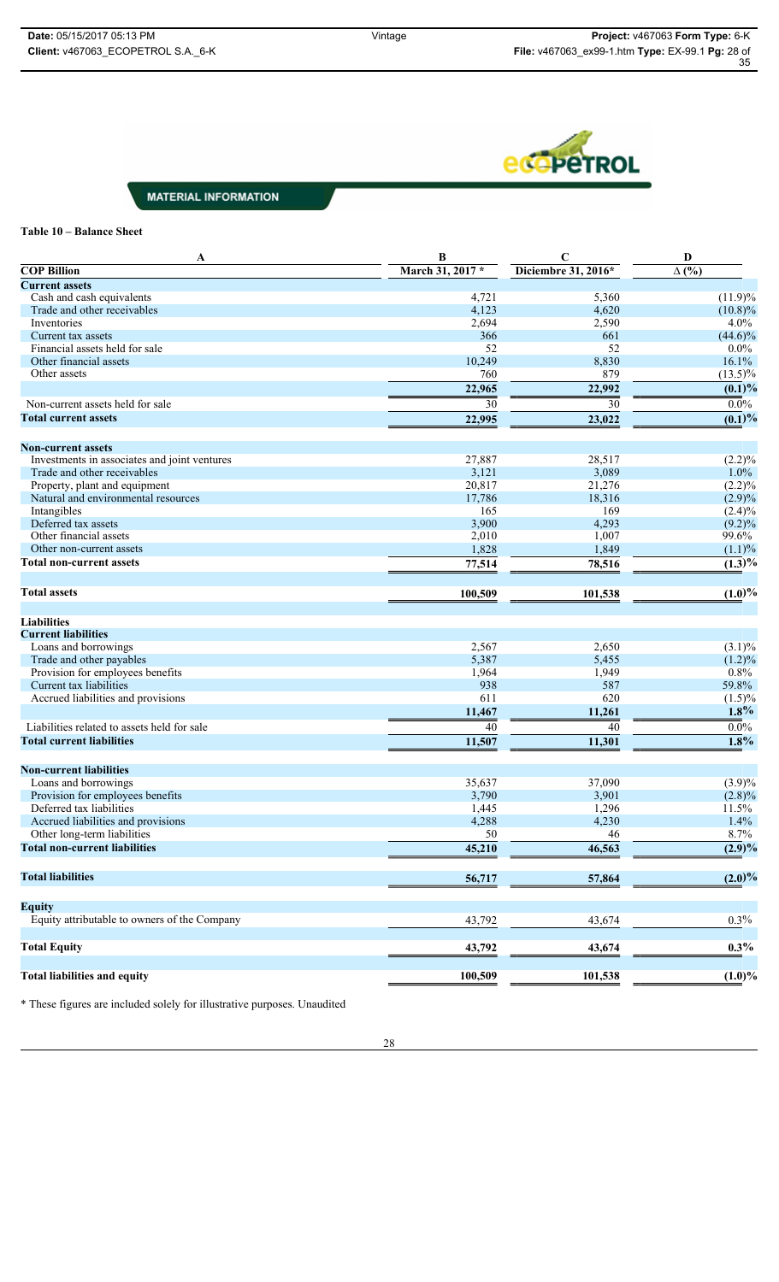

# **Table 10 – Balance Sheet**

| A                                                             | B                | $\mathbf C$         | D                       |
|---------------------------------------------------------------|------------------|---------------------|-------------------------|
| <b>COP Billion</b>                                            | March 31, 2017 * | Diciembre 31, 2016* | $\overline{\Delta(\%)}$ |
| <b>Current assets</b>                                         |                  |                     |                         |
| Cash and cash equivalents                                     | 4,721            | 5,360               | (11.9)%                 |
| Trade and other receivables                                   | 4,123            | 4,620               | $(10.8)\%$              |
| Inventories                                                   | 2,694            | 2,590               | 4.0%                    |
| Current tax assets                                            | 366              | 661                 | $(44.6)\%$              |
| Financial assets held for sale                                | 52               | 52                  | $0.0\%$                 |
| Other financial assets                                        | 10,249           | 8,830               | 16.1%                   |
| Other assets                                                  | 760              | 879                 | $(13.5)\%$              |
|                                                               | 22,965           | 22,992              | (0.1)%                  |
| Non-current assets held for sale                              | 30               | 30                  | $\overline{0.0}$ %      |
| <b>Total current assets</b>                                   | 22,995           | 23,022              | $\overline{(0.1)}\%$    |
|                                                               |                  |                     |                         |
| <b>Non-current assets</b>                                     |                  |                     |                         |
| Investments in associates and joint ventures                  | 27,887           | 28,517              | (2.2)%                  |
| Trade and other receivables                                   | 3,121            | 3,089               | 1.0%                    |
| Property, plant and equipment                                 | 20,817           | 21,276              | $(2.2)\%$               |
| Natural and environmental resources                           | 17,786           | 18,316              | (2.9)%                  |
| Intangibles                                                   | 165              | 169                 | $(2.4)\%$               |
| Deferred tax assets                                           | 3,900            | 4,293               | $(9.2)\%$               |
| Other financial assets                                        | 2,010            | 1,007               | 99.6%                   |
| Other non-current assets                                      | 1,828            | 1,849               | (1.1)%                  |
| <b>Total non-current assets</b>                               | 77,514           | 78,516              | $(1.3)\%$               |
| <b>Total assets</b>                                           | 100,509          | 101,538             | $(1.0)\%$               |
|                                                               |                  |                     |                         |
| <b>Liabilities</b>                                            |                  |                     |                         |
| <b>Current liabilities</b>                                    |                  |                     |                         |
| Loans and borrowings                                          | 2,567            | 2,650               | $(3.1)\%$               |
| Trade and other payables                                      | 5,387            | 5,455               | $(1.2)\%$               |
| Provision for employees benefits                              | 1,964            | 1,949               | 0.8%                    |
| Current tax liabilities                                       | 938              | 587                 | 59.8%                   |
| Accrued liabilities and provisions                            | 611              | 620                 | $(1.5)\%$               |
|                                                               | 11,467           | 11,261              | $1.8\%$                 |
| Liabilities related to assets held for sale                   | 40               | 40                  | $\overline{0.0}$ %      |
| <b>Total current liabilities</b>                              | 11,507           | 11,301              | $1.8\%$                 |
|                                                               |                  |                     |                         |
| <b>Non-current liabilities</b>                                |                  |                     |                         |
| Loans and borrowings                                          | 35,637           | 37,090              | $(3.9)\%$               |
| Provision for employees benefits                              | 3,790            | 3,901               | $(2.8)\%$               |
| Deferred tax liabilities                                      | 1,445            | 1,296               | 11.5%                   |
| Accrued liabilities and provisions                            | 4.288            | 4.230               | 1.4%                    |
| Other long-term liabilities                                   | 50               | 46                  | 8.7%                    |
| <b>Total non-current liabilities</b>                          | 45,210           | 46,563              | $\overline{(2.9)}\%$    |
| <b>Total liabilities</b>                                      | 56,717           | 57,864              | $(2.0)\%$               |
|                                                               |                  |                     |                         |
| <b>Equity</b><br>Equity attributable to owners of the Company |                  |                     |                         |
|                                                               | 43,792           | 43,674              | 0.3%                    |
| <b>Total Equity</b>                                           | 43,792           | 43,674              | $0.3\%$                 |
| <b>Total liabilities and equity</b>                           |                  |                     |                         |
|                                                               | 100,509          | 101,538             | $(1.0)\%$               |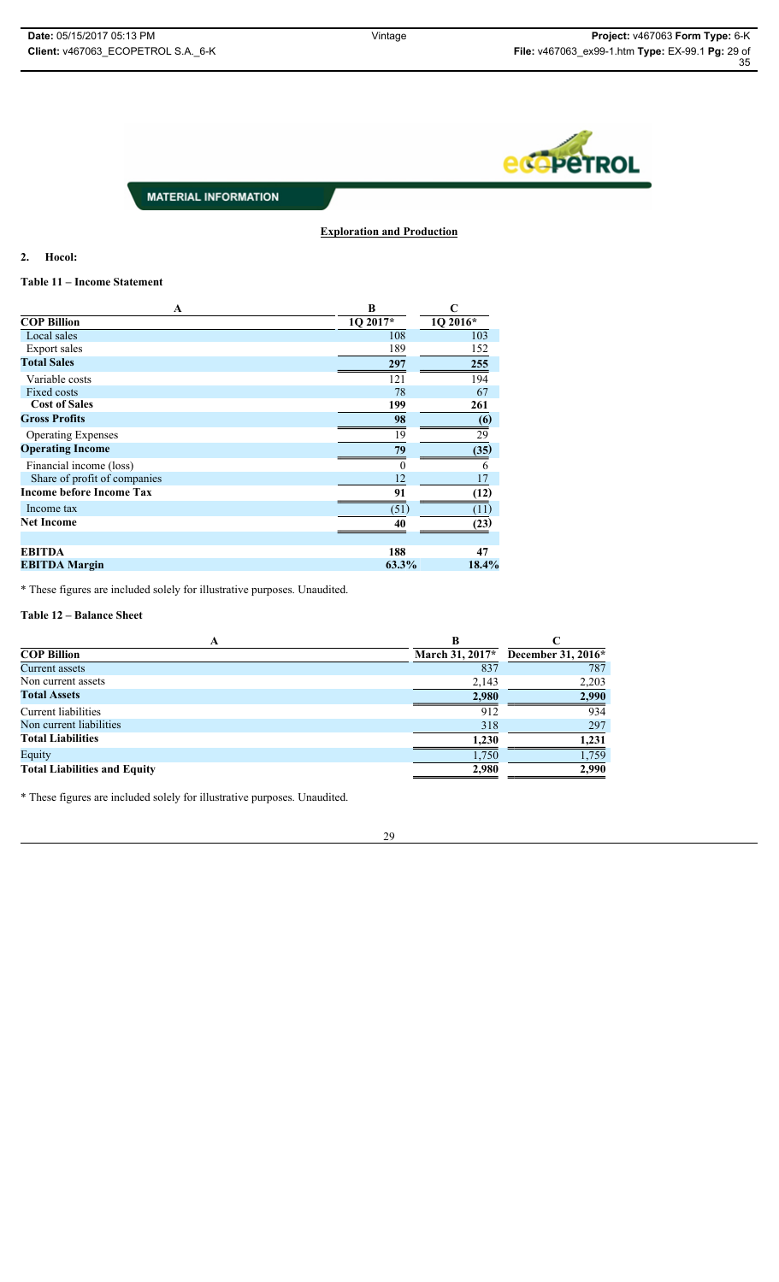

**Exploration and Production**

#### **2. Hocol:**

## **Table 11 – Income Statement**

| A                               | B        | C        |
|---------------------------------|----------|----------|
| <b>COP Billion</b>              | 1Q 2017* | 1Q 2016* |
| Local sales                     | 108      | 103      |
| Export sales                    | 189      | 152      |
| <b>Total Sales</b>              | 297      | 255      |
| Variable costs                  | 121      | 194      |
| <b>Fixed costs</b>              | 78       | 67       |
| <b>Cost of Sales</b>            | 199      | 261      |
| <b>Gross Profits</b>            | 98       | (6)      |
| <b>Operating Expenses</b>       | 19       | 29       |
| <b>Operating Income</b>         | 79       | (35)     |
| Financial income (loss)         | $\theta$ | 6        |
| Share of profit of companies    | 12       | 17       |
| <b>Income before Income Tax</b> | 91       | (12)     |
| Income tax                      | (51)     | (11)     |
| <b>Net Income</b>               | 40       | (23)     |
|                                 |          |          |
| <b>EBITDA</b>                   | 188      | 47       |
| <b>EBITDA Margin</b>            | 63.3%    | 18.4%    |

\* These figures are included solely for illustrative purposes. Unaudited.

## **Table 12 – Balance Sheet**

| A                                   |                 |                    |
|-------------------------------------|-----------------|--------------------|
| <b>COP Billion</b>                  | March 31, 2017* | December 31, 2016* |
| Current assets                      | 837             | 787                |
| Non current assets                  | 2,143           | 2,203              |
| <b>Total Assets</b>                 | 2,980           | 2,990              |
| Current liabilities                 | 912             | 934                |
| Non current liabilities             | 318             | 297                |
| <b>Total Liabilities</b>            | 1,230           | 1,231              |
| Equity                              | 1,750           | 1,759              |
| <b>Total Liabilities and Equity</b> | 2,980           | 2,990              |
|                                     |                 |                    |

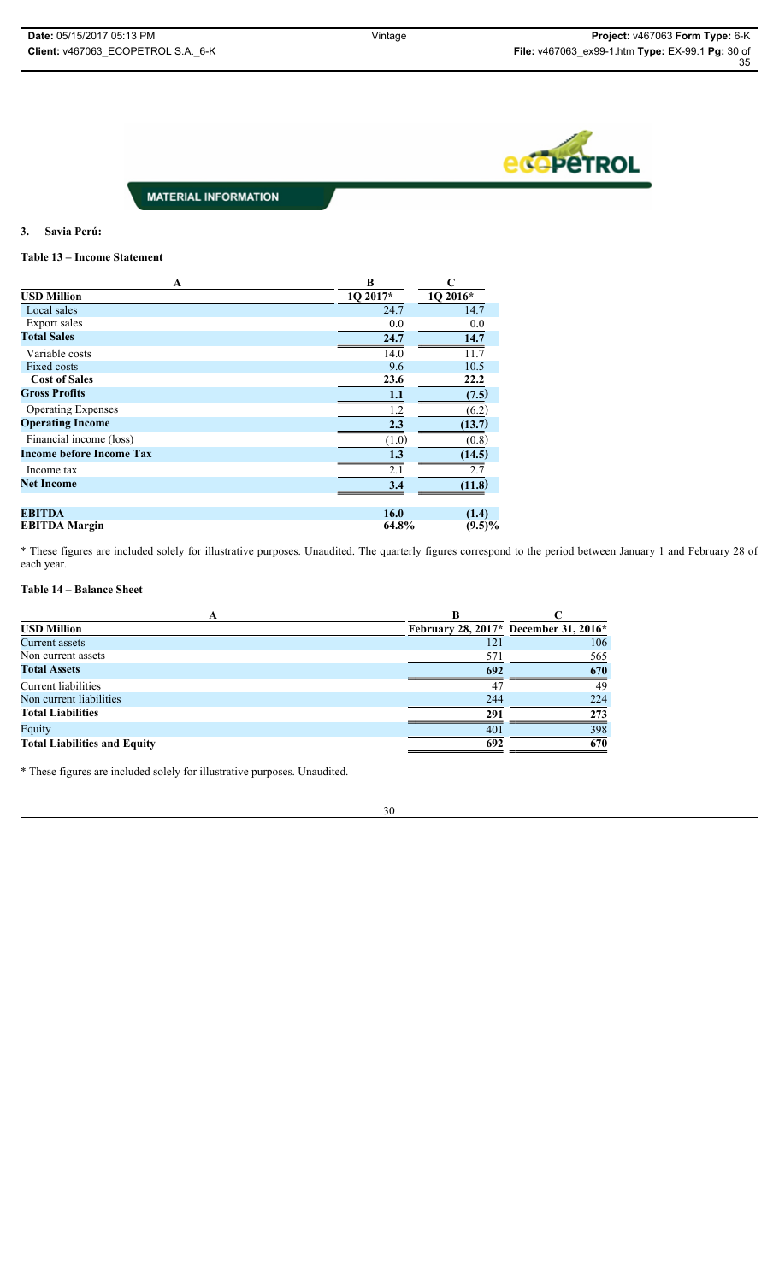

**3. Savia Perú:**

## **Table 13 – Income Statement**

| $\mathbf{A}$                    | B        | C           |
|---------------------------------|----------|-------------|
| <b>USD Million</b>              | 1Q 2017* | $1Q\,2016*$ |
| Local sales                     | 24.7     | 14.7        |
| Export sales                    | 0.0      | 0.0         |
| <b>Total Sales</b>              | 24.7     | 14.7        |
| Variable costs                  | 14.0     | 11.7        |
| Fixed costs                     | 9.6      | 10.5        |
| <b>Cost of Sales</b>            | 23.6     | 22.2        |
| <b>Gross Profits</b>            | 1.1      | (7.5)       |
| <b>Operating Expenses</b>       | 1.2      | (6.2)       |
| <b>Operating Income</b>         | 2.3      | (13.7)      |
| Financial income (loss)         | (1.0)    | (0.8)       |
| <b>Income before Income Tax</b> | 1.3      | (14.5)      |
| Income tax                      | 2.1      | 2.7         |
| <b>Net Income</b>               | 3.4      | (11.8)      |
| <b>EBITDA</b>                   | 16.0     | (1.4)       |
| <b>EBITDA</b> Margin            | 64.8%    | $(9.5)\%$   |

\* These figures are included solely for illustrative purposes. Unaudited. The quarterly figures correspond to the period between January 1 and February 28 of each year.

## **Table 14 – Balance Sheet**

| A                                   |     |                                       |
|-------------------------------------|-----|---------------------------------------|
| <b>USD Million</b>                  |     | February 28, 2017* December 31, 2016* |
| <b>Current assets</b>               | 121 | 106                                   |
| Non current assets                  | 571 | 565                                   |
| <b>Total Assets</b>                 | 692 | 670                                   |
| Current liabilities                 | 47  | 49                                    |
| Non current liabilities             | 244 | 224                                   |
| <b>Total Liabilities</b>            | 291 | 273                                   |
| Equity                              | 401 | 398                                   |
| <b>Total Liabilities and Equity</b> | 692 | 670                                   |

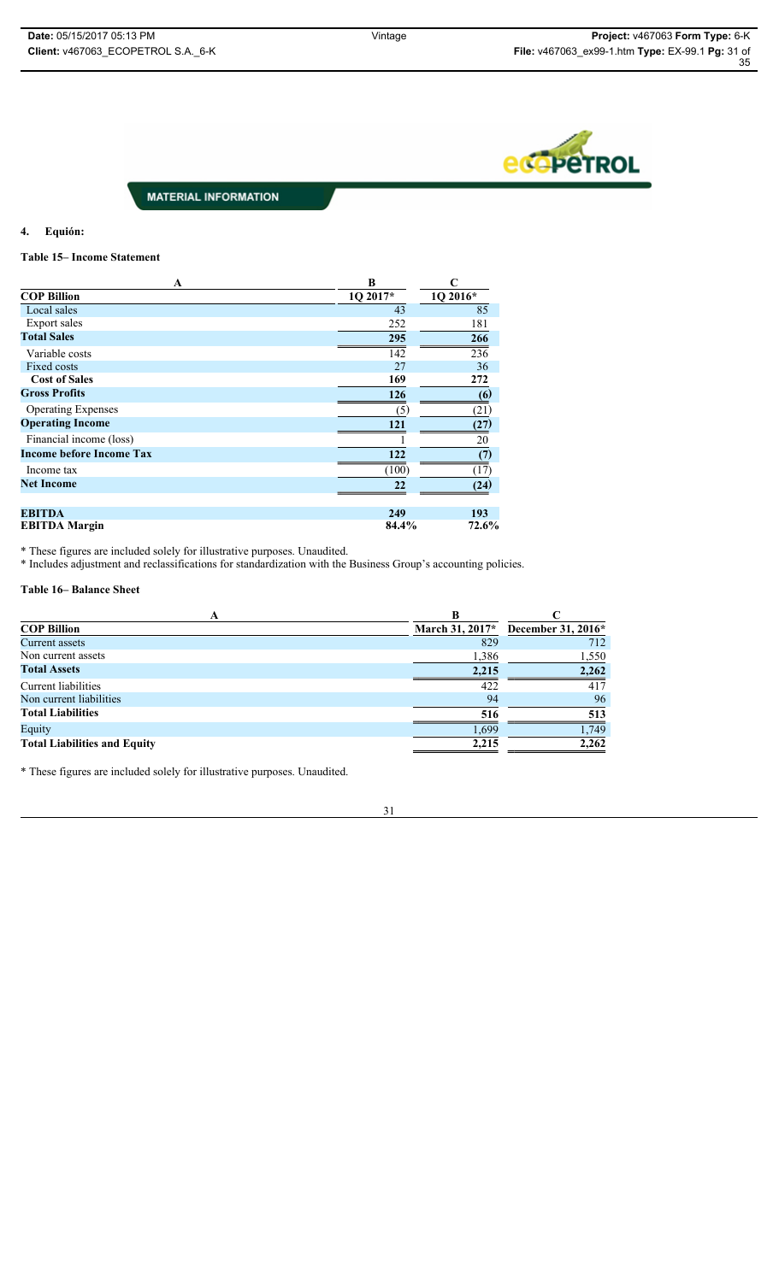

#### **4. Equión:**

## **Table 15– Income Statement**

| A                               | B        | C        |
|---------------------------------|----------|----------|
| <b>COP Billion</b>              | 1Q 2017* | 1Q 2016* |
| Local sales                     | 43       | 85       |
| Export sales                    | 252      | 181      |
| <b>Total Sales</b>              | 295      | 266      |
| Variable costs                  | 142      | 236      |
| Fixed costs                     | 27       | 36       |
| <b>Cost of Sales</b>            | 169      | 272      |
| <b>Gross Profits</b>            | 126      | (6)      |
| <b>Operating Expenses</b>       | (5)      | (21)     |
| <b>Operating Income</b>         | 121      | (27)     |
| Financial income (loss)         |          | 20       |
| <b>Income before Income Tax</b> | 122      | (7)      |
| Income tax                      | (100)    | (17)     |
| <b>Net Income</b>               | 22       | (24)     |
| <b>EBITDA</b>                   | 249      | 193      |
| <b>EBITDA</b> Margin            | 84.4%    | 72.6%    |

\* These figures are included solely for illustrative purposes. Unaudited.

\* Includes adjustment and reclassifications for standardization with the Business Group's accounting policies.

#### **Table 16– Balance Sheet**

| A                                   |                 |                    |
|-------------------------------------|-----------------|--------------------|
| <b>COP Billion</b>                  | March 31, 2017* | December 31, 2016* |
| Current assets                      | 829             | 712                |
| Non current assets                  | 1,386           | 1,550              |
| <b>Total Assets</b>                 | 2,215           | 2,262              |
| Current liabilities                 | 422             | 417                |
| Non current liabilities             | 94              | 96                 |
| <b>Total Liabilities</b>            | 516             | 513                |
| Equity                              | 1,699           | 1,749              |
| <b>Total Liabilities and Equity</b> | 2,215           | 2,262              |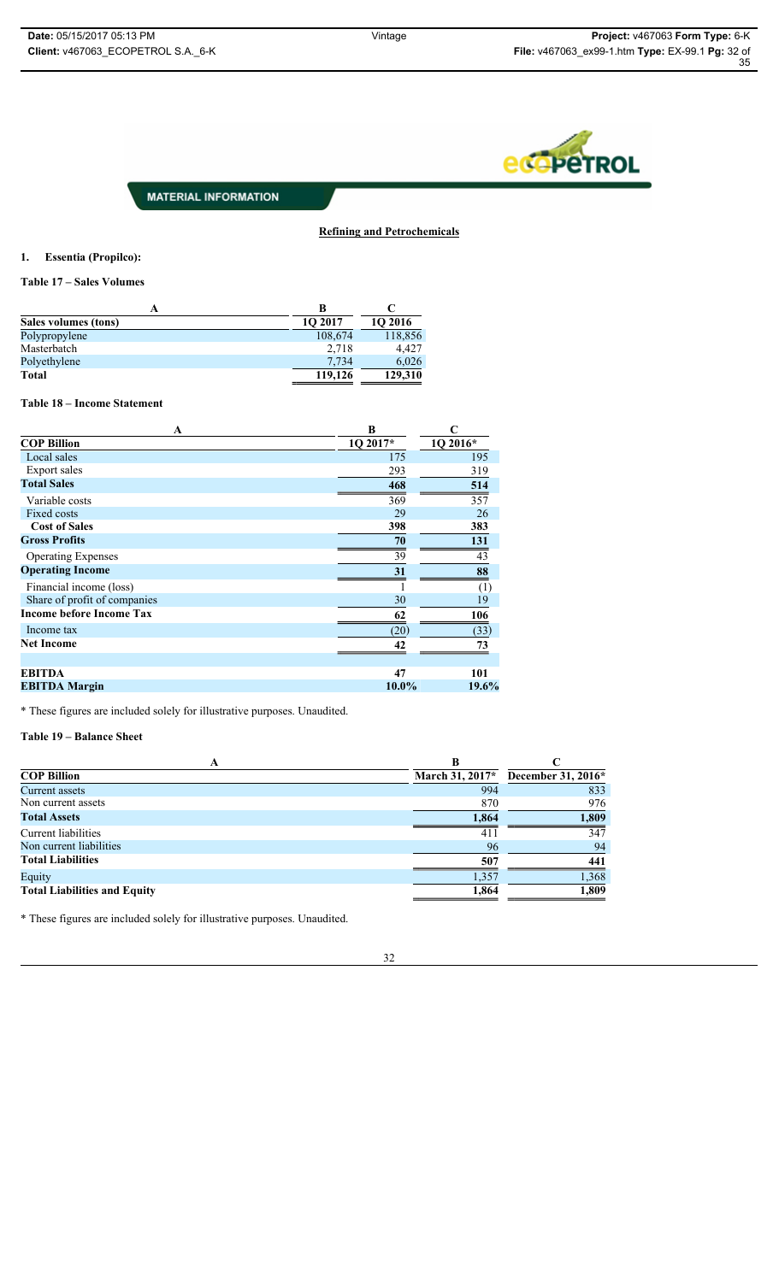

**Refining and Petrochemicals**

# **1. Essentia (Propilco):**

**Table 17 – Sales Volumes**

| A                    | в       |                |
|----------------------|---------|----------------|
| Sales volumes (tons) | 10 2017 | <b>10 2016</b> |
| Polypropylene        | 108,674 | 118,856        |
| Masterbatch          | 2.718   | 4.427          |
| Polyethylene         | 7.734   | 6,026          |
| <b>Total</b>         | 119,126 | 129,310        |

### **Table 18 – Income Statement**

| A                               | B        | C                |
|---------------------------------|----------|------------------|
| <b>COP Billion</b>              | 1Q 2017* | 1Q 2016*         |
| Local sales                     | 175      | 195              |
| Export sales                    | 293      | 319              |
| <b>Total Sales</b>              | 468      | 514              |
| Variable costs                  | 369      | $\overline{357}$ |
| Fixed costs                     | 29       | 26               |
| <b>Cost of Sales</b>            | 398      | 383              |
| <b>Gross Profits</b>            | 70       | 131              |
| <b>Operating Expenses</b>       | 39       | 43               |
| <b>Operating Income</b>         | 31       | 88               |
| Financial income (loss)         |          | (1)              |
| Share of profit of companies    | 30       | 19               |
| <b>Income before Income Tax</b> | 62       | 106              |
| Income tax                      | (20)     | (33)             |
| <b>Net Income</b>               | 42       | 73               |
| <b>EBITDA</b>                   | 47       | 101              |
| <b>EBITDA Margin</b>            | 10.0%    | 19.6%            |

\* These figures are included solely for illustrative purposes. Unaudited.

# **Table 19 – Balance Sheet**

| <b>COP Billion</b>                  | March 31, 2017* | December 31, 2016* |
|-------------------------------------|-----------------|--------------------|
| Current assets                      | 994             | 833                |
| Non current assets                  | 870             | 976                |
| <b>Total Assets</b>                 | 1,864           | 1,809              |
| Current liabilities                 | 41              | 347                |
| Non current liabilities             | 96              | 94                 |
| <b>Total Liabilities</b>            | 507             | 441                |
| Equity                              | 1,357           | 1,368              |
| <b>Total Liabilities and Equity</b> | 1,864           | 1.809              |

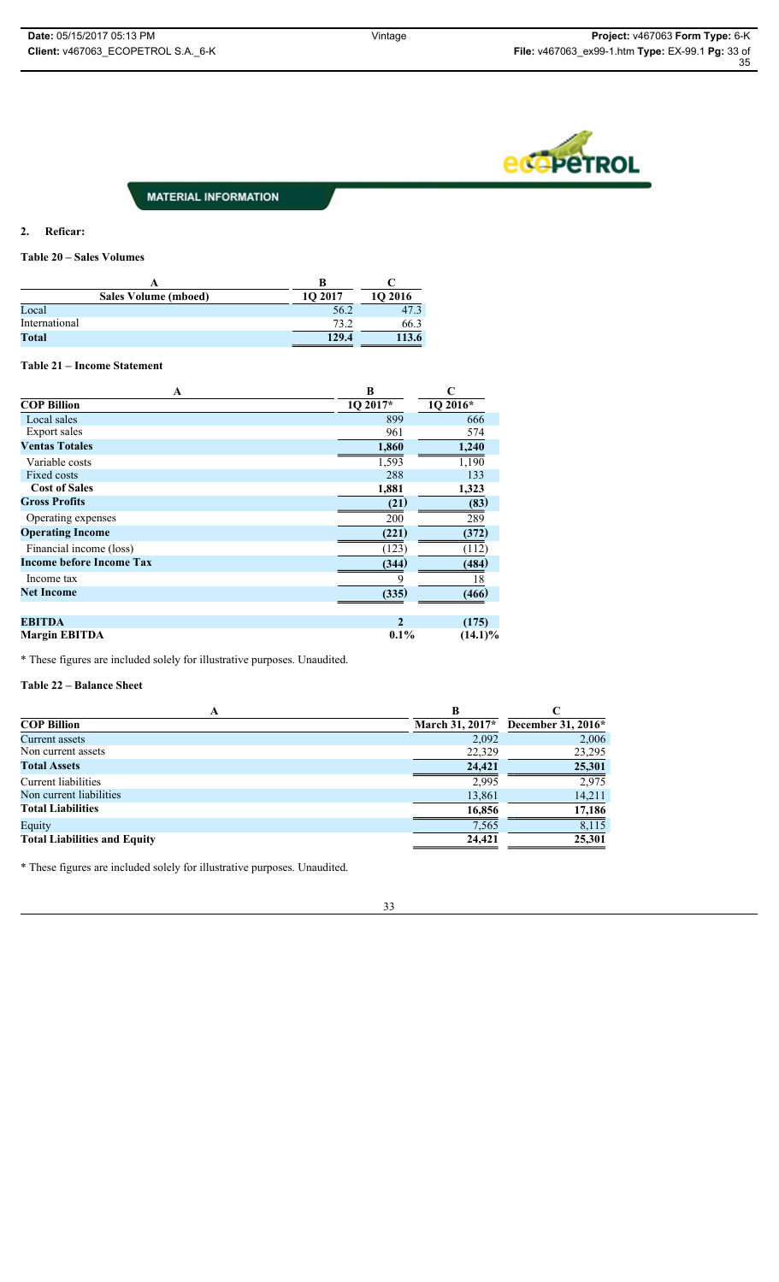

## **2. Reficar:**

**Table 20 – Sales Volumes**

| <b>Sales Volume (mboed)</b> | 10 2017 | <b>10 2016</b> |
|-----------------------------|---------|----------------|
| Local                       | 56.2    |                |
| International               | 73.2    | 66.3           |
| Total                       | 129.4   | 113.6          |

#### **Table 21 – Income Statement**

| A                               | B              | C          |
|---------------------------------|----------------|------------|
| <b>COP Billion</b>              | 1Q 2017*       | 1Q 2016*   |
| Local sales                     | 899            | 666        |
| Export sales                    | 961            | 574        |
| <b>Ventas Totales</b>           | 1,860          | 1,240      |
| Variable costs                  | 1,593          | 1,190      |
| Fixed costs                     | 288            | 133        |
| <b>Cost of Sales</b>            | 1,881          | 1,323      |
| <b>Gross Profits</b>            | (21)           | (83)       |
| Operating expenses              | 200            | 289        |
| <b>Operating Income</b>         | (221)          | (372)      |
| Financial income (loss)         | (123)          | (112)      |
| <b>Income before Income Tax</b> | (344)          | (484)      |
| Income tax                      | a              | 18         |
| <b>Net Income</b>               | (335)          | (466)      |
| <b>EBITDA</b>                   | $\mathfrak{D}$ | (175)      |
| <b>Margin EBITDA</b>            | $0.1\%$        | $(14.1)\%$ |

\* These figures are included solely for illustrative purposes. Unaudited.

**Table 22 – Balance Sheet**

| A                                   |                 |                    |
|-------------------------------------|-----------------|--------------------|
| <b>COP Billion</b>                  | March 31, 2017* | December 31, 2016* |
| Current assets                      | 2,092           | 2,006              |
| Non current assets                  | 22,329          | 23,295             |
| <b>Total Assets</b>                 | 24,421          | 25,301             |
| Current liabilities                 | 2,995           | 2,975              |
| Non current liabilities             | 13,861          | 14,211             |
| <b>Total Liabilities</b>            | 16,856          | 17,186             |
| Equity                              | 7,565           | 8,115              |
| <b>Total Liabilities and Equity</b> | 24,421          | 25,301             |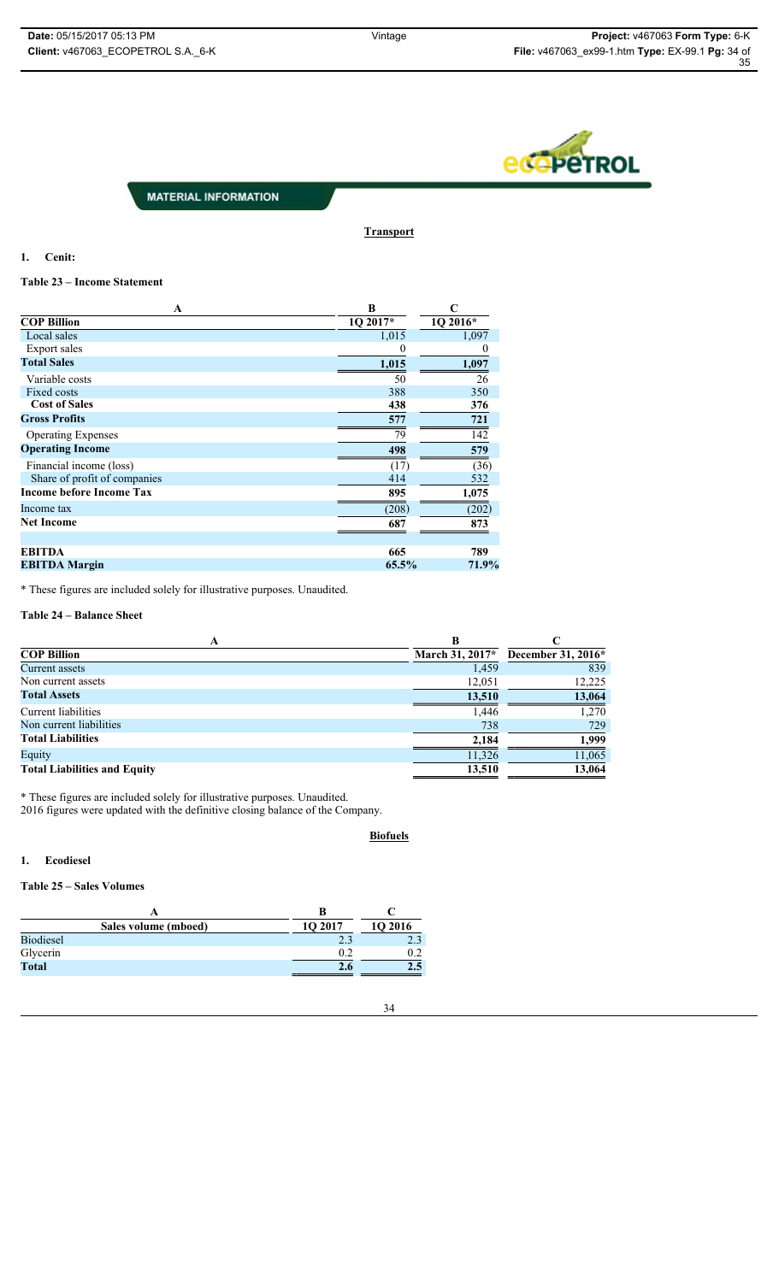

**Transport**

#### **1. Cenit:**

# **Table 23 – Income Statement**

| A                               | B        | C        |
|---------------------------------|----------|----------|
| <b>COP Billion</b>              | 1Q 2017* | 1Q 2016* |
| Local sales                     | 1,015    | 1,097    |
| Export sales                    | 0        |          |
| <b>Total Sales</b>              | 1,015    | 1,097    |
| Variable costs                  | 50       | 26       |
| Fixed costs                     | 388      | 350      |
| <b>Cost of Sales</b>            | 438      | 376      |
| <b>Gross Profits</b>            | 577      | 721      |
| <b>Operating Expenses</b>       | 79       | 142      |
| <b>Operating Income</b>         | 498      | 579      |
| Financial income (loss)         | (17)     | (36)     |
| Share of profit of companies    | 414      | 532      |
| <b>Income before Income Tax</b> | 895      | 1,075    |
| Income tax                      | (208)    | (202)    |
| <b>Net Income</b>               | 687      | 873      |
|                                 |          |          |
| <b>EBITDA</b>                   | 665      | 789      |
| <b>EBITDA Margin</b>            | 65.5%    | 71.9%    |

\* These figures are included solely for illustrative purposes. Unaudited.

## **Table 24 – Balance Sheet**

| A                                   | В               |                    |
|-------------------------------------|-----------------|--------------------|
| <b>COP Billion</b>                  | March 31, 2017* | December 31, 2016* |
| Current assets                      | 1,459           | 839                |
| Non current assets                  | 12,051          | 12,225             |
| <b>Total Assets</b>                 | 13,510          | 13,064             |
| Current liabilities                 | 1,446           | 1,270              |
| Non current liabilities             | 738             | 729                |
| <b>Total Liabilities</b>            | 2,184           | 1.999              |
| Equity                              | 11,326          | 11,065             |
| <b>Total Liabilities and Equity</b> | 13,510          | 13,064             |

\* These figures are included solely for illustrative purposes. Unaudited. 2016 figures were updated with the definitive closing balance of the Company.

# **Biofuels**

#### **1. Ecodiesel**

# **Table 25 – Sales Volumes**

| Sales volume (mboed) | 1O 2017 | 10 2016 |
|----------------------|---------|---------|
| <b>Biodiesel</b>     |         |         |
| Glycerin             | 0.2     |         |
| <b>Total</b>         |         | 2.5     |